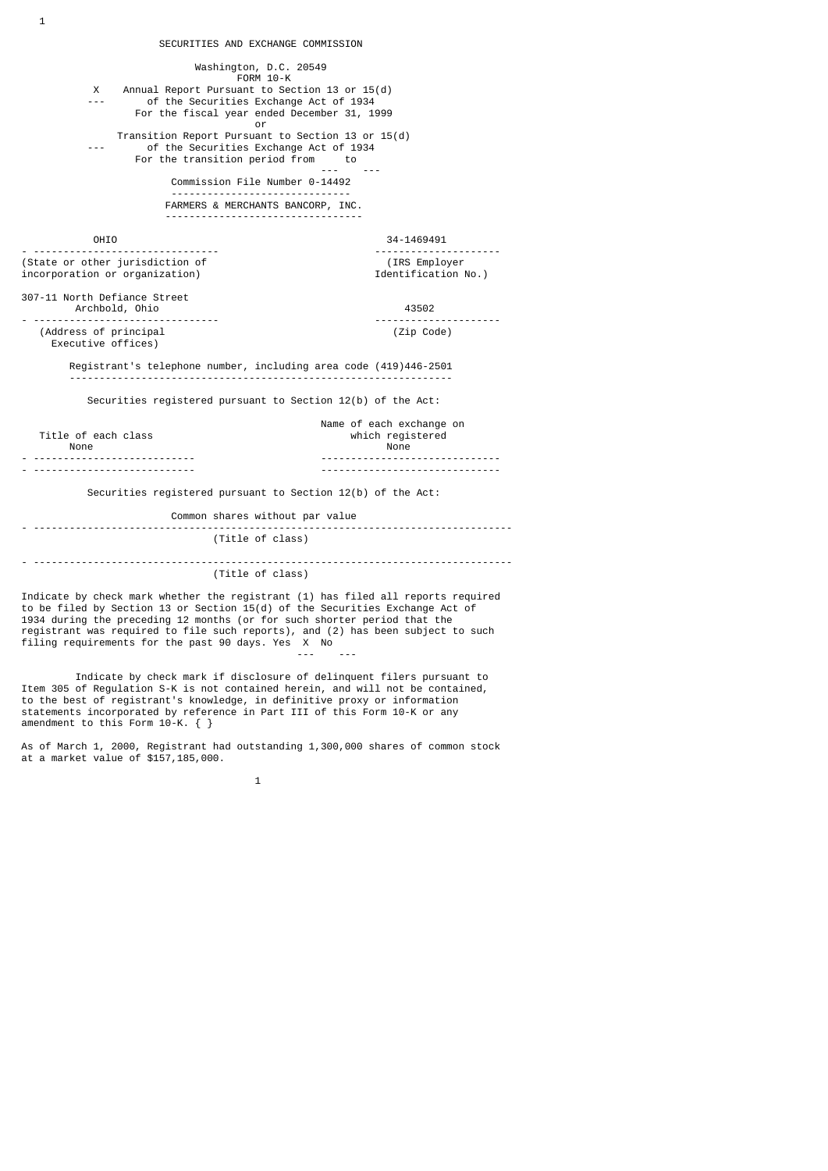SECURITIES AND EXCHANGE COMMISSION Washington, D.C. 20549 FORM 10-K X Annual Report Pursuant to Section 13 or 15(d) of the Securities Exchange Act of 1934 For the fiscal year ended December 31, 1999 or and the contract of the contract of the contract of the contract of the contract of the contract of the contract of the contract of the contract of the contract of the contract of the contract of the contract of the con Transition Report Pursuant to Section 13 or 15(d) of the Securities Exchange Act of 1934 For the transition period from to --- --- Commission File Number 0-14492 ------------------------------ FARMERS & MERCHANTS BANCORP, INC. --------------------------------- OHIO 34-1469491 - ------------------------------- --------------------- (State or other jurisdiction of  $(IRS \n *Employer*)$  (IRS Employer incorporation or organization) incorporation or organization) 307-11 North Defiance Street Archbold, Ohio 43502 - ------------------------------- --------------------- (Address of principal (Zip Code) Executive offices) Registrant's telephone number, including area code (419)446-2501 ---------------------------------------------------------------- Securities registered pursuant to Section 12(b) of the Act: Name of each exchange on<br>which registered Title of each class which registers are which registered as a series which registered as a series of the series of the series of the series of the series of the series of the series of the series of the series of the serie None None - --------------------------- ------------------------------ - --------------------------- ------------------------------ Securities registered pursuant to Section 12(b) of the Act: Common shares without par value - -------------------------------------------------------------------------------- (Title of class) - -------------------------------------------------------------------------------- (Title of class) Indicate by check mark whether the registrant (1) has filed all reports required

1

to be filed by Section 13 or Section 15(d) of the Securities Exchange Act of 1934 during the preceding 12 months (or for such shorter period that the registrant was required to file such reports), and (2) has been subject to such filing requirements for the past 90 days. Yes X No --- ---

 Indicate by check mark if disclosure of delinquent filers pursuant to Item 305 of Regulation S-K is not contained herein, and will not be contained, to the best of registrant's knowledge, in definitive proxy or information statements incorporated by reference in Part III of this Form 10-K or any amendment to this Form 10-K. { }

As of March 1, 2000, Registrant had outstanding 1,300,000 shares of common stock at a market value of \$157,185,000.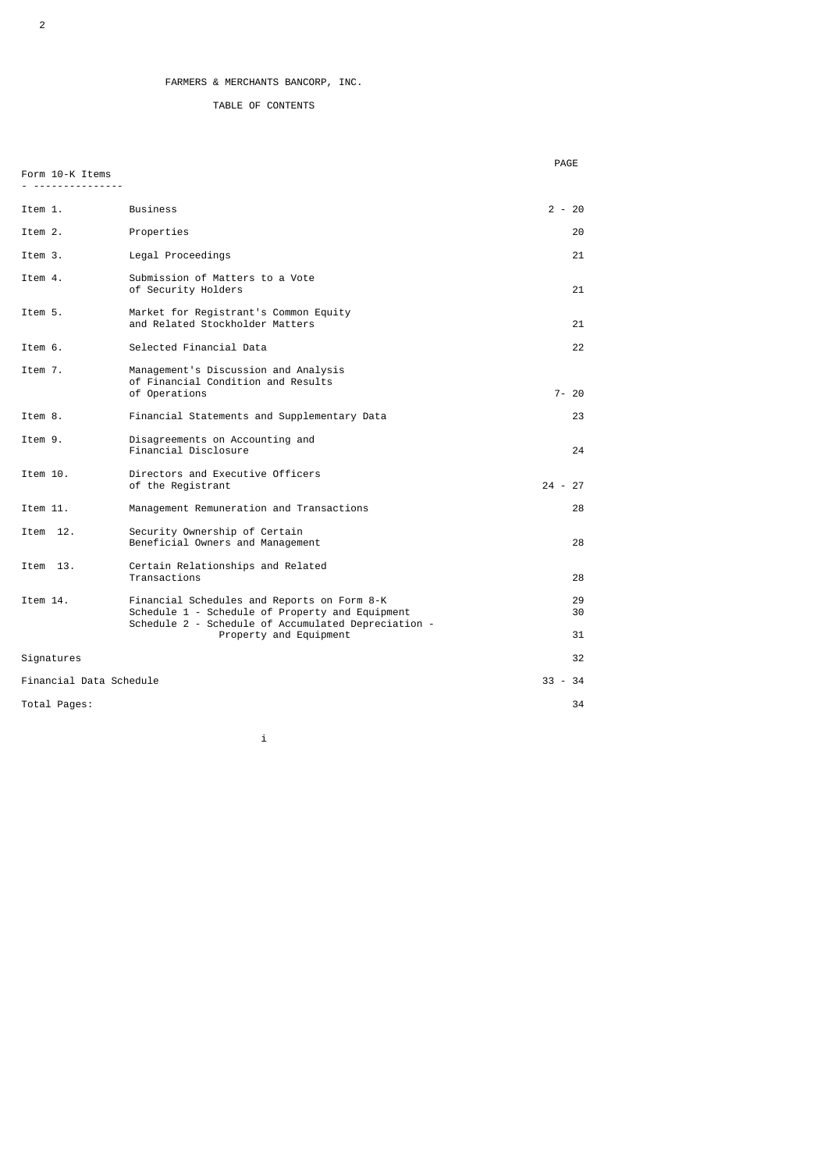## TABLE OF CONTENTS

Form 10-K Items

**PAGE** 

| <u>. </u>               |                                                                                                                                                       |           |          |
|-------------------------|-------------------------------------------------------------------------------------------------------------------------------------------------------|-----------|----------|
| Item 1.                 | <b>Business</b>                                                                                                                                       | $2 - 20$  |          |
| Item 2.                 | Properties                                                                                                                                            |           | 20       |
| Item 3.                 | Legal Proceedings                                                                                                                                     |           | 21       |
| Item 4.                 | Submission of Matters to a Vote<br>of Security Holders                                                                                                |           | 21       |
| Item 5.                 | Market for Registrant's Common Equity<br>and Related Stockholder Matters                                                                              |           | 21       |
| Item 6.                 | Selected Financial Data                                                                                                                               |           | 22       |
| Item 7.                 | Management's Discussion and Analysis<br>of Financial Condition and Results<br>of Operations                                                           |           | $7 - 20$ |
| Item 8.                 | Financial Statements and Supplementary Data                                                                                                           |           | 23       |
| Item 9.                 | Disagreements on Accounting and<br>Financial Disclosure                                                                                               |           | 24       |
| Item 10.                | Directors and Executive Officers<br>of the Registrant                                                                                                 | $24 - 27$ |          |
| Item 11.                | Management Remuneration and Transactions                                                                                                              |           | 28       |
| Item 12.                | Security Ownership of Certain<br>Beneficial Owners and Management                                                                                     |           | 28       |
| Item 13.                | Certain Relationships and Related<br>Transactions                                                                                                     |           | 28       |
| Item 14.                | Financial Schedules and Reports on Form 8-K<br>Schedule 1 - Schedule of Property and Equipment<br>Schedule 2 - Schedule of Accumulated Depreciation - |           | 29<br>30 |
|                         | Property and Equipment                                                                                                                                |           | 31       |
| Signatures              |                                                                                                                                                       |           | 32       |
| Financial Data Schedule |                                                                                                                                                       | $33 - 34$ |          |
| Total Pages:            |                                                                                                                                                       |           | 34       |

i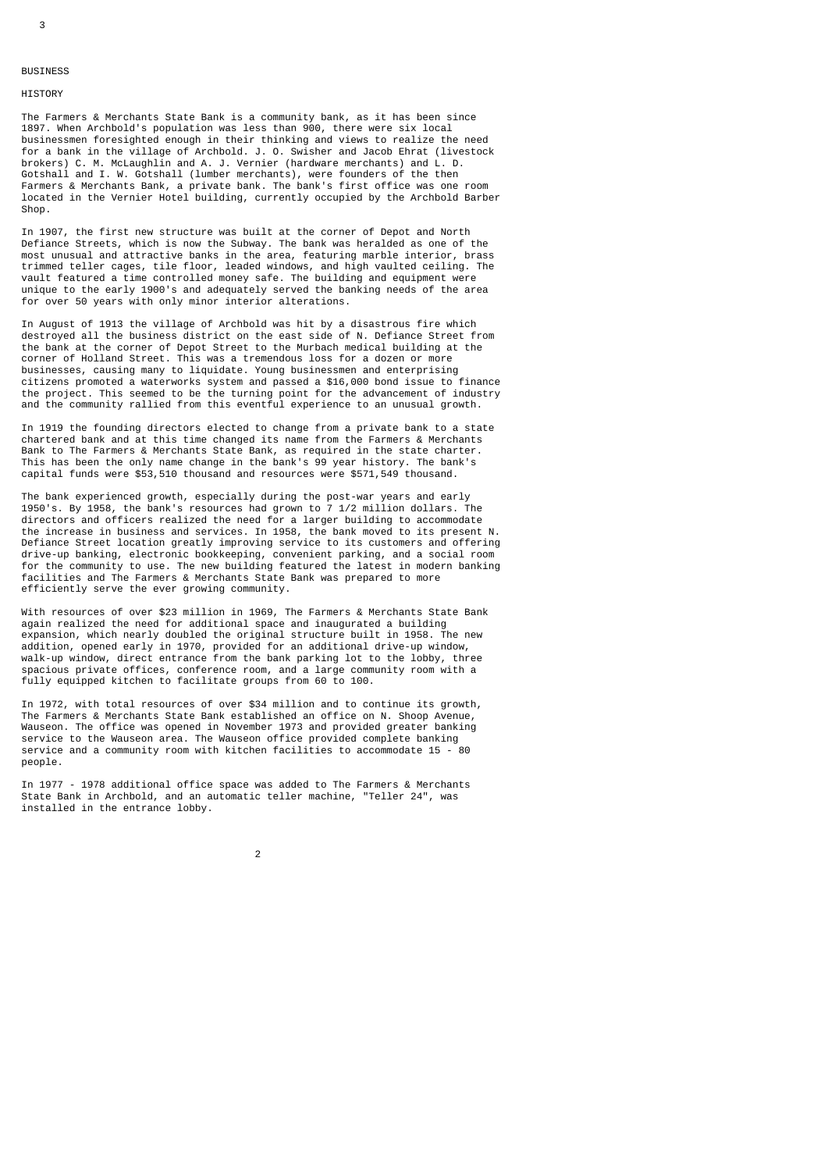3

# BUSINESS

## **HISTORY**

The Farmers & Merchants State Bank is a community bank, as it has been since 1897. When Archbold's population was less than 900, there were six local businessmen foresighted enough in their thinking and views to realize the need for a bank in the village of Archbold. J. O. Swisher and Jacob Ehrat (livestock brokers) C. M. McLaughlin and A. J. Vernier (hardware merchants) and L. D. Gotshall and I. W. Gotshall (lumber merchants), were founders of the then Farmers & Merchants Bank, a private bank. The bank's first office was one room located in the Vernier Hotel building, currently occupied by the Archbold Barber Shop.

In 1907, the first new structure was built at the corner of Depot and North Defiance Streets, which is now the Subway. The bank was heralded as one of the most unusual and attractive banks in the area, featuring marble interior, brass trimmed teller cages, tile floor, leaded windows, and high vaulted ceiling. The vault featured a time controlled money safe. The building and equipment were unique to the early 1900's and adequately served the banking needs of the area for over 50 years with only minor interior alterations.

In August of 1913 the village of Archbold was hit by a disastrous fire which destroyed all the business district on the east side of N. Defiance Street from the bank at the corner of Depot Street to the Murbach medical building at the corner of Holland Street. This was a tremendous loss for a dozen or more businesses, causing many to liquidate. Young businessmen and enterprising citizens promoted a waterworks system and passed a \$16,000 bond issue to finance the project. This seemed to be the turning point for the advancement of industry and the community rallied from this eventful experience to an unusual growth.

In 1919 the founding directors elected to change from a private bank to a state chartered bank and at this time changed its name from the Farmers & Merchants Bank to The Farmers & Merchants State Bank, as required in the state charter. This has been the only name change in the bank's 99 year history. The bank's capital funds were \$53,510 thousand and resources were \$571,549 thousand.

The bank experienced growth, especially during the post-war years and early 1950's. By 1958, the bank's resources had grown to 7 1/2 million dollars. The directors and officers realized the need for a larger building to accommodate the increase in business and services. In 1958, the bank moved to its present N. Defiance Street location greatly improving service to its customers and offering drive-up banking, electronic bookkeeping, convenient parking, and a social room for the community to use. The new building featured the latest in modern banking facilities and The Farmers & Merchants State Bank was prepared to more efficiently serve the ever growing community.

With resources of over \$23 million in 1969, The Farmers & Merchants State Bank again realized the need for additional space and inaugurated a building expansion, which nearly doubled the original structure built in 1958. The new addition, opened early in 1970, provided for an additional drive-up window, walk-up window, direct entrance from the bank parking lot to the lobby, three spacious private offices, conference room, and a large community room with a fully equipped kitchen to facilitate groups from 60 to 100.

In 1972, with total resources of over \$34 million and to continue its growth, The Farmers & Merchants State Bank established an office on N. Shoop Avenue, Wauseon. The office was opened in November 1973 and provided greater banking service to the Wauseon area. The Wauseon office provided complete banking service and a community room with kitchen facilities to accommodate 15 - 80 people.

In 1977 - 1978 additional office space was added to The Farmers & Merchants State Bank in Archbold, and an automatic teller machine, "Teller 24", was installed in the entrance lobby.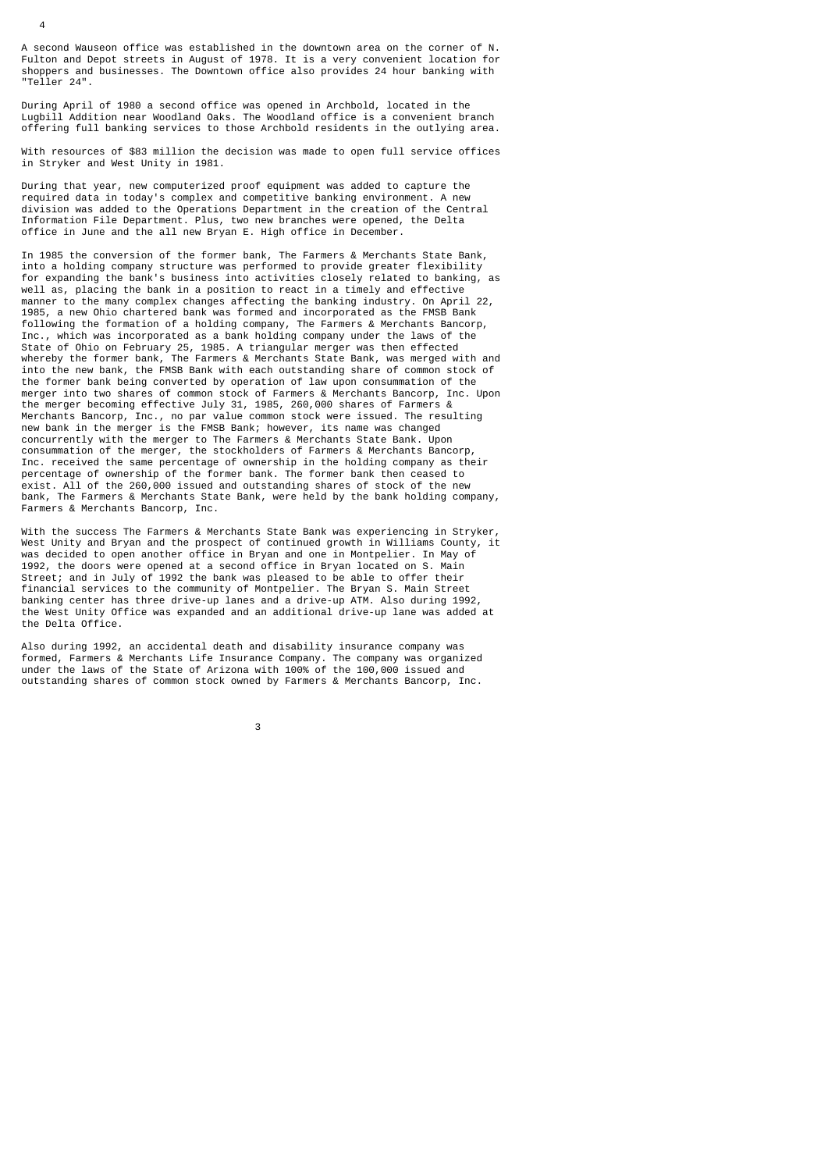A second Wauseon office was established in the downtown area on the corner of N. Fulton and Depot streets in August of 1978. It is a very convenient location for shoppers and businesses. The Downtown office also provides 24 hour banking with "Teller 24".

During April of 1980 a second office was opened in Archbold, located in the Lugbill Addition near Woodland Oaks. The Woodland office is a convenient branch offering full banking services to those Archbold residents in the outlying area.

With resources of \$83 million the decision was made to open full service offices in Stryker and West Unity in 1981.

During that year, new computerized proof equipment was added to capture the required data in today's complex and competitive banking environment. A new division was added to the Operations Department in the creation of the Central Information File Department. Plus, two new branches were opened, the Delta office in June and the all new Bryan E. High office in December.

In 1985 the conversion of the former bank, The Farmers & Merchants State Bank, into a holding company structure was performed to provide greater flexibility for expanding the bank's business into activities closely related to banking, as well as, placing the bank in a position to react in a timely and effective manner to the many complex changes affecting the banking industry. On April 22, 1985, a new Ohio chartered bank was formed and incorporated as the FMSB Bank following the formation of a holding company, The Farmers & Merchants Bancorp, Inc., which was incorporated as a bank holding company under the laws of the State of Ohio on February 25, 1985. A triangular merger was then effected whereby the former bank, The Farmers & Merchants State Bank, was merged with and into the new bank, the FMSB Bank with each outstanding share of common stock of the former bank being converted by operation of law upon consummation of the merger into two shares of common stock of Farmers & Merchants Bancorp, Inc. Upon the merger becoming effective July 31, 1985, 260,000 shares of Farmers & Merchants Bancorp, Inc., no par value common stock were issued. The resulting new bank in the merger is the FMSB Bank; however, its name was changed concurrently with the merger to The Farmers & Merchants State Bank. Upon consummation of the merger, the stockholders of Farmers & Merchants Bancorp, Inc. received the same percentage of ownership in the holding company as their percentage of ownership of the former bank. The former bank then ceased to exist. All of the 260,000 issued and outstanding shares of stock of the new bank, The Farmers & Merchants State Bank, were held by the bank holding company, Farmers & Merchants Bancorp, Inc.

With the success The Farmers & Merchants State Bank was experiencing in Stryker, West Unity and Bryan and the prospect of continued growth in Williams County, it was decided to open another office in Bryan and one in Montpelier. In May of 1992, the doors were opened at a second office in Bryan located on S. Main Street; and in July of 1992 the bank was pleased to be able to offer their financial services to the community of Montpelier. The Bryan S. Main Street banking center has three drive-up lanes and a drive-up ATM. Also during 1992, the West Unity Office was expanded and an additional drive-up lane was added at the Delta Office.

Also during 1992, an accidental death and disability insurance company was formed, Farmers & Merchants Life Insurance Company. The company was organized under the laws of the State of Arizona with 100% of the 100,000 issued and outstanding shares of common stock owned by Farmers & Merchants Bancorp, Inc.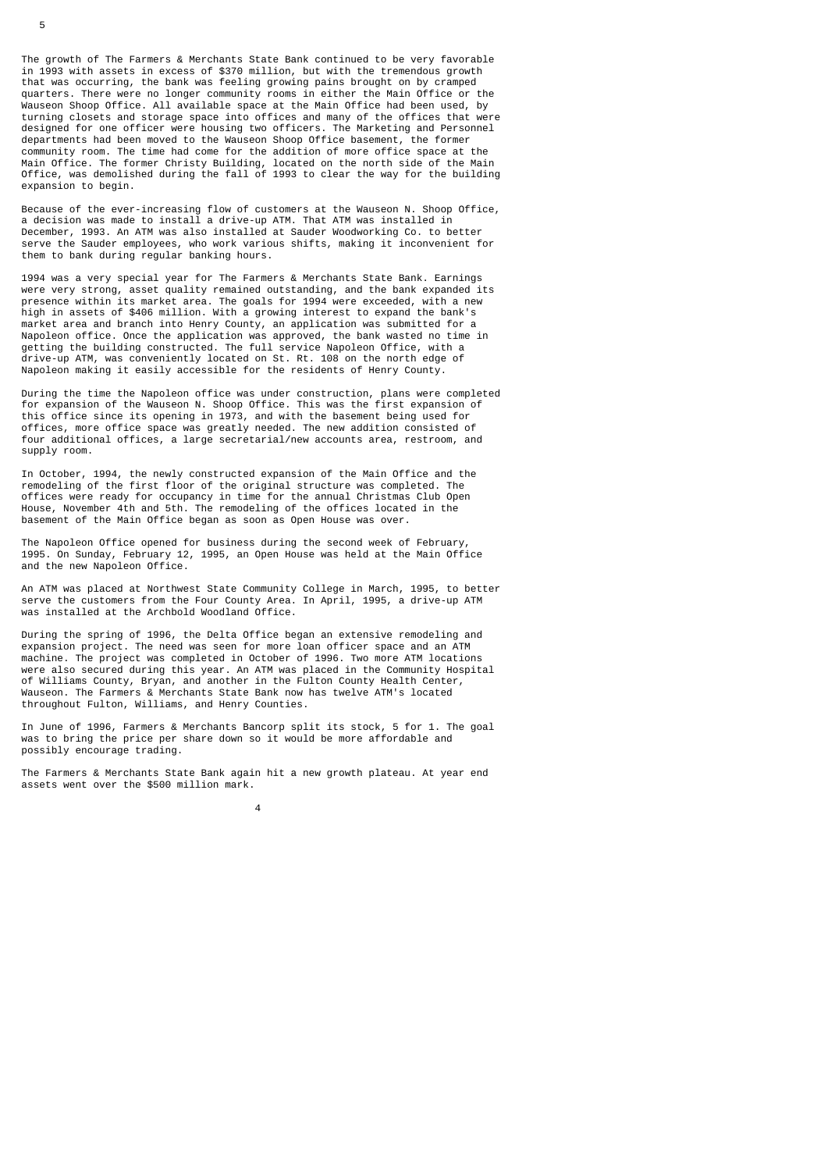The growth of The Farmers & Merchants State Bank continued to be very favorable in 1993 with assets in excess of \$370 million, but with the tremendous growth that was occurring, the bank was feeling growing pains brought on by cramped quarters. There were no longer community rooms in either the Main Office or the Wauseon Shoop Office. All available space at the Main Office had been used, by turning closets and storage space into offices and many of the offices that were designed for one officer were housing two officers. The Marketing and Personnel departments had been moved to the Wauseon Shoop Office basement, the former community room. The time had come for the addition of more office space at the Main Office. The former Christy Building, located on the north side of the Main Office, was demolished during the fall of 1993 to clear the way for the building expansion to begin.

Because of the ever-increasing flow of customers at the Wauseon N. Shoop Office, a decision was made to install a drive-up ATM. That ATM was installed in December, 1993. An ATM was also installed at Sauder Woodworking Co. to better serve the Sauder employees, who work various shifts, making it inconvenient for them to bank during regular banking hours.

1994 was a very special year for The Farmers & Merchants State Bank. Earnings were very strong, asset quality remained outstanding, and the bank expanded its presence within its market area. The goals for 1994 were exceeded, with a new high in assets of \$406 million. With a growing interest to expand the bank's market area and branch into Henry County, an application was submitted for a Napoleon office. Once the application was approved, the bank wasted no time in getting the building constructed. The full service Napoleon Office, with a drive-up ATM, was conveniently located on St. Rt. 108 on the north edge of Napoleon making it easily accessible for the residents of Henry County.

During the time the Napoleon office was under construction, plans were completed for expansion of the Wauseon N. Shoop Office. This was the first expansion of this office since its opening in 1973, and with the basement being used for offices, more office space was greatly needed. The new addition consisted of four additional offices, a large secretarial/new accounts area, restroom, and supply room.

In October, 1994, the newly constructed expansion of the Main Office and the remodeling of the first floor of the original structure was completed. The offices were ready for occupancy in time for the annual Christmas Club Open House, November 4th and 5th. The remodeling of the offices located in the basement of the Main Office began as soon as Open House was over.

The Napoleon Office opened for business during the second week of February, 1995. On Sunday, February 12, 1995, an Open House was held at the Main Office and the new Napoleon Office.

An ATM was placed at Northwest State Community College in March, 1995, to better serve the customers from the Four County Area. In April, 1995, a drive-up ATM was installed at the Archbold Woodland Office.

During the spring of 1996, the Delta Office began an extensive remodeling and expansion project. The need was seen for more loan officer space and an ATM machine. The project was completed in October of 1996. Two more ATM locations were also secured during this year. An ATM was placed in the Community Hospital of Williams County, Bryan, and another in the Fulton County Health Center, Wauseon. The Farmers & Merchants State Bank now has twelve ATM's located throughout Fulton, Williams, and Henry Counties.

In June of 1996, Farmers & Merchants Bancorp split its stock, 5 for 1. The goal was to bring the price per share down so it would be more affordable and possibly encourage trading.

The Farmers & Merchants State Bank again hit a new growth plateau. At year end assets went over the \$500 million mark.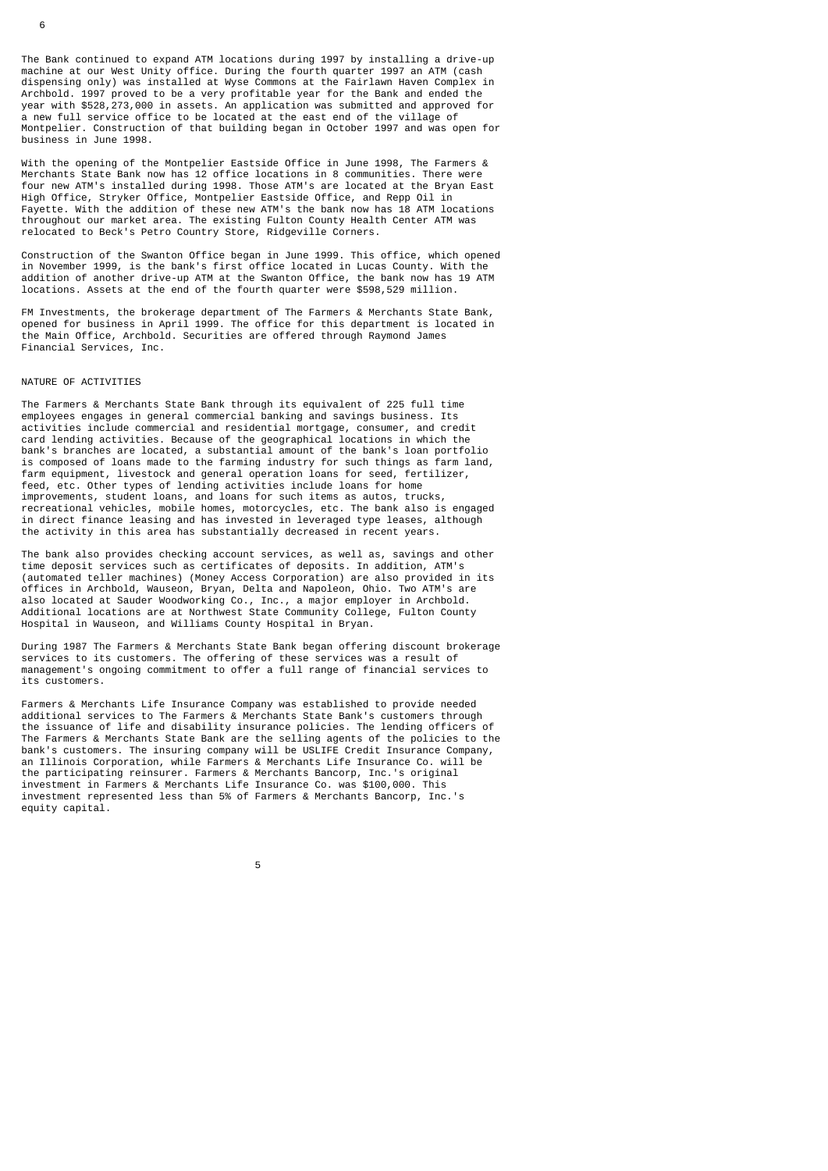The Bank continued to expand ATM locations during 1997 by installing a drive-up machine at our West Unity office. During the fourth quarter 1997 an ATM (cash dispensing only) was installed at Wyse Commons at the Fairlawn Haven Complex in Archbold. 1997 proved to be a very profitable year for the Bank and ended the year with \$528,273,000 in assets. An application was submitted and approved for a new full service office to be located at the east end of the village of Montpelier. Construction of that building began in October 1997 and was open for business in June 1998.

With the opening of the Montpelier Eastside Office in June 1998, The Farmers & Merchants State Bank now has 12 office locations in 8 communities. There were four new ATM's installed during 1998. Those ATM's are located at the Bryan East High Office, Stryker Office, Montpelier Eastside Office, and Repp Oil in Fayette. With the addition of these new ATM's the bank now has 18 ATM locations throughout our market area. The existing Fulton County Health Center ATM was relocated to Beck's Petro Country Store, Ridgeville Corners.

Construction of the Swanton Office began in June 1999. This office, which opened in November 1999, is the bank's first office located in Lucas County. With the addition of another drive-up ATM at the Swanton Office, the bank now has 19 ATM locations. Assets at the end of the fourth quarter were \$598,529 million.

FM Investments, the brokerage department of The Farmers & Merchants State Bank, opened for business in April 1999. The office for this department is located in the Main Office, Archbold. Securities are offered through Raymond James Financial Services, Inc.

#### NATURE OF ACTIVITIES

The Farmers & Merchants State Bank through its equivalent of 225 full time employees engages in general commercial banking and savings business. Its activities include commercial and residential mortgage, consumer, and credit card lending activities. Because of the geographical locations in which the bank's branches are located, a substantial amount of the bank's loan portfolio is composed of loans made to the farming industry for such things as farm land, farm equipment, livestock and general operation loans for seed, fertilizer, feed, etc. Other types of lending activities include loans for home improvements, student loans, and loans for such items as autos, trucks, recreational vehicles, mobile homes, motorcycles, etc. The bank also is engaged in direct finance leasing and has invested in leveraged type leases, although the activity in this area has substantially decreased in recent years.

The bank also provides checking account services, as well as, savings and other time deposit services such as certificates of deposits. In addition, ATM's (automated teller machines) (Money Access Corporation) are also provided in its offices in Archbold, Wauseon, Bryan, Delta and Napoleon, Ohio. Two ATM's are also located at Sauder Woodworking Co., Inc., a major employer in Archbold. Additional locations are at Northwest State Community College, Fulton County Hospital in Wauseon, and Williams County Hospital in Bryan.

During 1987 The Farmers & Merchants State Bank began offering discount brokerage services to its customers. The offering of these services was a result of management's ongoing commitment to offer a full range of financial services to its customers.

Farmers & Merchants Life Insurance Company was established to provide needed additional services to The Farmers & Merchants State Bank's customers through the issuance of life and disability insurance policies. The lending officers of The Farmers & Merchants State Bank are the selling agents of the policies to the bank's customers. The insuring company will be USLIFE Credit Insurance Company, an Illinois Corporation, while Farmers & Merchants Life Insurance Co. will be the participating reinsurer. Farmers & Merchants Bancorp, Inc.'s original investment in Farmers & Merchants Life Insurance Co. was \$100,000. This investment represented less than 5% of Farmers & Merchants Bancorp, Inc.'s equity capital.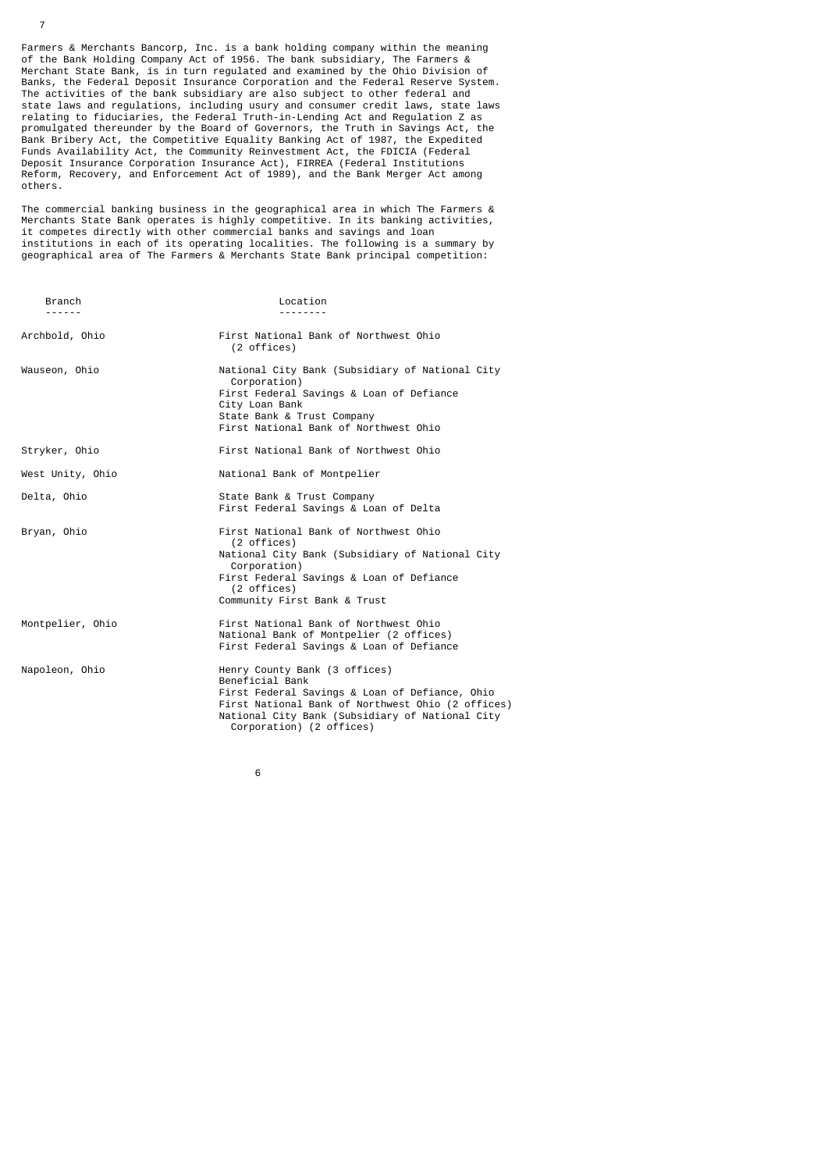Farmers & Merchants Bancorp, Inc. is a bank holding company within the meaning of the Bank Holding Company Act of 1956. The bank subsidiary, The Farmers & Merchant State Bank, is in turn regulated and examined by the Ohio Division of Banks, the Federal Deposit Insurance Corporation and the Federal Reserve System. The activities of the bank subsidiary are also subject to other federal and state laws and regulations, including usury and consumer credit laws, state laws relating to fiduciaries, the Federal Truth-in-Lending Act and Regulation Z as promulgated thereunder by the Board of Governors, the Truth in Savings Act, the Bank Bribery Act, the Competitive Equality Banking Act of 1987, the Expedited Funds Availability Act, the Community Reinvestment Act, the FDICIA (Federal Deposit Insurance Corporation Insurance Act), FIRREA (Federal Institutions Reform, Recovery, and Enforcement Act of 1989), and the Bank Merger Act among others.

7

The commercial banking business in the geographical area in which The Farmers & Merchants State Bank operates is highly competitive. In its banking activities, it competes directly with other commercial banks and savings and loan institutions in each of its operating localities. The following is a summary by geographical area of The Farmers & Merchants State Bank principal competition:

| Branch<br>.      | Location<br>.                                                                                                                                                                                                                          |
|------------------|----------------------------------------------------------------------------------------------------------------------------------------------------------------------------------------------------------------------------------------|
| Archbold, Ohio   | First National Bank of Northwest Ohio<br>(2 offices)                                                                                                                                                                                   |
| Wauseon, Ohio    | National City Bank (Subsidiary of National City<br>Corporation)<br>First Federal Savings & Loan of Defiance<br>City Loan Bank<br>State Bank & Trust Company<br>First National Bank of Northwest Ohio                                   |
| Stryker, Ohio    | First National Bank of Northwest Ohio                                                                                                                                                                                                  |
| West Unity, Ohio | National Bank of Montpelier                                                                                                                                                                                                            |
| Delta, Ohio      | State Bank & Trust Company<br>First Federal Savings & Loan of Delta                                                                                                                                                                    |
| Bryan, Ohio      | First National Bank of Northwest Ohio<br>(2 offices)<br>National City Bank (Subsidiary of National City<br>Corporation)<br>First Federal Savings & Loan of Defiance<br>(2 offices)<br>Community First Bank & Trust                     |
| Montpelier, Ohio | First National Bank of Northwest Ohio<br>National Bank of Montpelier (2 offices)<br>First Federal Savings & Loan of Defiance                                                                                                           |
| Napoleon, Ohio   | Henry County Bank (3 offices)<br>Beneficial Bank<br>First Federal Savings & Loan of Defiance, Ohio<br>First National Bank of Northwest Ohio (2 offices)<br>National City Bank (Subsidiary of National City<br>Corporation) (2 offices) |

 $\sim$  6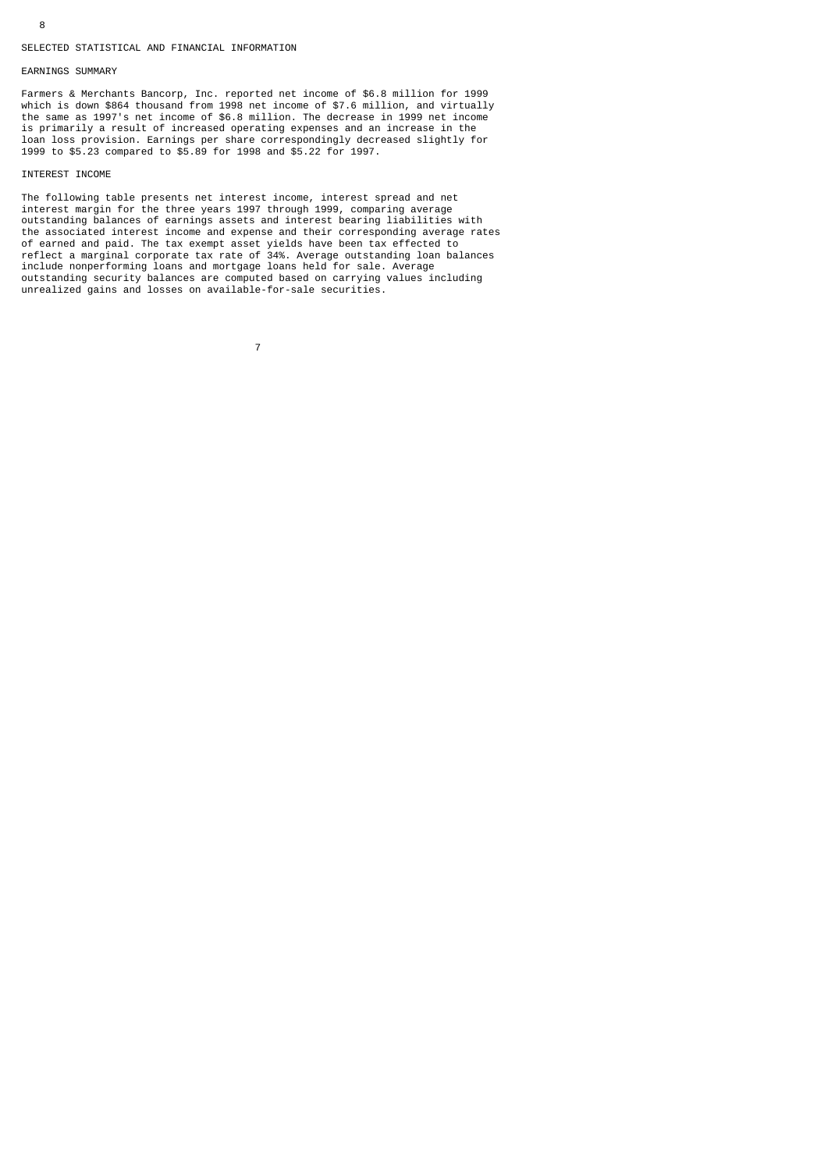#### SELECTED STATISTICAL AND FINANCIAL INFORMATION

7

## EARNINGS SUMMARY

Farmers & Merchants Bancorp, Inc. reported net income of \$6.8 million for 1999 which is down \$864 thousand from 1998 net income of \$7.6 million, and virtually the same as 1997's net income of \$6.8 million. The decrease in 1999 net income is primarily a result of increased operating expenses and an increase in the loan loss provision. Earnings per share correspondingly decreased slightly for 1999 to \$5.23 compared to \$5.89 for 1998 and \$5.22 for 1997.

## INTEREST INCOME

The following table presents net interest income, interest spread and net interest margin for the three years 1997 through 1999, comparing average outstanding balances of earnings assets and interest bearing liabilities with the associated interest income and expense and their corresponding average rates of earned and paid. The tax exempt asset yields have been tax effected to reflect a marginal corporate tax rate of 34%. Average outstanding loan balances include nonperforming loans and mortgage loans held for sale. Average outstanding security balances are computed based on carrying values including unrealized gains and losses on available-for-sale securities.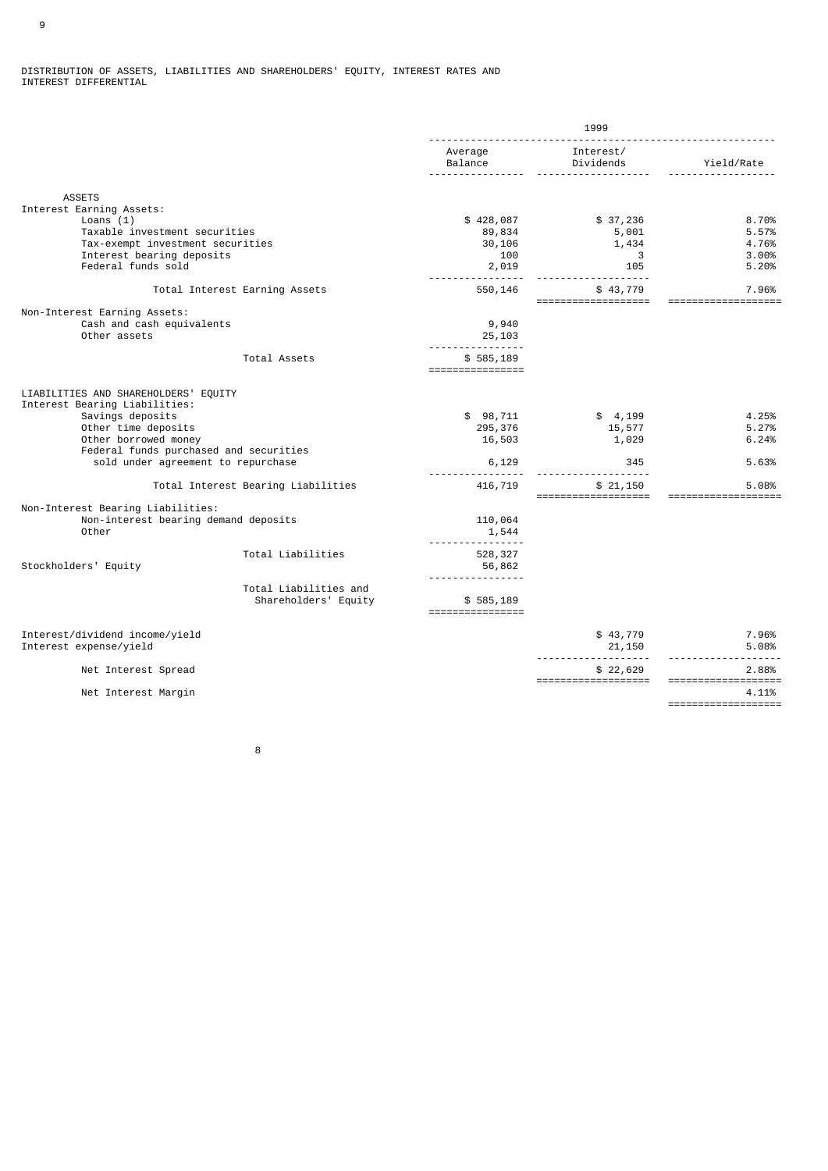#### DISTRIBUTION OF ASSETS, LIABILITIES AND SHAREHOLDERS' EQUITY, INTEREST RATES AND INTEREST DIFFERENTIAL

|                                                                                                                                                                                                                          |                                               | 1999                                                   |                                        |                                                     |
|--------------------------------------------------------------------------------------------------------------------------------------------------------------------------------------------------------------------------|-----------------------------------------------|--------------------------------------------------------|----------------------------------------|-----------------------------------------------------|
|                                                                                                                                                                                                                          |                                               | Average<br>Balance                                     | Interest/<br>Dividends                 | Yield/Rate                                          |
| <b>ASSETS</b>                                                                                                                                                                                                            |                                               |                                                        |                                        |                                                     |
| Interest Earning Assets:<br>Loans $(1)$<br>Taxable investment securities<br>Tax-exempt investment securities<br>Interest bearing deposits<br>Federal funds sold                                                          |                                               | \$428,087<br>89,834<br>30,106<br>100<br>2,019          | \$37,236<br>5,001<br>1,434<br>3<br>105 | 8.70%<br>5.57%<br>4.76%<br>3.00%<br>5.20%           |
| Total Interest Earning Assets                                                                                                                                                                                            |                                               | 550,146                                                | \$43,779                               | 7.96%                                               |
| Non-Interest Earning Assets:<br>Cash and cash equivalents<br>Other assets                                                                                                                                                |                                               | 9,940<br>25,103<br><u>.</u>                            | ===================                    | ===============                                     |
|                                                                                                                                                                                                                          | Total Assets                                  | \$585,189<br>$=$ = = = = = = = = = = = = = = = = = $=$ |                                        |                                                     |
| LIABILITIES AND SHAREHOLDERS' EQUITY<br>Interest Bearing Liabilities:<br>Savings deposits<br>Other time deposits<br>Other borrowed money<br>Federal funds purchased and securities<br>sold under agreement to repurchase |                                               | \$98,711<br>295,376<br>16,503<br>6,129                 | \$4,199<br>15,577<br>1,029<br>345      | 4.25%<br>5.27%<br>6.24%<br>5.63%                    |
|                                                                                                                                                                                                                          | Total Interest Bearing Liabilities            | 416,719                                                | \$21,150<br>====================       | 5.08%<br>===================                        |
| Non-Interest Bearing Liabilities:<br>Non-interest bearing demand deposits<br>Other                                                                                                                                       |                                               | 110,064<br>1,544<br>--------                           |                                        |                                                     |
| Stockholders' Equity                                                                                                                                                                                                     | Total Liabilities                             | 528,327<br>56,862                                      |                                        |                                                     |
|                                                                                                                                                                                                                          | Total Liabilities and<br>Shareholders' Equity | .<br>\$585,189                                         |                                        |                                                     |
| Interest/dividend income/yield<br>Interest expense/yield                                                                                                                                                                 |                                               |                                                        | \$43,779<br>21,150                     | 7.96%<br>5.08%                                      |
| Net Interest Spread                                                                                                                                                                                                      |                                               |                                                        | \$22,629                               | 2.88%                                               |
| Net Interest Margin                                                                                                                                                                                                      |                                               |                                                        | ===================                    | ===================<br>4.11%<br>=================== |

en andere andere andere andere andere andere andere andere andere andere andere andere andere andere andere a<br>Beste andere andere andere andere andere andere andere andere andere andere andere andere andere andere andere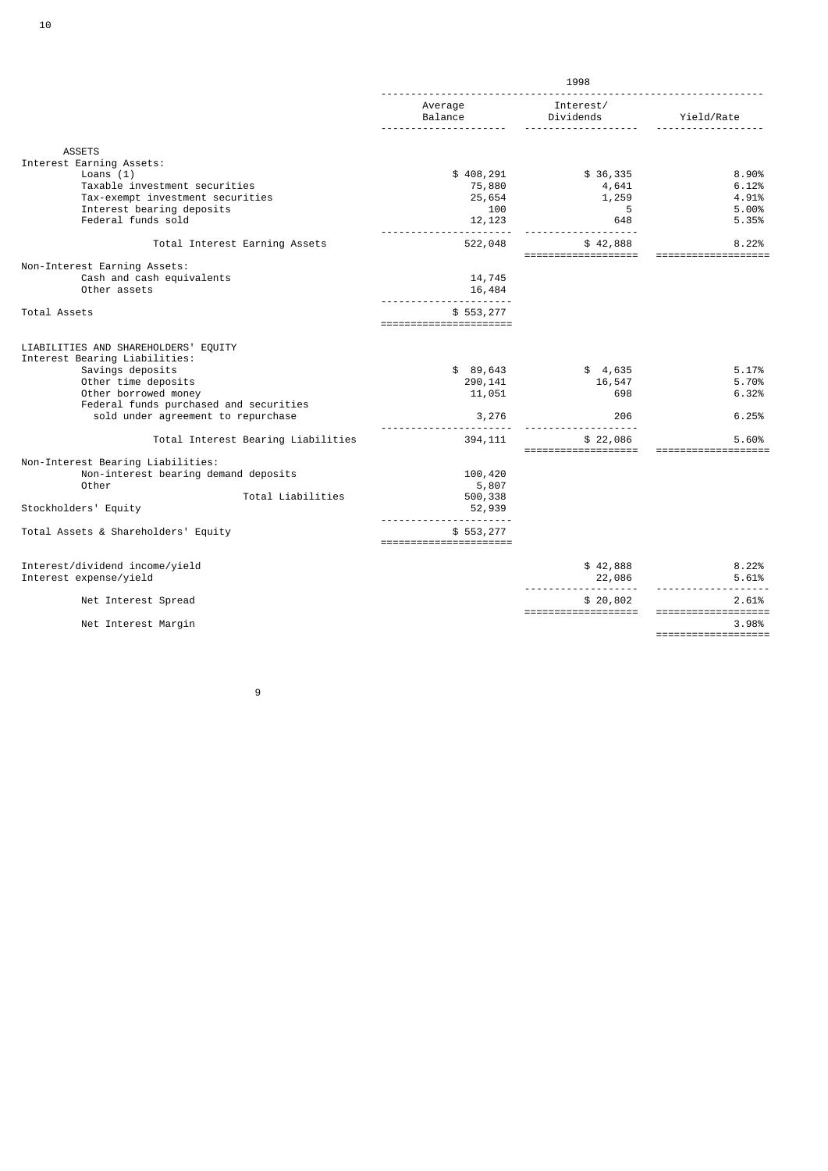|                                                                                                                                                                                                                          | 1998                                   |                                 |                                  |
|--------------------------------------------------------------------------------------------------------------------------------------------------------------------------------------------------------------------------|----------------------------------------|---------------------------------|----------------------------------|
|                                                                                                                                                                                                                          | Average<br>Balance                     | Interest/<br>Dividends          | Yield/Rate                       |
| <b>ASSETS</b>                                                                                                                                                                                                            |                                        |                                 |                                  |
| Interest Earning Assets:                                                                                                                                                                                                 |                                        |                                 |                                  |
| Loans $(1)$                                                                                                                                                                                                              | \$408,291                              | \$36,335                        | 8.90%                            |
| Taxable investment securities                                                                                                                                                                                            | 75,880                                 | 4,641                           | 6.12%                            |
| Tax-exempt investment securities                                                                                                                                                                                         | 25,654                                 | 1,259                           | 4.91%                            |
| Interest bearing deposits                                                                                                                                                                                                | 100                                    | 5                               | 5.00%                            |
| Federal funds sold                                                                                                                                                                                                       | 12, 123                                | 648                             | 5.35%                            |
| Total Interest Earning Assets                                                                                                                                                                                            | 522,048                                | \$42,888<br>==================  | 8.22%<br>===================     |
| Non-Interest Earning Assets:                                                                                                                                                                                             |                                        |                                 |                                  |
| Cash and cash equivalents                                                                                                                                                                                                | 14,745                                 |                                 |                                  |
| Other assets                                                                                                                                                                                                             | 16,484                                 |                                 |                                  |
| Total Assets                                                                                                                                                                                                             | \$553,277<br>======================    |                                 |                                  |
| LIABILITIES AND SHAREHOLDERS' EQUITY<br>Interest Bearing Liabilities:<br>Savings deposits<br>Other time deposits<br>Other borrowed money<br>Federal funds purchased and securities<br>sold under agreement to repurchase | \$89,643<br>290,141<br>11,051<br>3,276 | \$4,635<br>16,547<br>698<br>206 | 5.17%<br>5.70%<br>6.32%<br>6.25% |
| Total Interest Bearing Liabilities                                                                                                                                                                                       | 394,111                                | \$22,086<br>=================== | 5.60%<br>==================      |
| Non-Interest Bearing Liabilities:                                                                                                                                                                                        |                                        |                                 |                                  |
| Non-interest bearing demand deposits                                                                                                                                                                                     | 100,420                                |                                 |                                  |
| Other                                                                                                                                                                                                                    | 5,807                                  |                                 |                                  |
| Total Liabilities<br>Stockholders' Equity                                                                                                                                                                                | 500,338<br>52,939                      |                                 |                                  |
| Total Assets & Shareholders' Equity                                                                                                                                                                                      | \$553,277<br>=======================   |                                 |                                  |
| Interest/dividend income/yield                                                                                                                                                                                           |                                        | \$42,888                        | 8.22%                            |
| Interest expense/yield                                                                                                                                                                                                   |                                        | 22,086                          | 5.61%                            |
| Net Interest Spread                                                                                                                                                                                                      |                                        | \$20,802<br>=================== | 2.61%<br>===================     |
| Net Interest Margin                                                                                                                                                                                                      |                                        |                                 | 3.98%                            |
|                                                                                                                                                                                                                          |                                        |                                 | ===================              |

9 and 20 and 20 and 20 and 20 and 20 and 20 and 20 and 20 and 20 and 20 and 20 and 20 and 20 and 20 and 20 and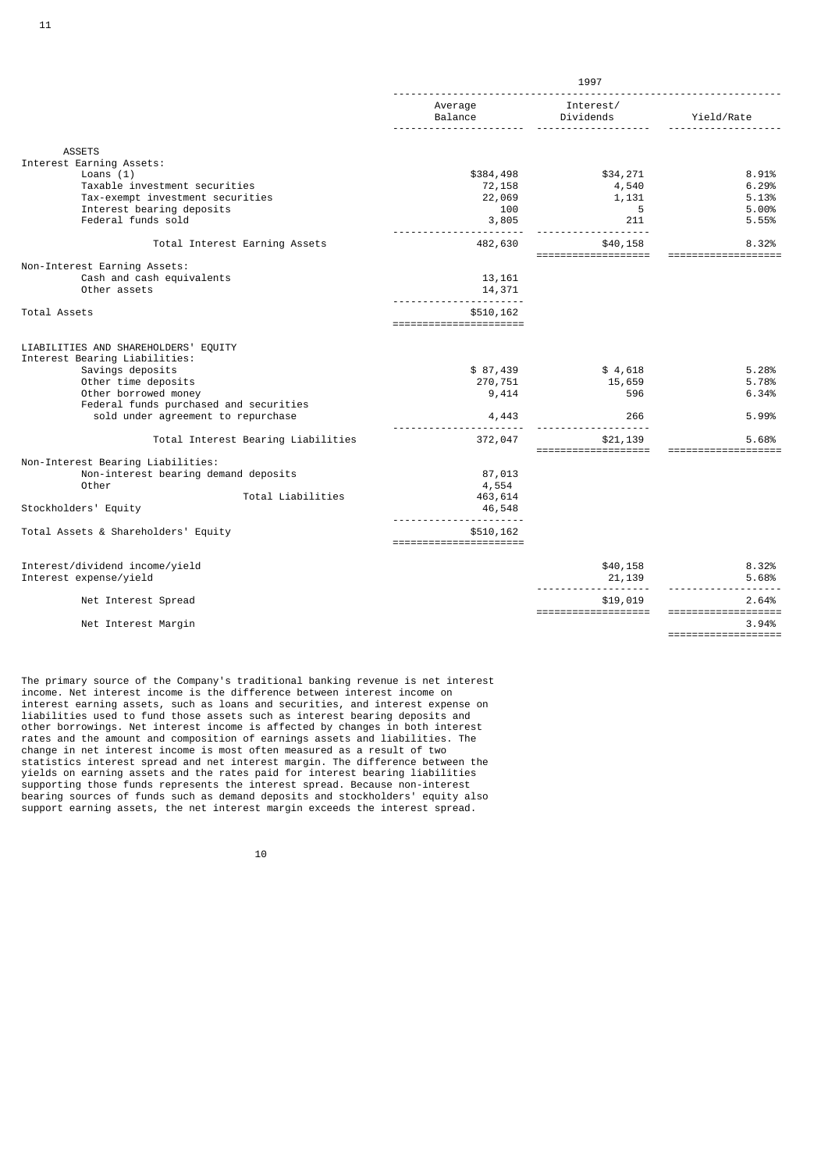|                                                                                                                                                                                                                          | 1997                                  |                                 |                                  |
|--------------------------------------------------------------------------------------------------------------------------------------------------------------------------------------------------------------------------|---------------------------------------|---------------------------------|----------------------------------|
|                                                                                                                                                                                                                          | Average<br>Balance                    | Interest/<br>Dividends          | Yield/Rate                       |
| <b>ASSETS</b>                                                                                                                                                                                                            |                                       |                                 |                                  |
| Interest Earning Assets:                                                                                                                                                                                                 |                                       |                                 |                                  |
| Loans $(1)$                                                                                                                                                                                                              | \$384,498                             | \$34,271                        | 8.91%                            |
| Taxable investment securities                                                                                                                                                                                            | 72,158                                | 4,540                           | 6.29%                            |
| Tax-exempt investment securities                                                                                                                                                                                         | 22,069                                | 1,131                           | 5.13%                            |
| Interest bearing deposits                                                                                                                                                                                                | 100                                   | 5                               | 5.00%                            |
| Federal funds sold                                                                                                                                                                                                       | 3,805                                 | 211                             | 5.55%                            |
| Total Interest Earning Assets                                                                                                                                                                                            | 482,630                               | \$40,158<br>=================== | 8.32%<br>=======                 |
| Non-Interest Earning Assets:                                                                                                                                                                                             |                                       |                                 |                                  |
| Cash and cash equivalents                                                                                                                                                                                                | 13,161                                |                                 |                                  |
| Other assets                                                                                                                                                                                                             | 14,371                                |                                 |                                  |
| Total Assets                                                                                                                                                                                                             | \$510,162<br>======================   |                                 |                                  |
| LIABILITIES AND SHAREHOLDERS' EQUITY<br>Interest Bearing Liabilities:<br>Savings deposits<br>Other time deposits<br>Other borrowed money<br>Federal funds purchased and securities<br>sold under agreement to repurchase | \$87,439<br>270,751<br>9,414<br>4,443 | \$4,618<br>15,659<br>596<br>266 | 5.28%<br>5.78%<br>6.34%<br>5.99% |
| Total Interest Bearing Liabilities                                                                                                                                                                                       | 372,047                               | \$21,139                        | 5.68%                            |
|                                                                                                                                                                                                                          |                                       | ===================             | ===================              |
| Non-Interest Bearing Liabilities:                                                                                                                                                                                        |                                       |                                 |                                  |
| Non-interest bearing demand deposits                                                                                                                                                                                     | 87,013                                |                                 |                                  |
| Other                                                                                                                                                                                                                    | 4,554                                 |                                 |                                  |
| Total Liabilities<br>Stockholders' Equity                                                                                                                                                                                | 463,614<br>46,548                     |                                 |                                  |
| Total Assets & Shareholders' Equity                                                                                                                                                                                      | \$510,162<br>======================   |                                 |                                  |
|                                                                                                                                                                                                                          |                                       |                                 |                                  |
| Interest/dividend income/yield<br>Interest expense/yield                                                                                                                                                                 |                                       | \$40,158                        | 8.32%<br>5.68%                   |
|                                                                                                                                                                                                                          |                                       | 21,139                          |                                  |
| Net Interest Spread                                                                                                                                                                                                      |                                       | \$19,019<br>=================== | 2.64%<br>===================     |
| Net Interest Margin                                                                                                                                                                                                      |                                       |                                 | 3.94%                            |
|                                                                                                                                                                                                                          |                                       |                                 | ===================              |

The primary source of the Company's traditional banking revenue is net interest income. Net interest income is the difference between interest income on interest earning assets, such as loans and securities, and interest expense on liabilities used to fund those assets such as interest bearing deposits and other borrowings. Net interest income is affected by changes in both interest rates and the amount and composition of earnings assets and liabilities. The change in net interest income is most often measured as a result of two statistics interest spread and net interest margin. The difference between the yields on earning assets and the rates paid for interest bearing liabilities supporting those funds represents the interest spread. Because non-interest bearing sources of funds such as demand deposits and stockholders' equity also support earning assets, the net interest margin exceeds the interest spread.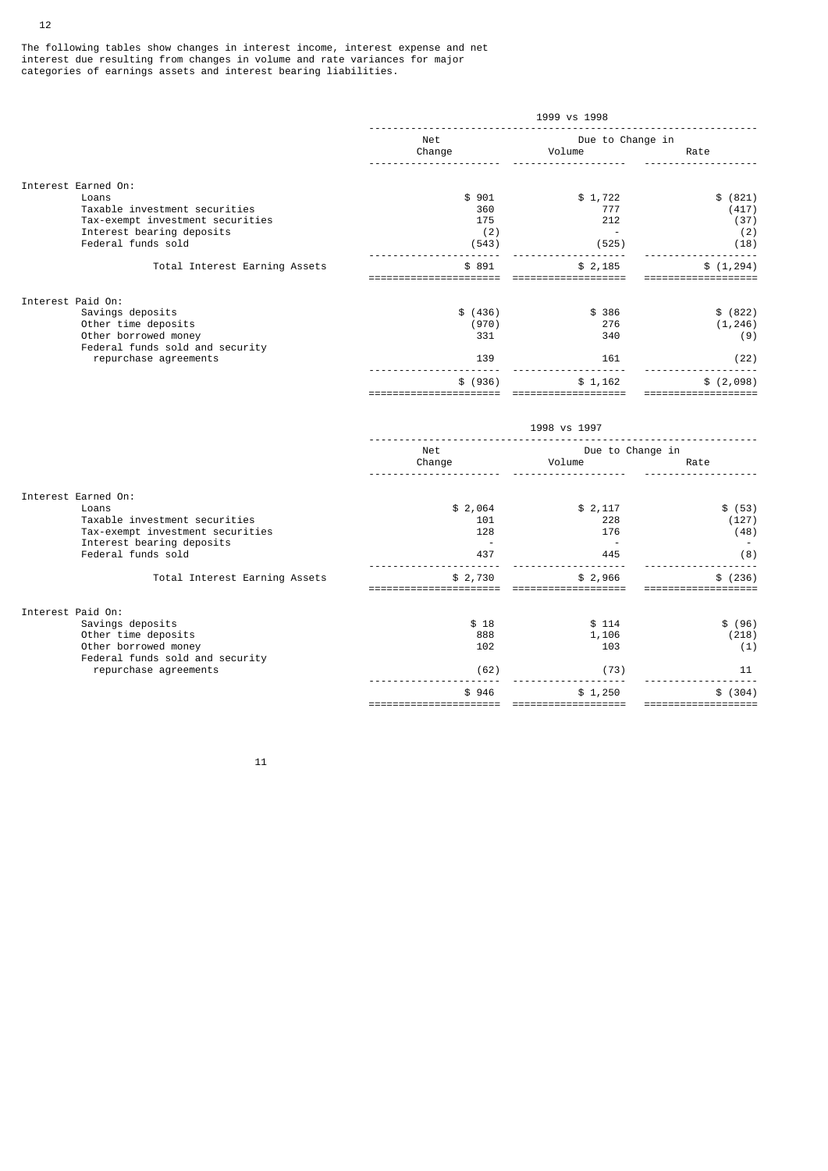The following tables show changes in interest income, interest expense and net interest due resulting from changes in volume and rate variances for major categories of earnings assets and interest bearing liabilities.

|                                                                                                                               | 1999 vs 1998                        |                                              |                                          |
|-------------------------------------------------------------------------------------------------------------------------------|-------------------------------------|----------------------------------------------|------------------------------------------|
|                                                                                                                               | Net<br>Change                       | Due to Change in<br>Volume                   | Rate                                     |
| Interest Earned On:                                                                                                           |                                     |                                              |                                          |
| Loans<br>Taxable investment securities<br>Tax-exempt investment securities<br>Interest bearing deposits<br>Federal funds sold | \$901<br>360<br>175<br>(2)<br>(543) | \$1,722<br>777<br>212<br>$\sim 100$<br>(525) | \$ (821)<br>(417)<br>(37)<br>(2)<br>(18) |
| Total Interest Earning Assets                                                                                                 | \$891<br>======================     | .<br>\$2,185<br>===================          | \$(1, 294)<br>===================        |
| Interest Paid On:                                                                                                             |                                     |                                              |                                          |
| Savings deposits<br>Other time deposits<br>Other borrowed money<br>Federal funds sold and security                            | \$ (436)<br>(970)<br>331            | \$386<br>276<br>340                          | \$ (822)<br>(1, 246)<br>(9)              |
| repurchase agreements                                                                                                         | 139                                 | 161                                          | (22)                                     |
|                                                                                                                               | \$ (936)<br>======================= | \$1,162<br>===================               | \$(2,098)<br>====================        |
|                                                                                                                               |                                     | 1998 vs 1997                                 |                                          |
|                                                                                                                               | Net<br>Change                       | Due to Change in<br>Volume                   | Rate                                     |
| Interest Earned On:                                                                                                           |                                     |                                              |                                          |
| Loans<br>Taxable investment securities<br>Tax-exempt investment securities<br>Interest bearing deposits                       | \$2,064<br>101<br>128<br>$\sim$     | \$2,117<br>228<br>176<br>$\sim 100$          | \$ (53)<br>(127)<br>(48)                 |
| Federal funds sold                                                                                                            | 437                                 | 445<br>-----                                 | (8)                                      |
| Total Interest Earning Assets                                                                                                 | \$2,730<br>=============            | \$2,966<br>=============                     | \$ (236)                                 |
| Interest Paid On:                                                                                                             |                                     |                                              |                                          |
| Savings deposits<br>Other time deposits<br>Other borrowed money<br>Federal funds sold and security                            | \$18<br>888<br>102                  | \$114<br>1,106<br>103                        | \$ (96)<br>(218)<br>(1)                  |
| repurchase agreements                                                                                                         | (62)                                | (73)                                         | 11                                       |
|                                                                                                                               | \$946<br>==============             | \$1,250<br>$=$ ====================          | \$ (304)                                 |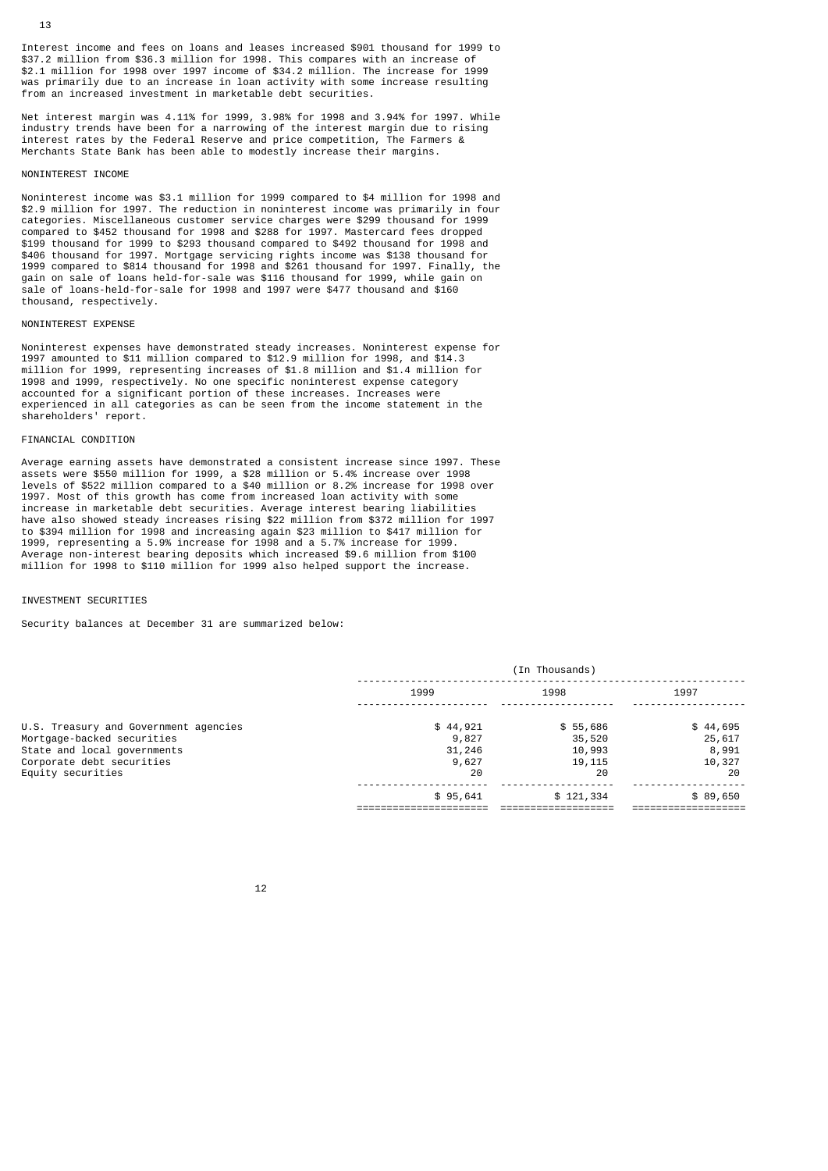Interest income and fees on loans and leases increased \$901 thousand for 1999 to \$37.2 million from \$36.3 million for 1998. This compares with an increase of \$2.1 million for 1998 over 1997 income of \$34.2 million. The increase for 1999 was primarily due to an increase in loan activity with some increase resulting from an increased investment in marketable debt securities.

Net interest margin was 4.11% for 1999, 3.98% for 1998 and 3.94% for 1997. While industry trends have been for a narrowing of the interest margin due to rising interest rates by the Federal Reserve and price competition, The Farmers & Merchants State Bank has been able to modestly increase their margins.

## NONINTEREST INCOME

Noninterest income was \$3.1 million for 1999 compared to \$4 million for 1998 and \$2.9 million for 1997. The reduction in noninterest income was primarily in four categories. Miscellaneous customer service charges were \$299 thousand for 1999 compared to \$452 thousand for 1998 and \$288 for 1997. Mastercard fees dropped \$199 thousand for 1999 to \$293 thousand compared to \$492 thousand for 1998 and \$406 thousand for 1997. Mortgage servicing rights income was \$138 thousand for 1999 compared to \$814 thousand for 1998 and \$261 thousand for 1997. Finally, the gain on sale of loans held-for-sale was \$116 thousand for 1999, while gain on sale of loans-held-for-sale for 1998 and 1997 were \$477 thousand and \$160 thousand, respectively.

### NONINTEREST EXPENSE

Noninterest expenses have demonstrated steady increases. Noninterest expense for 1997 amounted to \$11 million compared to \$12.9 million for 1998, and \$14.3 million for 1999, representing increases of \$1.8 million and \$1.4 million for 1998 and 1999, respectively. No one specific noninterest expense category accounted for a significant portion of these increases. Increases were experienced in all categories as can be seen from the income statement in the shareholders' report.

### FINANCIAL CONDITION

Average earning assets have demonstrated a consistent increase since 1997. These assets were \$550 million for 1999, a \$28 million or 5.4% increase over 1998 levels of \$522 million compared to a \$40 million or 8.2% increase for 1998 over 1997. Most of this growth has come from increased loan activity with some increase in marketable debt securities. Average interest bearing liabilities have also showed steady increases rising \$22 million from \$372 million for 1997 to \$394 million for 1998 and increasing again \$23 million to \$417 million for 1999, representing a 5.9% increase for 1998 and a 5.7% increase for 1999. Average non-interest bearing deposits which increased \$9.6 million from \$100 million for 1998 to \$110 million for 1999 also helped support the increase.

## INVESTMENT SECURITIES

Security balances at December 31 are summarized below:

|                                                                     | (In Thousands)    |                    |                    |
|---------------------------------------------------------------------|-------------------|--------------------|--------------------|
|                                                                     | 1999              | 1998               | 1997               |
| U.S. Treasury and Government agencies<br>Mortgage-backed securities | \$44,921<br>9,827 | \$55,686<br>35,520 | \$44,695<br>25,617 |
| State and local governments<br>Corporate debt securities            | 31,246<br>9,627   | 10,993<br>19,115   | 8,991<br>10,327    |
| Equity securities                                                   | 20                | 20                 | 20                 |
|                                                                     | \$95,641          | \$121,334          | \$89,650           |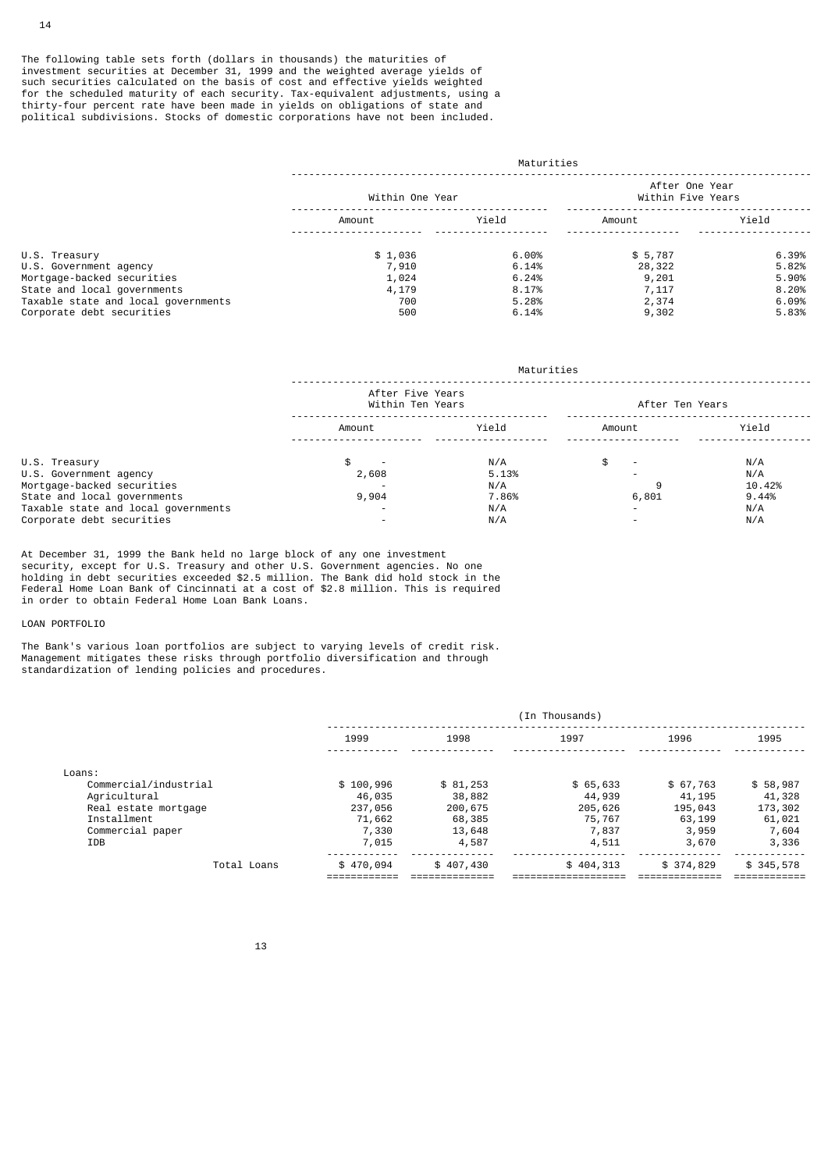The following table sets forth (dollars in thousands) the maturities of investment securities at December 31, 1999 and the weighted average yields of such securities calculated on the basis of cost and effective yields weighted for the scheduled maturity of each security. Tax-equivalent adjustments, using a thirty-four percent rate have been made in yields on obligations of state and political subdivisions. Stocks of domestic corporations have not been included.

|                                     | Maturities      |          |                                     |       |
|-------------------------------------|-----------------|----------|-------------------------------------|-------|
|                                     | Within One Year |          | After One Year<br>Within Five Years |       |
|                                     | Amount          | Yield    | Amount                              | Yield |
| U.S. Treasury                       | \$1,036         | $6.00\%$ | \$5,787                             | 6.39% |
| U.S. Government agency              | 7,910           | 6.14%    | 28,322                              | 5.82% |
| Mortgage-backed securities          | 1,024           | 6.24%    | 9,201                               | 5.90% |
| State and local governments         | 4,179           | 8.17%    | 7,117                               | 8.20% |
| Taxable state and local governments | 700             | 5.28%    | 2,374                               | 6.09% |
| Corporate debt securities           | 500             | 6.14%    | 9,302                               | 5.83% |

|                                     | Maturities                           |       |                 |        |
|-------------------------------------|--------------------------------------|-------|-----------------|--------|
|                                     | After Five Years<br>Within Ten Years |       | After Ten Years |        |
|                                     | Amount                               | Yield | Amount          | Yield  |
| U.S. Treasury                       |                                      | N/A   | \$.             | N/A    |
| U.S. Government agency              | 2,608                                | 5.13% |                 | N/A    |
| Mortgage-backed securities          |                                      | N/A   |                 | 10.42% |
| State and local governments         | 9,904                                | 7.86% | 6,801           | 9.44%  |
| Taxable state and local governments |                                      | N/A   |                 | N/A    |
| Corporate debt securities           |                                      | N/A   |                 | N/A    |

At December 31, 1999 the Bank held no large block of any one investment security, except for U.S. Treasury and other U.S. Government agencies. No one holding in debt securities exceeded \$2.5 million. The Bank did hold stock in the Federal Home Loan Bank of Cincinnati at a cost of \$2.8 million. This is required in order to obtain Federal Home Loan Bank Loans.

### LOAN PORTFOLIO

The Bank's various loan portfolios are subject to varying levels of credit risk. Management mitigates these risks through portfolio diversification and through standardization of lending policies and procedures.

|                       | (In Thousands) |           |           |           |           |
|-----------------------|----------------|-----------|-----------|-----------|-----------|
|                       | 1999           | 1998      | 1997      | 1996      | 1995      |
| Loans:                |                |           |           |           |           |
| Commercial/industrial | \$100,996      | \$81,253  | \$65,633  | \$67,763  | \$58,987  |
| Agricultural          | 46,035         | 38,882    | 44,939    | 41,195    | 41,328    |
| Real estate mortgage  | 237,056        | 200,675   | 205,626   | 195,043   | 173,302   |
| Installment           | 71,662         | 68,385    | 75,767    | 63,199    | 61,021    |
| Commercial paper      | 7,330          | 13,648    | 7,837     | 3,959     | 7,604     |
| <b>IDB</b>            | 7,015          | 4,587     | 4,511     | 3,670     | 3,336     |
| Total Loans           | \$470,094      | \$407,430 | \$404,313 | \$374,829 | \$345,578 |
|                       |                |           |           |           |           |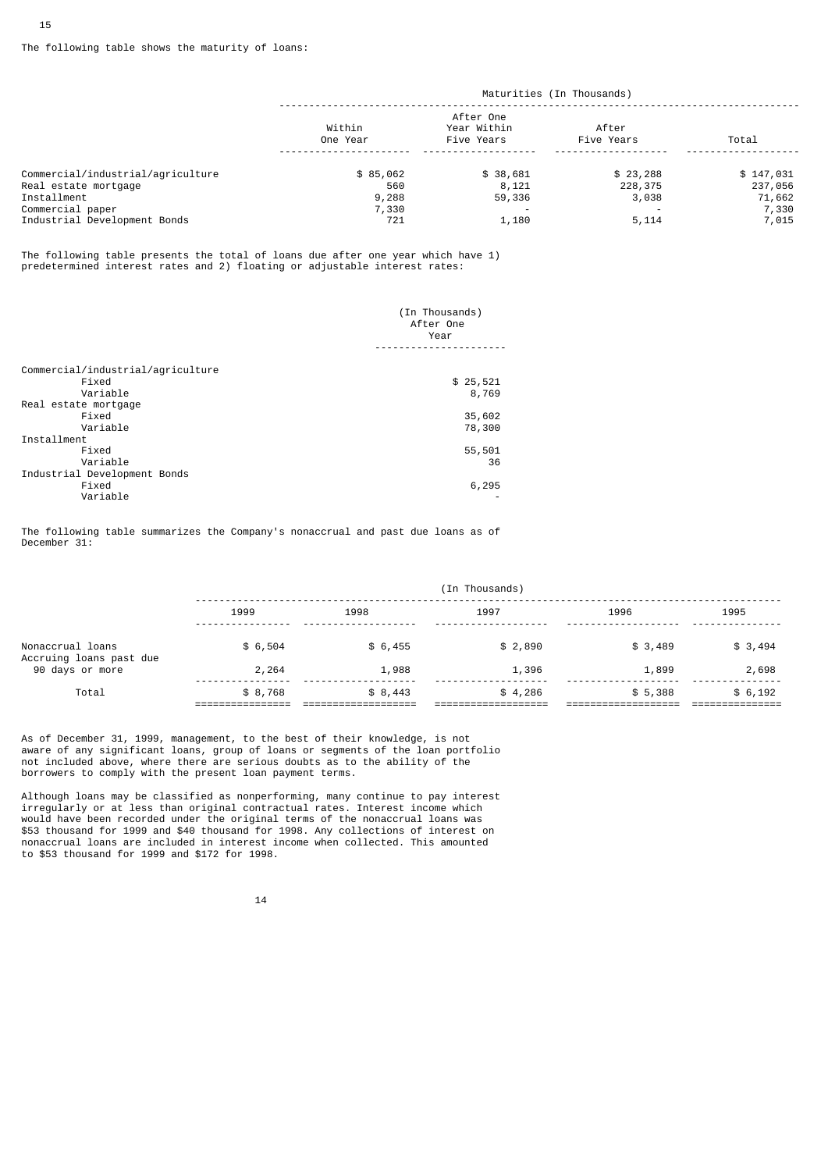## The following table shows the maturity of loans:

|                                   | Maturities (In Thousands) |                                        |                     |           |
|-----------------------------------|---------------------------|----------------------------------------|---------------------|-----------|
|                                   | Within<br>One Year        | After One<br>Year Within<br>Five Years | After<br>Five Years | Total     |
| Commercial/industrial/agriculture | \$85,062                  | \$38,681                               | \$23,288            | \$147,031 |
| Real estate mortgage              | 560                       | 8,121                                  | 228,375             | 237,056   |
| Installment                       | 9,288                     | 59,336                                 | 3,038               | 71,662    |
| Commercial paper                  | 7,330                     |                                        |                     | 7,330     |
| Industrial Development Bonds      | 721                       | 1,180                                  | 5,114               | 7,015     |

The following table presents the total of loans due after one year which have 1) predetermined interest rates and 2) floating or adjustable interest rates:

|                                   | (In Thousands) |  |
|-----------------------------------|----------------|--|
|                                   | After One      |  |
|                                   | Year           |  |
|                                   |                |  |
| Commercial/industrial/agriculture |                |  |
| Fixed                             | \$25,521       |  |
| Variable                          | 8,769          |  |
| Real estate mortgage              |                |  |
| Fixed                             | 35,602         |  |
| Variable                          | 78,300         |  |
| Installment                       |                |  |
| Fixed                             | 55,501         |  |
| Variable                          | 36             |  |
| Industrial Development Bonds      |                |  |
| Fixed                             | 6,295          |  |
| Variable                          |                |  |
|                                   |                |  |

The following table summarizes the Company's nonaccrual and past due loans as of December 31:

| 1999    | 1998    | 1997    | 1996    | 1995    |
|---------|---------|---------|---------|---------|
| \$6,504 | \$6,455 | \$2,890 | \$3,489 | \$3,494 |
| 2,264   | 1,988   | 1,396   | 1,899   | 2,698   |
| \$8,768 | \$8,443 | \$4,286 | \$5,388 | \$6,192 |
|         |         |         |         |         |

As of December 31, 1999, management, to the best of their knowledge, is not aware of any significant loans, group of loans or segments of the loan portfolio not included above, where there are serious doubts as to the ability of the borrowers to comply with the present loan payment terms.

Although loans may be classified as nonperforming, many continue to pay interest irregularly or at less than original contractual rates. Interest income which would have been recorded under the original terms of the nonaccrual loans was \$53 thousand for 1999 and \$40 thousand for 1998. Any collections of interest on nonaccrual loans are included in interest income when collected. This amounted to \$53 thousand for 1999 and \$172 for 1998.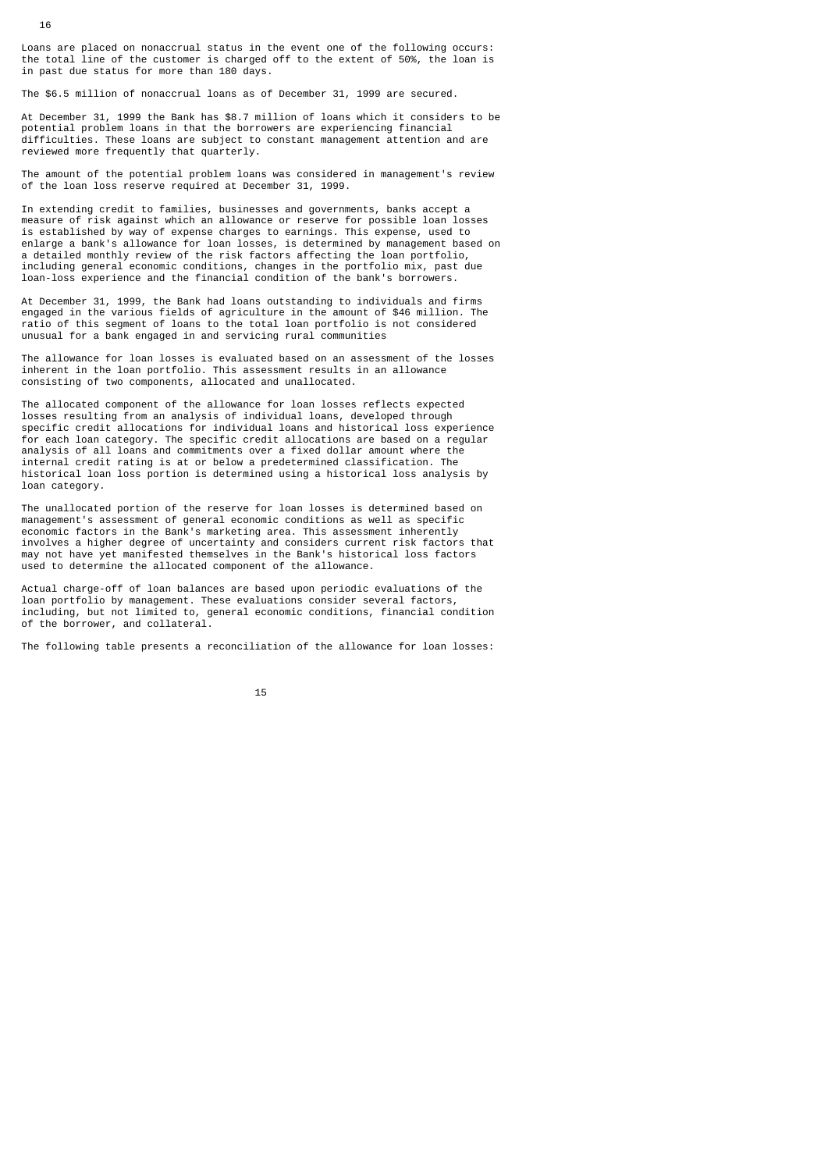Loans are placed on nonaccrual status in the event one of the following occurs: the total line of the customer is charged off to the extent of 50%, the loan is in past due status for more than 180 days.

The \$6.5 million of nonaccrual loans as of December 31, 1999 are secured.

At December 31, 1999 the Bank has \$8.7 million of loans which it considers to be potential problem loans in that the borrowers are experiencing financial difficulties. These loans are subject to constant management attention and are reviewed more frequently that quarterly.

The amount of the potential problem loans was considered in management's review of the loan loss reserve required at December 31, 1999.

In extending credit to families, businesses and governments, banks accept a measure of risk against which an allowance or reserve for possible loan losses is established by way of expense charges to earnings. This expense, used to enlarge a bank's allowance for loan losses, is determined by management based on a detailed monthly review of the risk factors affecting the loan portfolio, including general economic conditions, changes in the portfolio mix, past due loan-loss experience and the financial condition of the bank's borrowers.

At December 31, 1999, the Bank had loans outstanding to individuals and firms engaged in the various fields of agriculture in the amount of \$46 million. The ratio of this segment of loans to the total loan portfolio is not considered unusual for a bank engaged in and servicing rural communities

The allowance for loan losses is evaluated based on an assessment of the losses inherent in the loan portfolio. This assessment results in an allowance consisting of two components, allocated and unallocated.

The allocated component of the allowance for loan losses reflects expected losses resulting from an analysis of individual loans, developed through specific credit allocations for individual loans and historical loss experience for each loan category. The specific credit allocations are based on a regular analysis of all loans and commitments over a fixed dollar amount where the internal credit rating is at or below a predetermined classification. The historical loan loss portion is determined using a historical loss analysis by loan category.

The unallocated portion of the reserve for loan losses is determined based on management's assessment of general economic conditions as well as specific economic factors in the Bank's marketing area. This assessment inherently involves a higher degree of uncertainty and considers current risk factors that may not have yet manifested themselves in the Bank's historical loss factors used to determine the allocated component of the allowance.

Actual charge-off of loan balances are based upon periodic evaluations of the loan portfolio by management. These evaluations consider several factors, including, but not limited to, general economic conditions, financial condition of the borrower, and collateral.

The following table presents a reconciliation of the allowance for loan losses: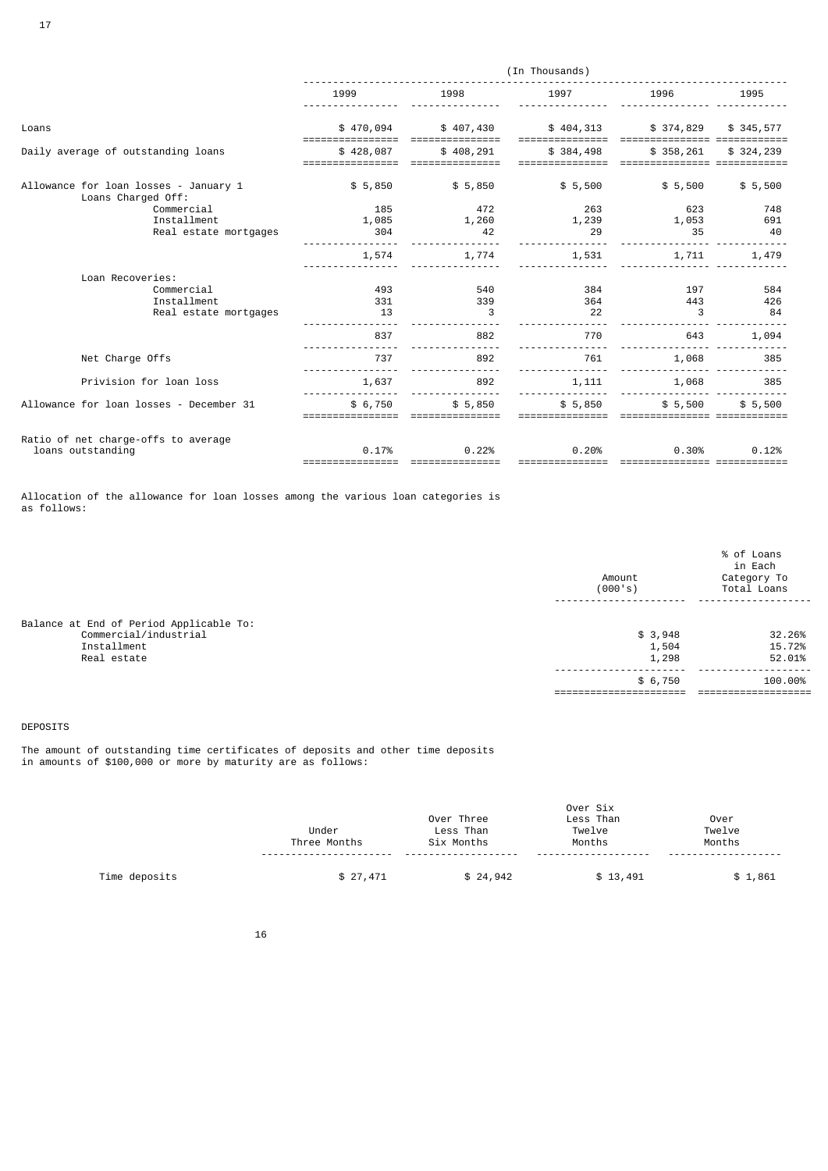|                                                             | (In Thousands) |           |           |           |           |
|-------------------------------------------------------------|----------------|-----------|-----------|-----------|-----------|
|                                                             | 1999           | 1998      | 1997      | 1996      | 1995      |
| Loans                                                       | \$470,094      | \$407,430 | \$404,313 | \$374,829 | \$345,577 |
| Daily average of outstanding loans                          | \$428,087      | \$408,291 | \$384,498 | \$358,261 | \$324,239 |
| Allowance for loan losses - January 1<br>Loans Charged Off: | \$5,850        | \$5,850   | \$5,500   | \$5,500   | \$5,500   |
| Commercial                                                  | 185            | 472       | 263       | 623       | 748       |
| Installment                                                 | 1,085          | 1,260     | 1,239     | 1,053     | 691       |
| Real estate mortgages                                       | 304            | 42        | 29        | 35        | 40        |
|                                                             | 1,574          | 1,774     | 1,531     | 1,711     | 1,479     |
| Loan Recoveries:                                            |                |           |           |           |           |
| Commercial                                                  | 493            | 540       | 384       | 197       | 584       |
| Installment                                                 | 331            | 339       | 364       | 443       | 426       |
| Real estate mortgages                                       | 13             | 3         | 22        | 3         | 84        |
|                                                             | 837            | 882       | 770       | 643       | 1,094     |
| Net Charge Offs                                             | 737            | 892       | 761       | 1,068     | 385       |
| Privision for loan loss                                     | 1,637          | 892       | 1,111     | 1,068     | 385       |
| Allowance for loan losses - December 31                     | \$6,750        | \$5,850   | \$5,850   | \$5,500   | \$5,500   |
| Ratio of net charge-offs to average                         |                |           |           |           |           |
| loans outstanding                                           | 0.17%          | 0.22%     | 0.20%     | 0.30%     | 0.12%     |
|                                                             |                |           |           |           |           |

Allocation of the allowance for loan losses among the various loan categories is as follows:

|                                                                                                | Amount<br>(000's)         | % of Loans<br>in Each<br>Category To<br>Total Loans |
|------------------------------------------------------------------------------------------------|---------------------------|-----------------------------------------------------|
| Balance at End of Period Applicable To:<br>Commercial/industrial<br>Installment<br>Real estate | \$3,948<br>1,504<br>1,298 | 32.26%<br>15.72%<br>52.01%                          |
|                                                                                                | \$6,750                   | 100.00%                                             |

## DEPOSITS

The amount of outstanding time certificates of deposits and other time deposits in amounts of \$100,000 or more by maturity are as follows:

|               | Under<br>Three Months | Over Three<br>Less Than<br>Six Months<br>---- | Over Six<br>Less Than<br>Twelve<br>Months<br>- - - - - - - - - - | Over<br>Twelve<br>Months |
|---------------|-----------------------|-----------------------------------------------|------------------------------------------------------------------|--------------------------|
| Time deposits | \$27,471              | \$24,942                                      | \$13,491                                                         | \$1,861                  |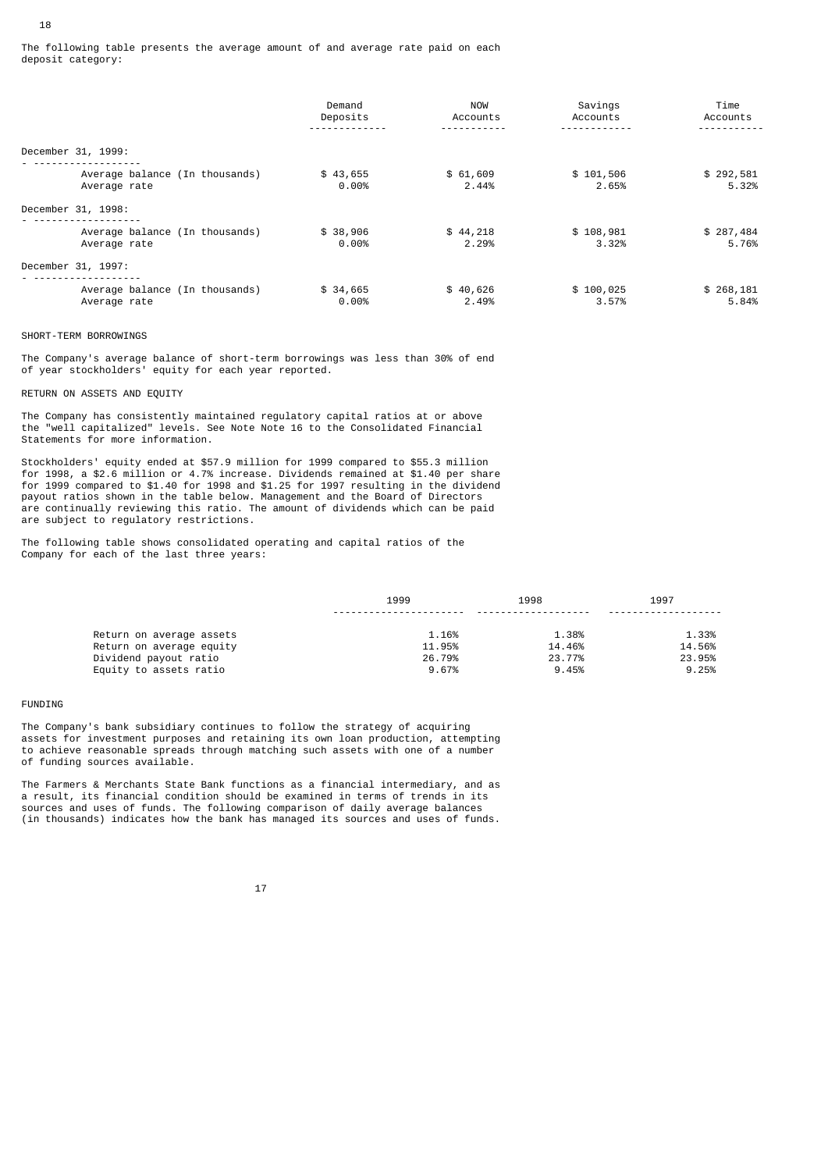|                                                     | Demand<br>Deposits   | NOW<br>Accounts   | Savings<br>Accounts | Time<br>Accounts   |
|-----------------------------------------------------|----------------------|-------------------|---------------------|--------------------|
| December 31, 1999:                                  |                      |                   |                     |                    |
| Average balance (In thousands)<br>Average rate      | \$43,655<br>$0.00\%$ | \$61,609<br>2.44% | \$101,506<br>2.65%  | \$292,581<br>5.32% |
| December 31, 1998:                                  |                      |                   |                     |                    |
| .<br>Average balance (In thousands)<br>Average rate | \$38,906<br>$0.00\%$ | \$44,218<br>2.29% | \$108,981<br>3.32%  | \$287,484<br>5.76% |
| December 31, 1997:                                  |                      |                   |                     |                    |
| Average balance (In thousands)<br>Average rate      | \$34,665<br>$0.00\%$ | \$40,626<br>2.49% | \$100,025<br>3.57%  | \$268,181<br>5.84% |

## SHORT-TERM BORROWINGS

18

The Company's average balance of short-term borrowings was less than 30% of end of year stockholders' equity for each year reported.

RETURN ON ASSETS AND EQUITY

The Company has consistently maintained regulatory capital ratios at or above the "well capitalized" levels. See Note Note 16 to the Consolidated Financial Statements for more information.

Stockholders' equity ended at \$57.9 million for 1999 compared to \$55.3 million for 1998, a \$2.6 million or 4.7% increase. Dividends remained at \$1.40 per share for 1999 compared to \$1.40 for 1998 and \$1.25 for 1997 resulting in the dividend payout ratios shown in the table below. Management and the Board of Directors are continually reviewing this ratio. The amount of dividends which can be paid are subject to regulatory restrictions.

The following table shows consolidated operating and capital ratios of the Company for each of the last three years:

|                          | 1999   | 1998   | 1997   |
|--------------------------|--------|--------|--------|
|                          |        |        |        |
| Return on average assets | 1.16%  | 1.38%  | 1.33%  |
| Return on average equity | 11.95% | 14.46% | 14.56% |
| Dividend payout ratio    | 26.79% | 23.77% | 23.95% |
| Equity to assets ratio   | 9.67%  | 9.45%  | 9.25%  |

#### **FUNDTNG**

The Company's bank subsidiary continues to follow the strategy of acquiring assets for investment purposes and retaining its own loan production, attempting to achieve reasonable spreads through matching such assets with one of a number of funding sources available.

The Farmers & Merchants State Bank functions as a financial intermediary, and as a result, its financial condition should be examined in terms of trends in its sources and uses of funds. The following comparison of daily average balances (in thousands) indicates how the bank has managed its sources and uses of funds.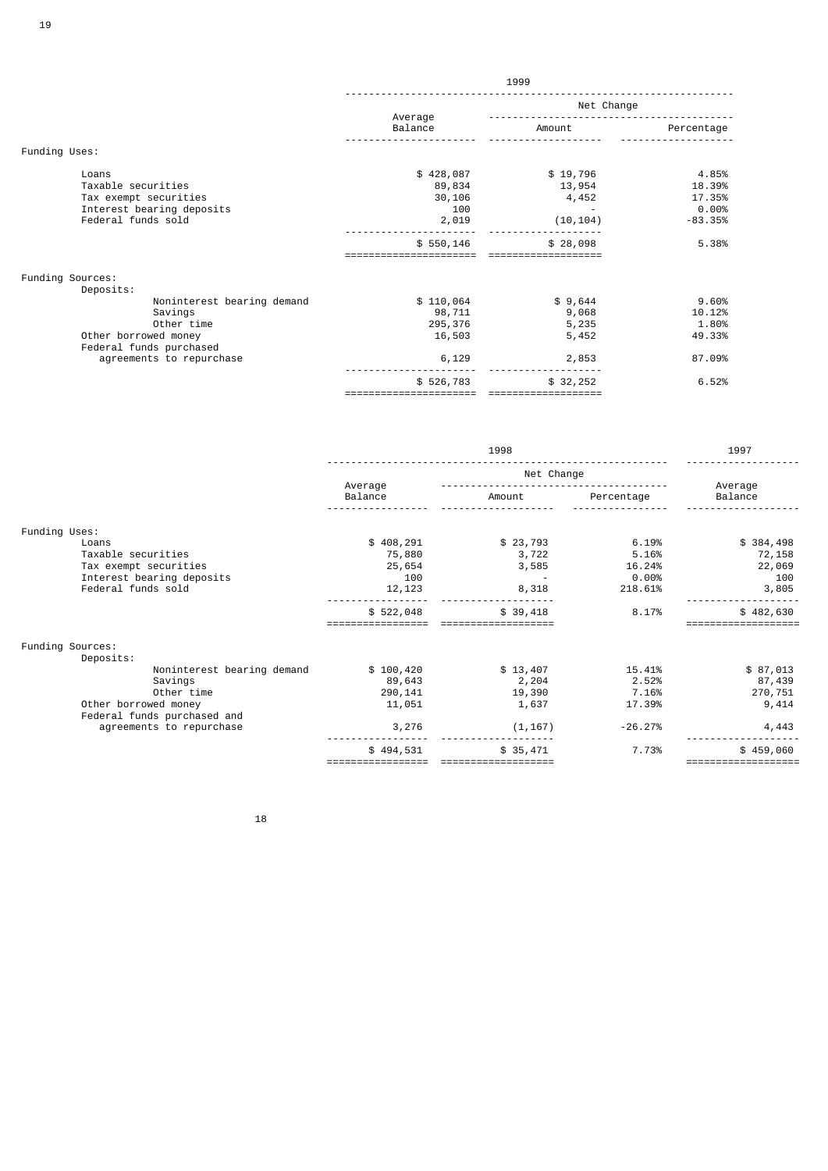|                                                                                                         | 1999                                                        |                                                      |                                                          |  |  |
|---------------------------------------------------------------------------------------------------------|-------------------------------------------------------------|------------------------------------------------------|----------------------------------------------------------|--|--|
|                                                                                                         |                                                             | Net Change                                           |                                                          |  |  |
|                                                                                                         | Average<br>Balance                                          | Amount                                               | Percentage                                               |  |  |
| Funding Uses:                                                                                           |                                                             |                                                      |                                                          |  |  |
| Loans<br>Taxable securities<br>Tax exempt securities<br>Interest bearing deposits<br>Federal funds sold | \$428,087<br>89,834<br>30,106<br>100<br>2,019<br>\$550, 146 | \$19,796<br>13,954<br>4,452<br>(10, 104)<br>\$28,098 | 4.85%<br>18.39%<br>17.35%<br>0.00%<br>$-83.35%$<br>5.38% |  |  |
| Funding Sources:<br>Deposits:<br>Noninterest bearing demand                                             | \$110,064                                                   | \$9,644                                              | 9.60%                                                    |  |  |
| Savings<br>Other time<br>Other borrowed money<br>Federal funds purchased                                | 98,711<br>295,376<br>16,503                                 | 9,068<br>5,235<br>5,452                              | 10.12%<br>1.80%<br>49.33%                                |  |  |
| agreements to repurchase                                                                                | 6,129                                                       | 2,853                                                | 87.09%                                                   |  |  |
|                                                                                                         | \$526,783                                                   | \$32,252                                             | 6.52%                                                    |  |  |

|                             |                    | 1998       |            | 1997               |
|-----------------------------|--------------------|------------|------------|--------------------|
|                             |                    | Net Change |            |                    |
|                             | Average<br>Balance | Amount     | Percentage | Average<br>Balance |
|                             |                    |            |            |                    |
| Funding Uses:               |                    |            |            |                    |
| Loans                       | \$408,291          | \$23,793   | 6.19%      | \$384,498          |
| Taxable securities          | 75,880             | 3,722      | 5.16%      | 72,158             |
| Tax exempt securities       | 25,654             | 3,585      | 16.24%     | 22,069             |
| Interest bearing deposits   | 100                |            | $0.00\%$   | 100                |
| Federal funds sold          | 12,123             | 8,318      | 218.61%    | 3,805              |
|                             | \$522,048          | \$39,418   | 8.17%      | \$482,630          |
|                             |                    |            |            |                    |
| Funding Sources:            |                    |            |            |                    |
| Deposits:                   |                    |            |            |                    |
| Noninterest bearing demand  | \$100,420          | \$13,407   | 15.41%     | \$87,013           |
| Savings                     | 89,643             | 2,204      | 2.52%      | 87,439             |
| Other time                  | 290, 141           | 19,390     | 7.16%      | 270,751            |
| Other borrowed money        | 11,051             | 1,637      | 17.39%     | 9,414              |
| Federal funds purchased and |                    |            |            |                    |
| agreements to repurchase    | 3,276              | (1, 167)   | $-26.27%$  | 4,443              |
|                             | \$494,531          | \$35,471   | 7.73%      | \$459,060          |
|                             |                    |            |            |                    |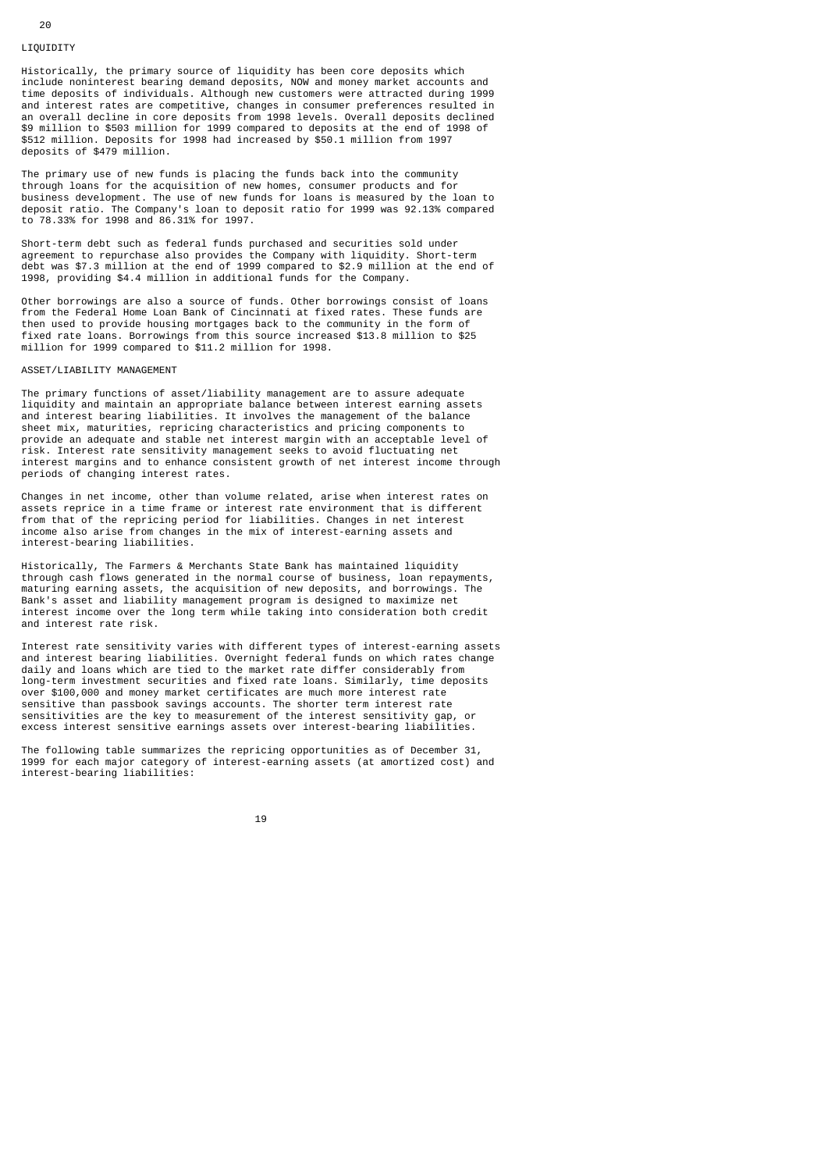#### LIQUIDITY

20

Historically, the primary source of liquidity has been core deposits which include noninterest bearing demand deposits, NOW and money market accounts and time deposits of individuals. Although new customers were attracted during 1999 and interest rates are competitive, changes in consumer preferences resulted in an overall decline in core deposits from 1998 levels. Overall deposits declined \$9 million to \$503 million for 1999 compared to deposits at the end of 1998 of \$512 million. Deposits for 1998 had increased by \$50.1 million from 1997 deposits of \$479 million.

The primary use of new funds is placing the funds back into the community through loans for the acquisition of new homes, consumer products and for business development. The use of new funds for loans is measured by the loan to deposit ratio. The Company's loan to deposit ratio for 1999 was 92.13% compared to 78.33% for 1998 and 86.31% for 1997.

Short-term debt such as federal funds purchased and securities sold under agreement to repurchase also provides the Company with liquidity. Short-term debt was \$7.3 million at the end of 1999 compared to \$2.9 million at the end of 1998, providing \$4.4 million in additional funds for the Company.

Other borrowings are also a source of funds. Other borrowings consist of loans from the Federal Home Loan Bank of Cincinnati at fixed rates. These funds are then used to provide housing mortgages back to the community in the form of fixed rate loans. Borrowings from this source increased \$13.8 million to \$25 million for 1999 compared to \$11.2 million for 1998.

#### ASSET/LIABILITY MANAGEMENT

The primary functions of asset/liability management are to assure adequate liquidity and maintain an appropriate balance between interest earning assets and interest bearing liabilities. It involves the management of the balance sheet mix, maturities, repricing characteristics and pricing components to provide an adequate and stable net interest margin with an acceptable level of risk. Interest rate sensitivity management seeks to avoid fluctuating net interest margins and to enhance consistent growth of net interest income through periods of changing interest rates.

Changes in net income, other than volume related, arise when interest rates on assets reprice in a time frame or interest rate environment that is different from that of the repricing period for liabilities. Changes in net interest income also arise from changes in the mix of interest-earning assets and interest-bearing liabilities.

Historically, The Farmers & Merchants State Bank has maintained liquidity through cash flows generated in the normal course of business, loan repayments, maturing earning assets, the acquisition of new deposits, and borrowings. The Bank's asset and liability management program is designed to maximize net interest income over the long term while taking into consideration both credit and interest rate risk.

Interest rate sensitivity varies with different types of interest-earning assets and interest bearing liabilities. Overnight federal funds on which rates change daily and loans which are tied to the market rate differ considerably from long-term investment securities and fixed rate loans. Similarly, time deposits over \$100,000 and money market certificates are much more interest rate sensitive than passbook savings accounts. The shorter term interest rate sensitivities are the key to measurement of the interest sensitivity gap, or excess interest sensitive earnings assets over interest-bearing liabilities.

The following table summarizes the repricing opportunities as of December 31, 1999 for each major category of interest-earning assets (at amortized cost) and interest-bearing liabilities: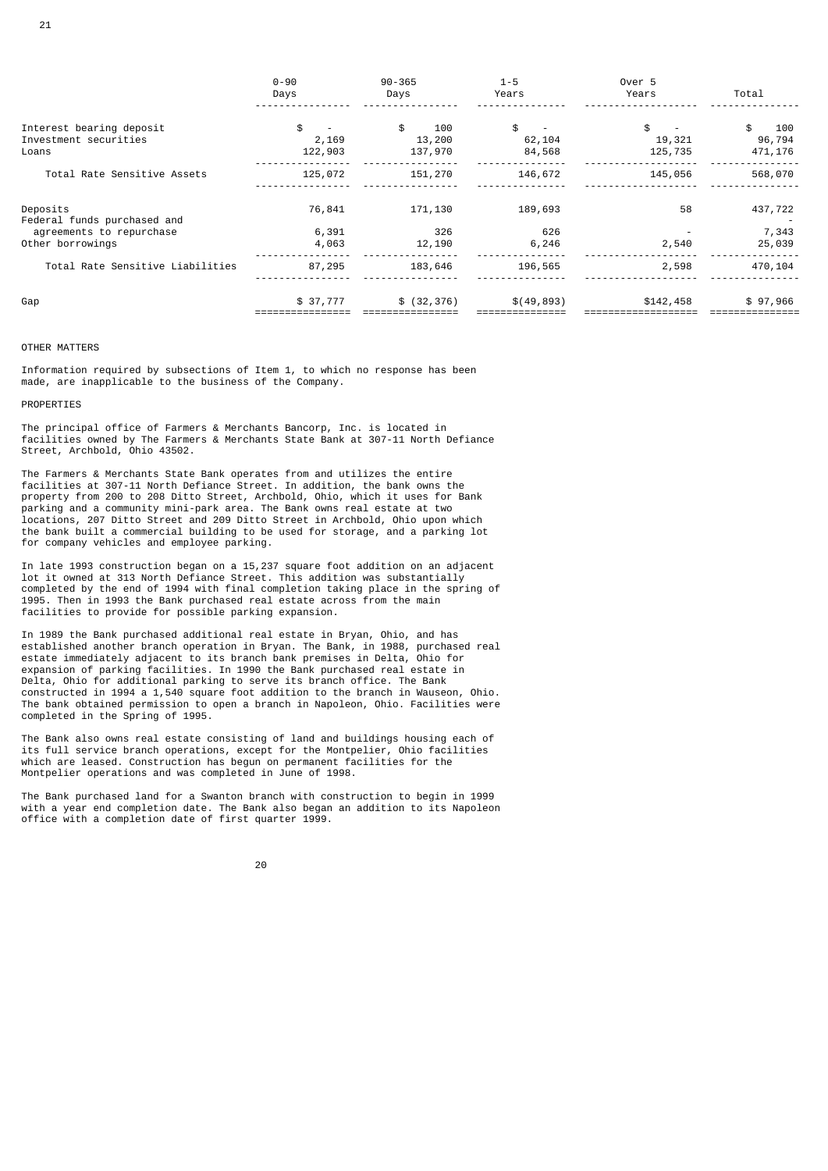|                                              | $0 - 90$<br>Days | $90 - 365$<br>Days | $1 - 5$<br>Years | Over 5<br>Years   | Total             |
|----------------------------------------------|------------------|--------------------|------------------|-------------------|-------------------|
| Interest bearing deposit                     | \$               | \$<br>100          | \$               | \$                | \$<br>100         |
| Investment securities<br>Loans               | 2,169<br>122,903 | 13,200<br>137,970  | 62,104<br>84,568 | 19,321<br>125,735 | 96,794<br>471,176 |
| Total Rate Sensitive Assets                  | 125,072          | 151,270            | 146,672          | 145,056           | 568,070           |
| Deposits<br>Federal funds purchased and      | 76,841           | 171,130            | 189,693          | 58                | 437,722           |
| agreements to repurchase<br>Other borrowings | 6,391<br>4,063   | 326<br>12,190      | 626<br>6,246     | 2,540             | 7,343<br>25,039   |
| Total Rate Sensitive Liabilities             | 87,295           | 183,646            | 196,565          | 2,598             | 470,104           |
| Gap                                          | \$37,777         | \$ (32, 376)       | \$(49,893)       | \$142,458         | \$97,966          |

## OTHER MATTERS

Information required by subsections of Item 1, to which no response has been made, are inapplicable to the business of the Company.

## PROPERTIES

The principal office of Farmers & Merchants Bancorp, Inc. is located in facilities owned by The Farmers & Merchants State Bank at 307-11 North Defiance Street, Archbold, Ohio 43502.

The Farmers & Merchants State Bank operates from and utilizes the entire facilities at 307-11 North Defiance Street. In addition, the bank owns the property from 200 to 208 Ditto Street, Archbold, Ohio, which it uses for Bank parking and a community mini-park area. The Bank owns real estate at two locations, 207 Ditto Street and 209 Ditto Street in Archbold, Ohio upon which the bank built a commercial building to be used for storage, and a parking lot for company vehicles and employee parking.

In late 1993 construction began on a 15,237 square foot addition on an adjacent lot it owned at 313 North Defiance Street. This addition was substantially completed by the end of 1994 with final completion taking place in the spring of 1995. Then in 1993 the Bank purchased real estate across from the main facilities to provide for possible parking expansion.

In 1989 the Bank purchased additional real estate in Bryan, Ohio, and has established another branch operation in Bryan. The Bank, in 1988, purchased real estate immediately adjacent to its branch bank premises in Delta, Ohio for expansion of parking facilities. In 1990 the Bank purchased real estate in Delta, Ohio for additional parking to serve its branch office. The Bank constructed in 1994 a 1,540 square foot addition to the branch in Wauseon, Ohio. The bank obtained permission to open a branch in Napoleon, Ohio. Facilities were completed in the Spring of 1995.

The Bank also owns real estate consisting of land and buildings housing each of its full service branch operations, except for the Montpelier, Ohio facilities which are leased. Construction has begun on permanent facilities for the Montpelier operations and was completed in June of 1998.

The Bank purchased land for a Swanton branch with construction to begin in 1999 with a year end completion date. The Bank also began an addition to its Napoleon office with a completion date of first quarter 1999.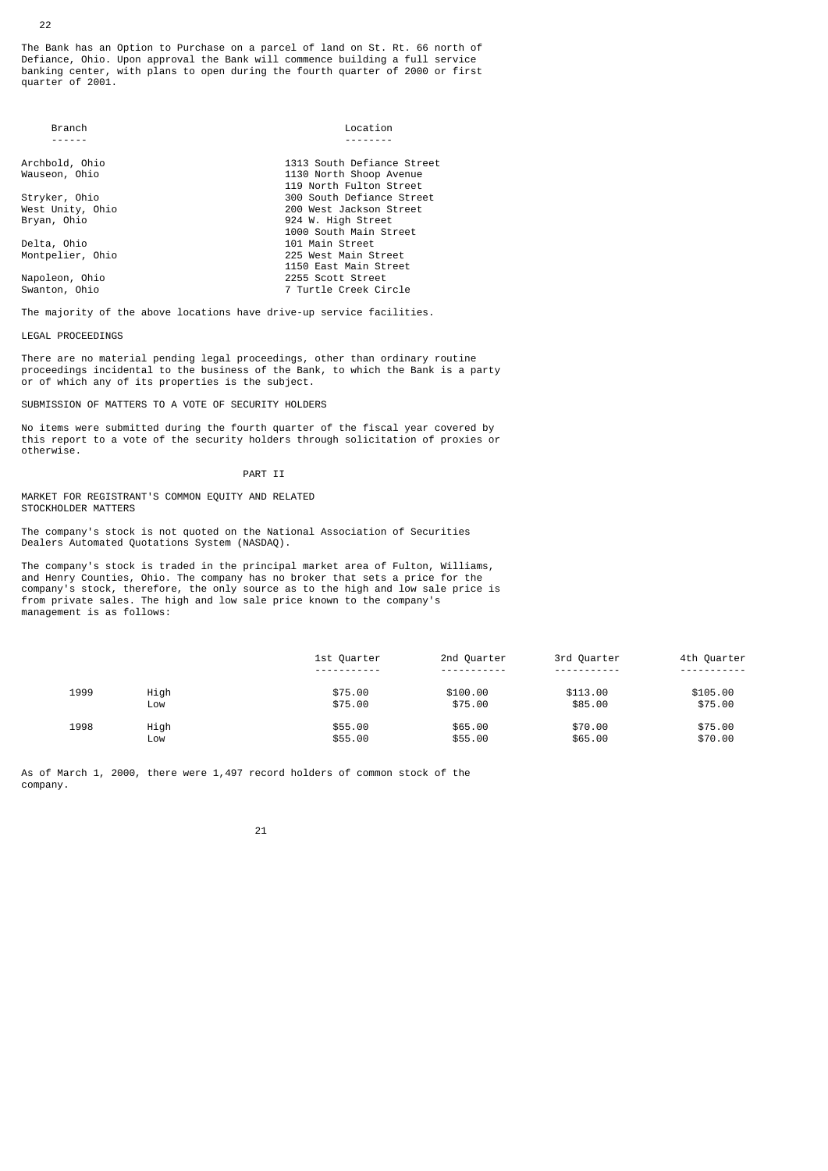The Bank has an Option to Purchase on a parcel of land on St. Rt. 66 north of Defiance, Ohio. Upon approval the Bank will commence building a full service banking center, with plans to open during the fourth quarter of 2000 or first quarter of 2001.

| <b>Branch</b>    | Location                   |
|------------------|----------------------------|
|                  |                            |
| Archbold, Ohio   | 1313 South Defiance Street |
| Wauseon, Ohio    | 1130 North Shoop Avenue    |
|                  | 119 North Fulton Street    |
| Stryker, Ohio    | 300 South Defiance Street  |
| West Unity, Ohio | 200 West Jackson Street    |
| Bryan, Ohio      | 924 W. High Street         |
|                  | 1000 South Main Street     |
| Delta, Ohio      | 101 Main Street            |
| Montpelier, Ohio | 225 West Main Street       |
|                  | 1150 East Main Street      |
| Napoleon, Ohio   | 2255 Scott Street          |
| Swanton, Ohio    | 7 Turtle Creek Circle      |

The majority of the above locations have drive-up service facilities.

LEGAL PROCEEDINGS

There are no material pending legal proceedings, other than ordinary routine proceedings incidental to the business of the Bank, to which the Bank is a party or of which any of its properties is the subject.

SUBMISSION OF MATTERS TO A VOTE OF SECURITY HOLDERS

No items were submitted during the fourth quarter of the fiscal year covered by this report to a vote of the security holders through solicitation of proxies or otherwise.

PART TT

MARKET FOR REGISTRANT'S COMMON EQUITY AND RELATED STOCKHOLDER MATTERS

The company's stock is not quoted on the National Association of Securities Dealers Automated Quotations System (NASDAQ).

The company's stock is traded in the principal market area of Fulton, Williams, and Henry Counties, Ohio. The company has no broker that sets a price for the company's stock, therefore, the only source as to the high and low sale price is from private sales. The high and low sale price known to the company's management is as follows:

|      |      | 1st Ouarter           | 2nd Quarter | 3rd Quarter | 4th Quarter |
|------|------|-----------------------|-------------|-------------|-------------|
|      |      | - - - - - - - - - - - | ----------- | .           |             |
| 1999 | High | \$75.00               | \$100.00    | \$113.00    | \$105.00    |
|      | LOW  | \$75.00               | \$75.00     | \$85,00     | \$75.00     |
| 1998 | High | \$55.00               | \$65.00     | \$70.00     | \$75.00     |
|      | LOW  | \$55.00               | \$55.00     | \$65.00     | \$70.00     |

As of March 1, 2000, there were 1,497 record holders of common stock of the company.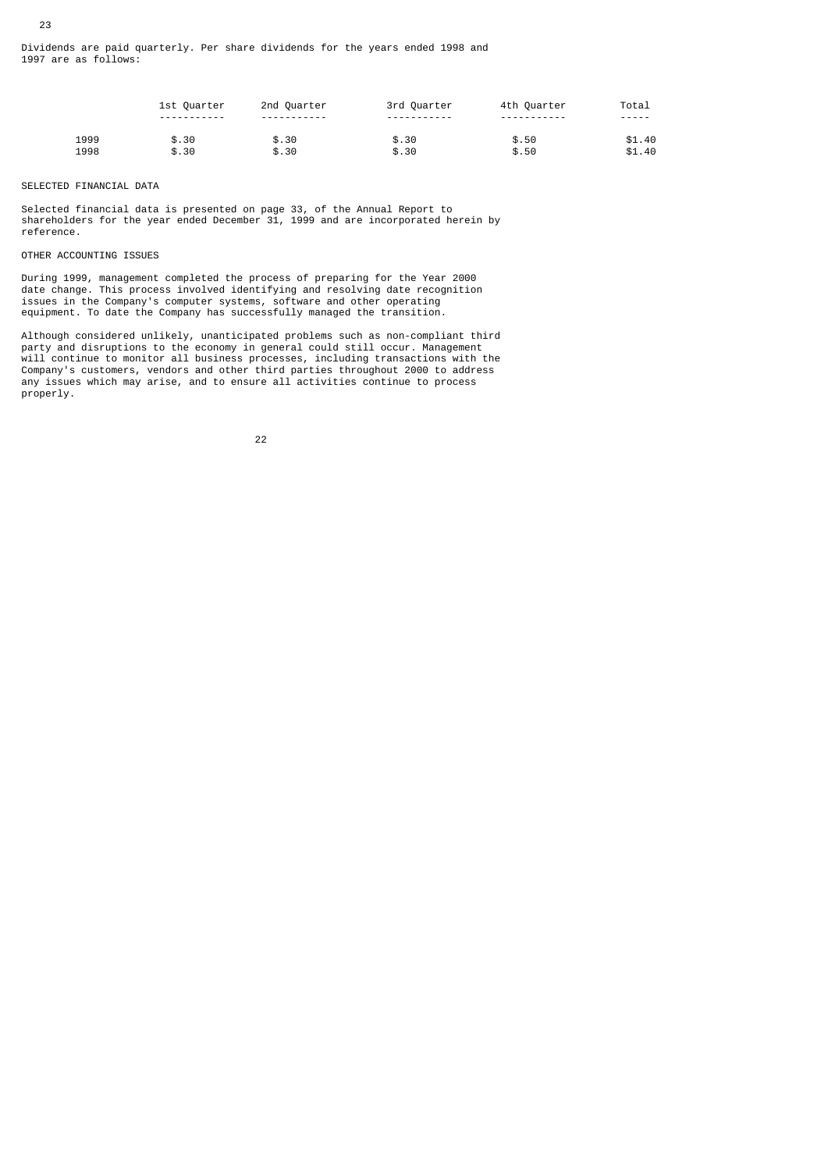|      | 1st Quarter  | 2nd Quarter | 3rd Quarter             | 4th Quarter  | Total  |
|------|--------------|-------------|-------------------------|--------------|--------|
|      | ------------ | ----------- | - - - - - - - - - - - - | ------------ | -----  |
| 1999 | \$.30        | \$.30       | \$.30                   | \$.50        | \$1.40 |
| 1998 | \$.30        | \$.30       | \$.30                   | \$.50        | \$1.40 |

## SELECTED FINANCIAL DATA

23

Selected financial data is presented on page 33, of the Annual Report to shareholders for the year ended December 31, 1999 and are incorporated herein by reference.

## OTHER ACCOUNTING ISSUES

During 1999, management completed the process of preparing for the Year 2000 date change. This process involved identifying and resolving date recognition issues in the Company's computer systems, software and other operating equipment. To date the Company has successfully managed the transition.

Although considered unlikely, unanticipated problems such as non-compliant third party and disruptions to the economy in general could still occur. Management will continue to monitor all business processes, including transactions with the Company's customers, vendors and other third parties throughout 2000 to address any issues which may arise, and to ensure all activities continue to process properly.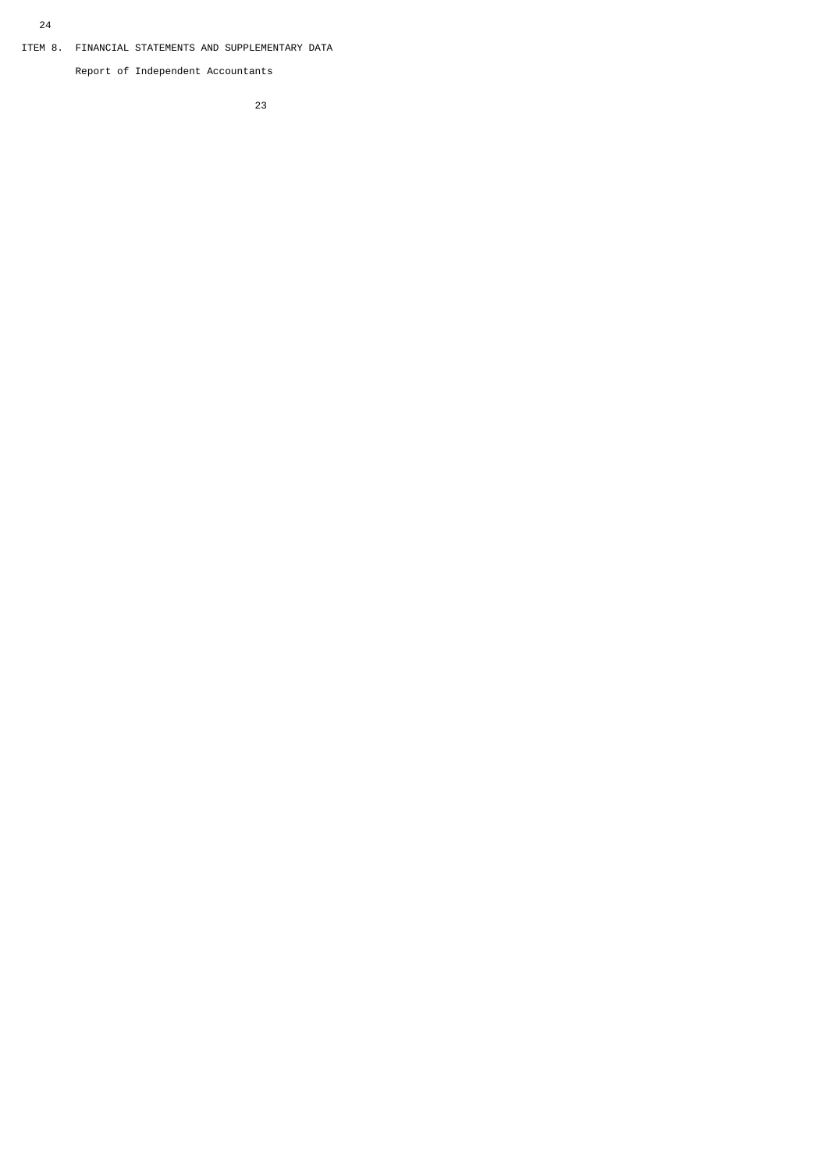Report of Independent Accountants

<u>23 and 23 and 23 and 23 and 23 and 23 and 23 and 23 and 23 and 23 and 23 and 23 and 23 and 23 and 23 and 23 and 23 and 23 and 23 and 23 and 23 and 23 and 23 and 23 and 23 and 23 and 23 and 23 and 23 and 23 and 23 and 23 a</u>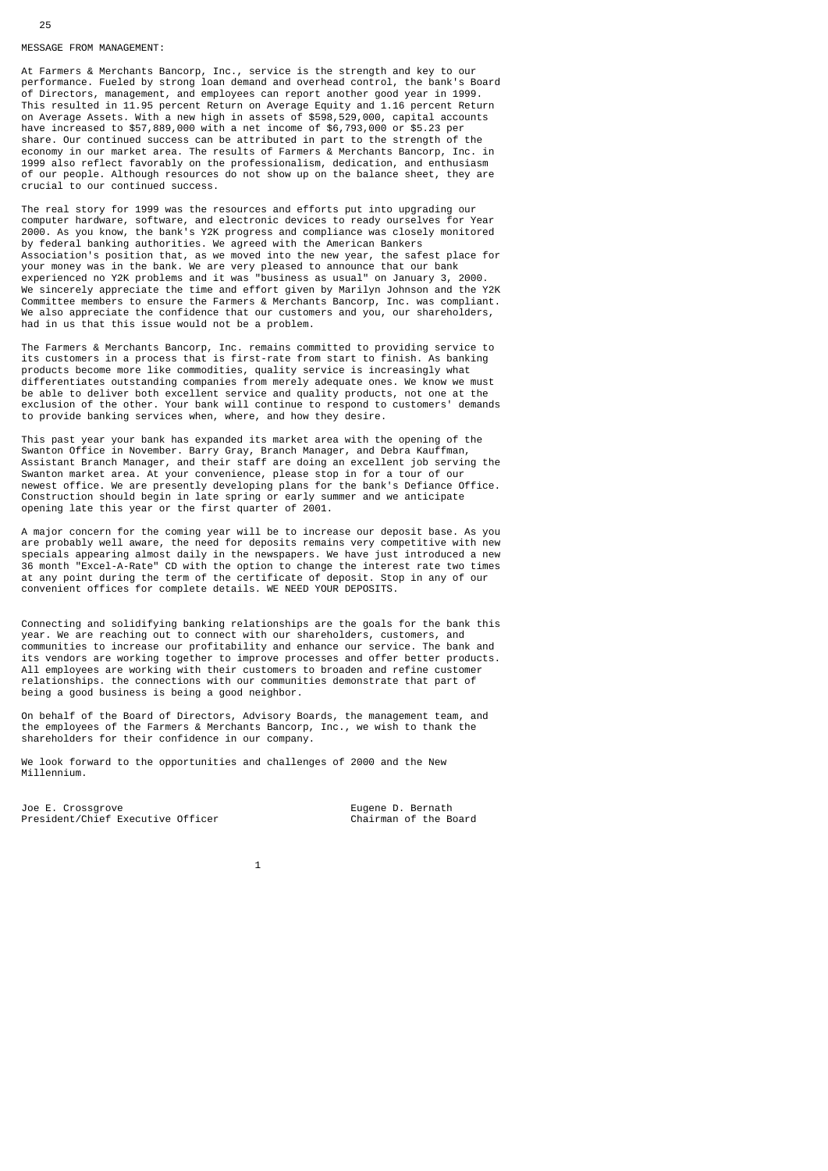#### MESSAGE FROM MANAGEMENT:

At Farmers & Merchants Bancorp, Inc., service is the strength and key to our performance. Fueled by strong loan demand and overhead control, the bank's Board of Directors, management, and employees can report another good year in 1999. This resulted in 11.95 percent Return on Average Equity and 1.16 percent Return on Average Assets. With a new high in assets of \$598,529,000, capital accounts have increased to \$57,889,000 with a net income of \$6,793,000 or \$5.23 per share. Our continued success can be attributed in part to the strength of the economy in our market area. The results of Farmers & Merchants Bancorp, Inc. in 1999 also reflect favorably on the professionalism, dedication, and enthusiasm of our people. Although resources do not show up on the balance sheet, they are crucial to our continued success.

The real story for 1999 was the resources and efforts put into upgrading our computer hardware, software, and electronic devices to ready ourselves for Year 2000. As you know, the bank's Y2K progress and compliance was closely monitored by federal banking authorities. We agreed with the American Bankers Association's position that, as we moved into the new year, the safest place for your money was in the bank. We are very pleased to announce that our bank experienced no Y2K problems and it was "business as usual" on January 3, 2000. We sincerely appreciate the time and effort given by Marilyn Johnson and the Y2K Committee members to ensure the Farmers & Merchants Bancorp, Inc. was compliant. We also appreciate the confidence that our customers and you, our shareholders, had in us that this issue would not be a problem.

The Farmers & Merchants Bancorp, Inc. remains committed to providing service to its customers in a process that is first-rate from start to finish. As banking products become more like commodities, quality service is increasingly what differentiates outstanding companies from merely adequate ones. We know we must be able to deliver both excellent service and quality products, not one at the exclusion of the other. Your bank will continue to respond to customers' demands to provide banking services when, where, and how they desire.

This past year your bank has expanded its market area with the opening of the Swanton Office in November. Barry Gray, Branch Manager, and Debra Kauffman, Assistant Branch Manager, and their staff are doing an excellent job serving the Swanton market area. At your convenience, please stop in for a tour of our newest office. We are presently developing plans for the bank's Defiance Office. Construction should begin in late spring or early summer and we anticipate opening late this year or the first quarter of 2001.

A major concern for the coming year will be to increase our deposit base. As you are probably well aware, the need for deposits remains very competitive with new specials appearing almost daily in the newspapers. We have just introduced a new 36 month "Excel-A-Rate" CD with the option to change the interest rate two times at any point during the term of the certificate of deposit. Stop in any of our convenient offices for complete details. WE NEED YOUR DEPOSITS.

Connecting and solidifying banking relationships are the goals for the bank this year. We are reaching out to connect with our shareholders, customers, and communities to increase our profitability and enhance our service. The bank and its vendors are working together to improve processes and offer better products. All employees are working with their customers to broaden and refine customer relationships. the connections with our communities demonstrate that part of being a good business is being a good neighbor.

On behalf of the Board of Directors, Advisory Boards, the management team, and the employees of the Farmers & Merchants Bancorp, Inc., we wish to thank the shareholders for their confidence in our company.

We look forward to the opportunities and challenges of 2000 and the New Millennium.

Joe E. Crossgrove<br>President/Chief Executive Officer Chairman of the Board President/Chief Executive Officer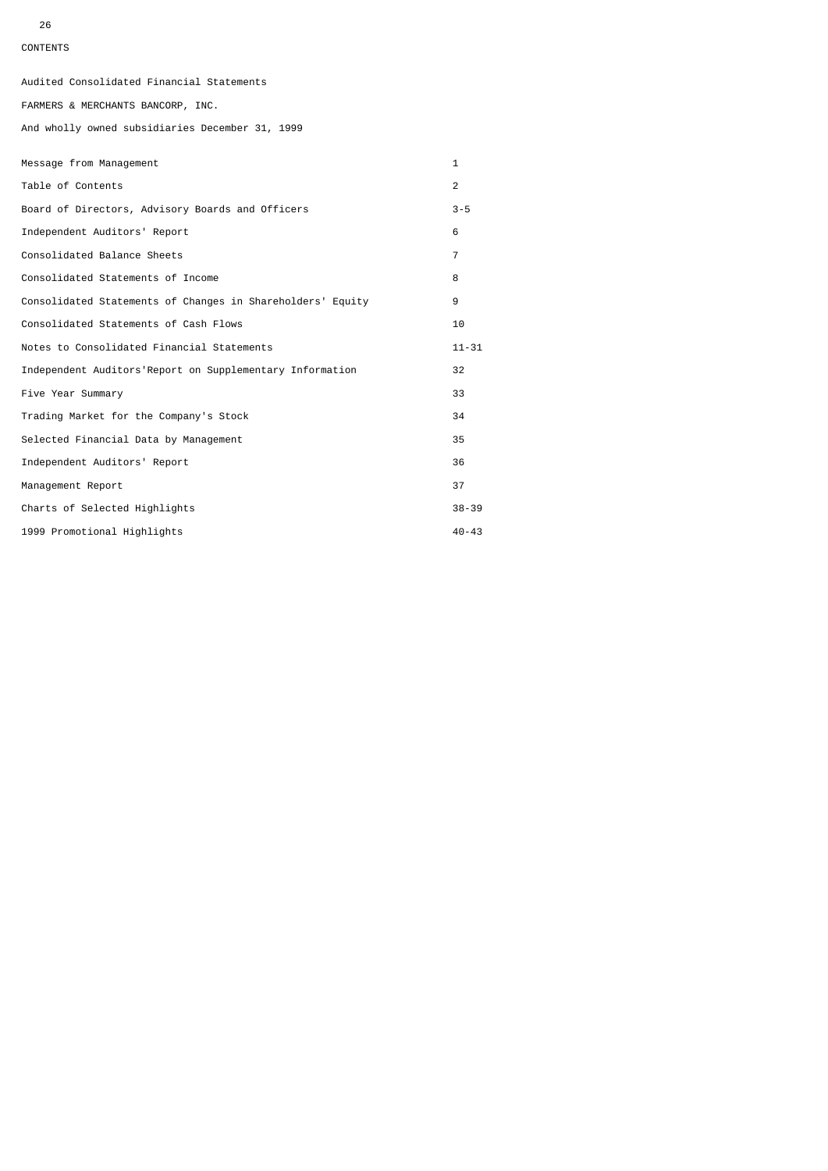26

## CONTENTS

Audited Consolidated Financial Statements

FARMERS & MERCHANTS BANCORP, INC.

And wholly owned subsidiaries December 31, 1999

| Message from Management                                    | $\mathbf{1}$   |
|------------------------------------------------------------|----------------|
| Table of Contents                                          | $\overline{2}$ |
| Board of Directors, Advisory Boards and Officers           | $3 - 5$        |
| Independent Auditors' Report                               | 6              |
| Consolidated Balance Sheets                                | $\overline{7}$ |
| Consolidated Statements of Income                          | 8              |
| Consolidated Statements of Changes in Shareholders' Equity | 9              |
| Consolidated Statements of Cash Flows                      | 10             |
| Notes to Consolidated Financial Statements                 | $11 - 31$      |
| Independent Auditors'Report on Supplementary Information   | 32             |
| Five Year Summary                                          | 33             |
| Trading Market for the Company's Stock                     | 34             |
| Selected Financial Data by Management                      | 35             |
| Independent Auditors' Report                               | 36             |
| Management Report                                          | 37             |
| Charts of Selected Highlights                              | $38 - 39$      |
| 1999 Promotional Highlights                                | $40 - 43$      |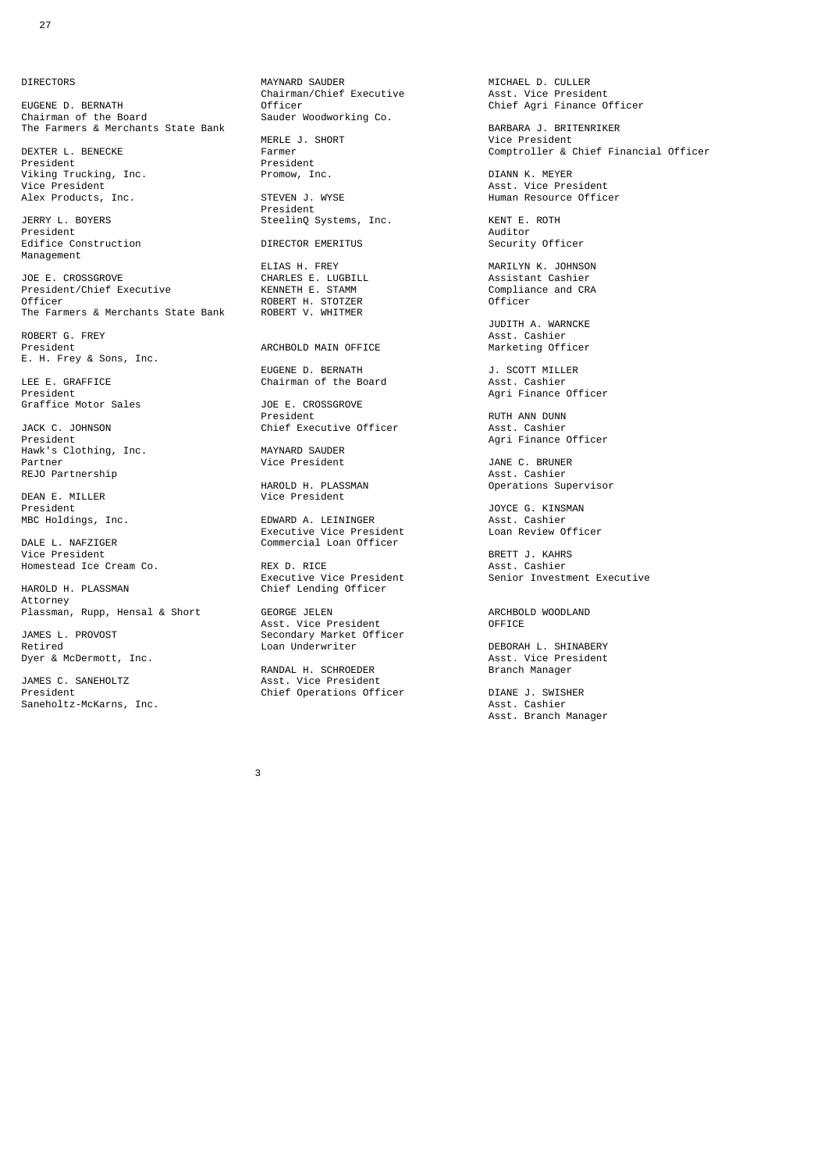**DIRECTORS** 

President President President<br>Viking Trucking, Inc. Promow, Inc. Alex Products, Inc.

Management

President/Chief Executive The Manufacture Compliance Compliance Compliance Compliance Compliance COMPLIANCE COMPLIANCE COMPLIANCE ROBERT H. STOTZER Officer The Farmers & Merchants State Bank

ROBERT G. FREY Asst. Cashier E. H. Frey & Sons, Inc.

LEE E. GRAFFICE Chairman of the Board<br>President Graffice Motor Sales JOE E. CROSSEROVER SALES

JACK C. JOHNSON Chief Executive Officer<br>President Hawk's Clothing, Inc. MAYNARD SAUDER REJO Partnership<br>
HAROLD H PLASSMAN

DEAN E. MILLER Vice President<br>President President JOYCE G. KINSMAN

DALE L. NAFZIGER<br>
Vice President<br>
Vice President

Attorney

Retired Construction of the Construction of the Construction of the DEBORAH L. SHINABERY<br>Dyer & McDermott, Inc. Compared Construction of the Asst. Vice President

JAMES C. SANEHOLTZ Asst. Vice President Saneholtz-McKarns, Inc. Asst. Cashier Asst. Cashier Asst. Cashier

MAYNARD SAUDER **MICHAEL D. CULLER** Chairman/Chief Executive<br>
Officer<br>
Officer EUGENE D. BERNATH<br>
EUGENE D. BERNATH<br>
Chairman/Chief Executive Asst. Vice President<br>
Chairman of the Board Sauder Woodworking Co.<br>
Sauder Woodworking Co. Sauder Woodworking Co. The Farmers & Merchants State Bank MERLE J. SHORT BARBARA J. BRITENRIKER BARBARA J. BRITENRIKER MERLE J. SHORT THE MANUS CHARGIST MERLE OF SHORT AND MERLE SHOPE THAT AND MANUSCHE PRESIDENT DEXTER L. BENECKE Farmer Comptroller & Chief Financial Officer Viking Trucking, Inc. Promow, Inc. DIANN K. MEYER Asst. Vice President<br>STEVEN J. WYSE FREE RESOURCE BUMBAN RESOURCE Officer President JERRY L. BOYERS SteelinQ Systems, Inc. KENT E. ROTH President Auditor President Auditor (1999), and the extent of the extent of the extent of the extent of the extent of the extent of the extent of the extent of the extent of the extent of the extent of the extent of the extent of the extent Edifice Construction DIRECTOR EMERITUS Security Officer ELIAS H. FREY MARILYN K. JOHNSON

ARCHBOLD MAIN OFFICE

**ROBERT H. STOTZER<br>ROBERT V. WHITMER** 

EUGENE D. BERNATH J. SCOTT MILLER

President President President RUTH ANN DUNN Chief Executive Officer (RESEAST ASST. Cashier

HAROLD H. PLASSMAN Operations Supervisor

MBC Holdings, Inc. EDWARD A. LEININGER Asst. Cashier Executive Vice President Loan Review Officer

Executive Vice President<br>Chief Lending Officer Chief Lending Officer

Plassman, Rupp, Hensal & Short GEORGE JELEN CHECHBOLD WOODLAND ARCHBOLD WOODLAND Asst. Vice President<br>JAMES L. PROVOST Secondary Market Offi JAMES L. PROVOST Secondary Market Officer<br>Retired Loan Underwriter

RANDAL H. SCHROEDER Branch Manager President Chief Operations Officer DIANE J. SWISHER

JOE E. CROSSGROVE CHARLES E. LUGBILL Assistant Cashier

JUDITH A. WARNCKE

President Agri Finance Officer<br>
Only and Asst. Cashier<br>
Agri Finance Officer<br>
Agri Finance Officer

Agri Finance Officer<br>
MAYNARD SAUDER

JANE C. BRUNER<br>Asst. Cashier

REX D. RICE **President BRETT J. KAHRS**<br>Asst. Cashier Homestead Ice Cream Co. REX D. RICE Asst. Cashier

Dyer & McDermott, Inc. Asst. Vice President and Asst. Vice President and Asst. Vice President

Asst. Branch Manager

 $\sim$  3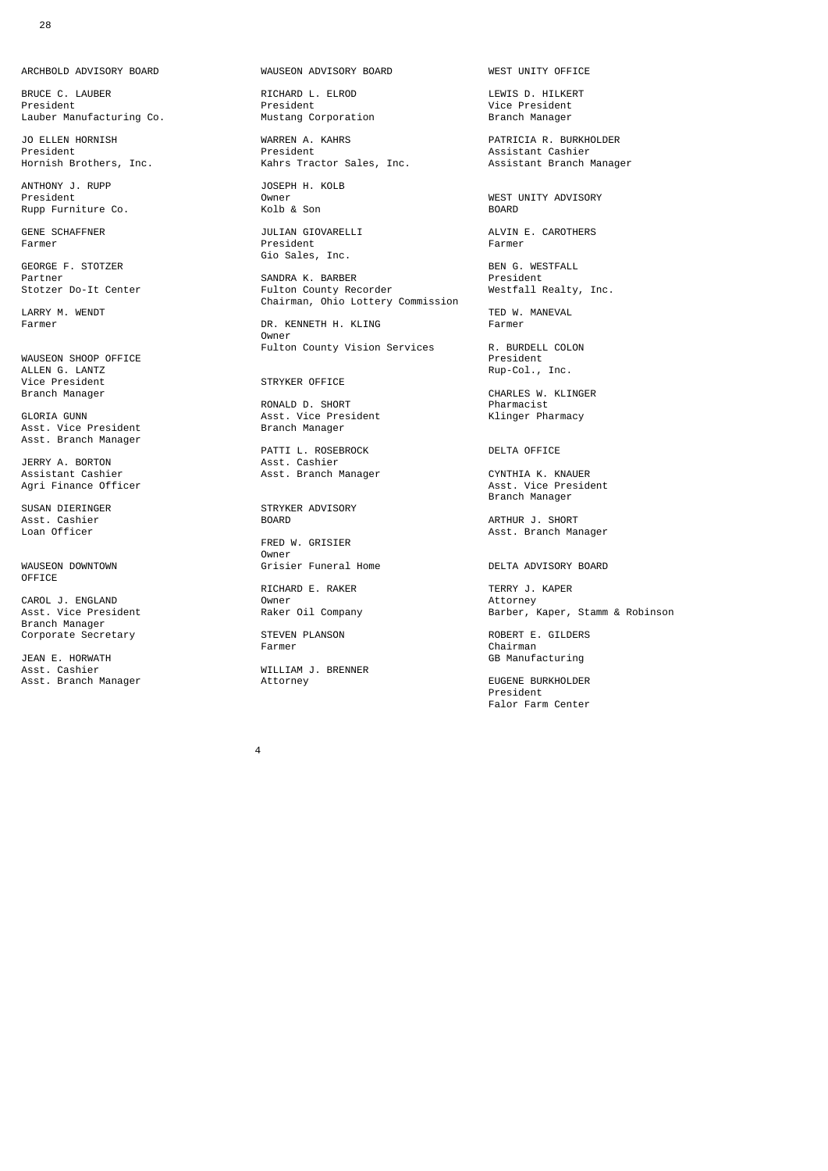ARCHBOLD ADVISORY BOARD WAUSEON ADVISORY BOARD WEST UNITY OFFICE

er BRUCE C. LAUBER And The State of RICHARD L. ELROD CONTENT CONTENTS D. HILKERT President<br>President President President President (Vice President Lauber Manufacturing Co.

ANTHONY J. RUPP JOSEPH H. KOLB Rupp Furniture Co.

GEORGE F. STOTZER BEN G. WESTFALL

LARRY M. WENDT **EXAMPLE AND TED WE ARRY M. WENDT**<br>Farmer TED W. MANEVAL Farmer Tensor Tensor DR. KENNETH H. KLING Farmer Farmer

WAUSEON SHOOP OFFICE<br>ALLEN G. LANTZ ALLEN G. LANTZ<br>Vice President General STRYKER OFFICE Rup-Col., Inc. Vice President STRYKER OFFICE<br>Branch Manager

Asst. Vice President Asst. Branch Manager

JERRY A. BORTON **Asst. Cashier** 

Asst. Cashier BOARD ARTHUR J. SHORT

Owner<br>WAUSEON DOWNTOWN Grisi OFFICE

CAROL J. ENGLAND<br>
Asst. Vice President Raker Oil Company Branch Manager

JEAN E. HORWATH GB MANUFACTURING MANUFACTURING MANUFACTURING GB MANUFACTURING ASST. Cashier and the Mulliam of Mulliam J. BRENNER

President Vice President<br>Mustang Corporation President Manager

JO ELLEN HORNISH WARREN A. KAHRS FRAMEN AND PATRICIA R. BURKHOLDER<br>President President President President Assistant Cashier President President Assistant Cashier Kahrs Tractor Sales, Inc.

Farmer President Farmer Gio Sales, Inc.

Partner SANDRA K. BARBER President SANSING ALL CHALL<br>Fulton County Recorder Chairman, Ohio Lottery Commission<br>LARRY M. WENDT Chairman, Ohio Lottery Commission

DR. KENNETH H. KLING<br>Owner **Contract Contract Contract Contract Contract Contract Contract Contract Contract Contract Contract Contract Co** Fulton County Vision Services<br>
R. BURDELL COLON<br>
President

 RONALD D. SHORT Pharmacist Asst. Vice President<br>Branch Manager

PATTI L. ROSEBROCK DELTA OFFICE DELTA OFFICE ASST. Cashier Assistant Cashier Asst. Branch Manager CYNTHIA K. KNAUER

SUSAN DIERINGER STRYKER ADVISORY

FRED W. GRISIER

RICHARD E. RAKER TERRY J. KAPER<br>Owner Attorney

WILLIAM J. BRENNER<br>Attorney

President Owner WEST UNITY ADVISORY

GENE SCHAFFNER JULIAN GIOVARELLI ALVIN E. CAROTHERS

CHARLES W. KLINGER<br>Pharmacist

Agri Finance Officer Association of the Second Library of Association Association Association Association Assoc Branch Manager

Asst. Branch Manager

Grisier Funeral Home DELTA ADVISORY BOARD

Herering,<br>Barber, Kaper, Stamm & Robinson

Corporate Secretary **STEVEN PLANSON** STEVEN PLANSON ROBERT E. GILDERS Farmer Chairman

Asst. Branch Manager **Attorney EUGENE BURKHOLDER**<br>President enter a la construcción de la construcción de la construcción de la construcción de la construcción de la const Falor Farm Center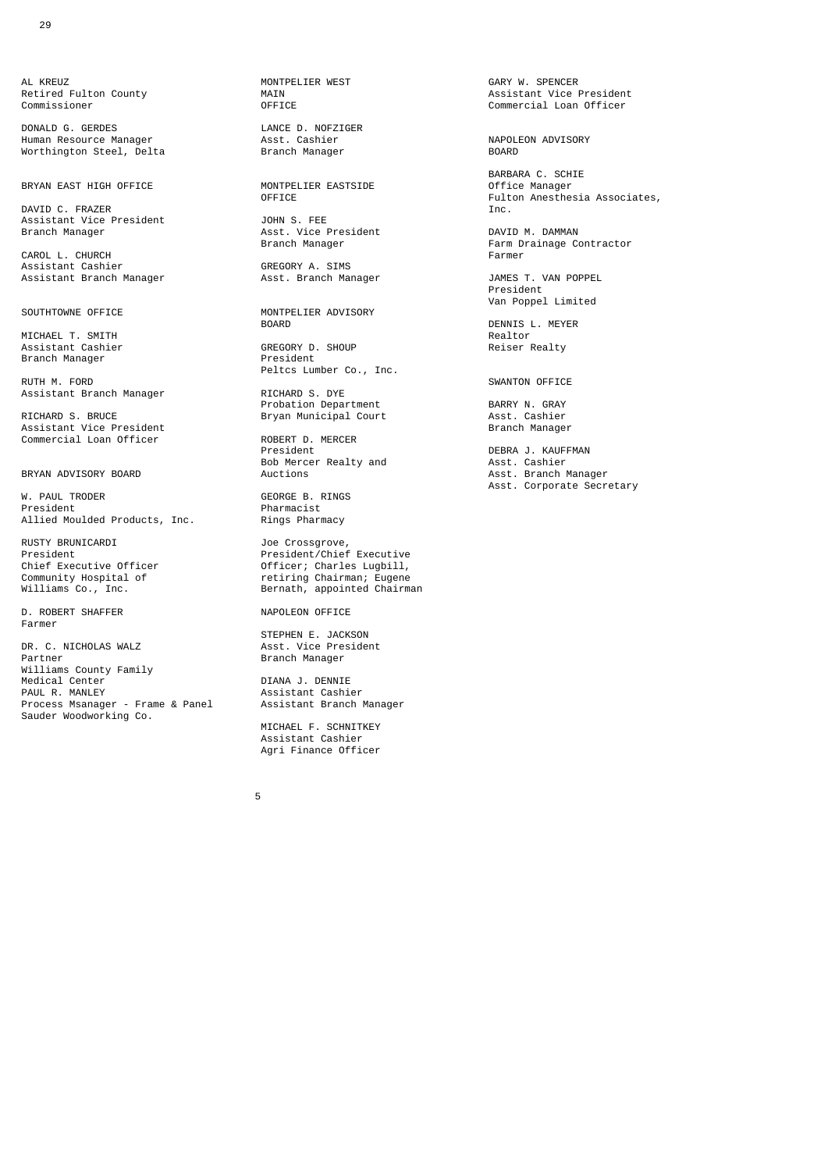AL KREUZ AL KREUZ MONTPELIER WEST GARY W. SPENCER

DONALD G. GERDES<br>
Human Resource Manager Asst. Cashier<br>
Worthington Steel, Delta Branch Manager Human Resource Manager **Asst. Cashier** Asst. Cashier **ADVISORY** NAPOLEON ADVISORY<br>Worthington Steel Delta **Resource Resource** Resource Resource Resource Worthington Steel, Delta

BRYAN EAST HIGH OFFICE MONTPE

DAVID C. FRAZER<br>Assistant Vice President [10] JOHN S. FEE Assistant Vice President<br>Branch Manager

CAROL L. CHURCH<br>
Assistant Cashier Farmer GREGORY A. SIMS Assistant Cashier GREGORY A. SIMS

MICHAEL T. SMITH<br>
Assistant Cashier GREGORY D. SHOUP Reiser Realty Assistant Cashier GREGORY D. Show CREGORY D.<br>Branch Manager GREGORY Resident Branch Manager

RUTH M. FORD SWANTON OFFICE Assistant Branch Manager **RICHARD S. DYE** 

Assistant Vice President Branch Manager Commercial Loan Officer ROBERT D. MERCER

W. PAUL TRODER GEORGE B. RINGS<br>President George Beau (September 2015) Allied Moulded Products, Inc.

RUSTY BRUNICARDI Joe Crossgrove,

D. ROBERT SHAFFER NAPOLEON OFFICE Farmer

 STEPHEN E. JACKSON DR. C. NICHOLAS WALZ **And Asst. Vice President** Partner and Decomposition of the Branch Manager Williams County Family Medical Center **DIANA J. DENNIE**<br>PAUL R. MANLEY **DIANA DIANA ASSISTANT CAS** Process Msanager - Frame & Panel Sauder Woodworking Co.

 $5<sub>5</sub>$ 

Sourn U. The President Communist Communist Communist DAVID M. DAMMAN<br>Branch Manager Communist Communist Parm Drainage Co

 Van Poppel Limited MONTPELIER ADVISORY<br>BOARD

**Peltcs Lumber Co., Inc.**<br>RUTH M. FORD

ASSISTEM DEPARTMENT MANAGEMENT CONSIDER PROBATION DEPARTMENT CONTRACT BARRY N. GRAY<br>RICHARD S. BRUCE The Bryan Municipal Court Asst. Cashier

 President DEBRA J. KAUFFMAN Bob Mercer Realty and Asst. Cashier

Pharmacist<br>Rings Pharmacy

President President/Chief Executive Chief Executive Officer and Officer; Charles Lugbill, Community Hospital of and Charles Co., Inc. (Served Bernath, appointed Chairm Community Hospital of retiring Chairman; Eugene Williams Co., Inc. Bernath, appointed Chairman

Assistant Cashier<br>Assistant Branch Manager

 MICHAEL F. SCHNITKEY Assistant Cashier Agri Finance Officer

Retired Fulton County MAIN Assistant Vice President Commercial Loan Officer

 BARBARA C. SCHIE Fulton Anesthesia Associates,<br>Inc.

Farm Drainage Contractor<br>Earmer

Assistant Branch Manager Asst. Branch Manager JAMES T. VAN POPPEL enter a la construcción de la construcción de la construcción de la construcción de la construcción de la const

DENNIS L. MEYER<br>Realtor

RICHARD S. BRUCE Bryan Municipal Court Asst. Cashier

Asst. Branch Manager W. PAUL TRODER CONSERVER SECRIPTION OF SECRIPTION OF SECRIPTION CONSERVERSE IS A SECRIPTION OF SECRIPTION OF SECRIPTION OF SECRIPTION OF SECRIPTION OF SECRIPTION OF SECRIPTION OF SECRIPTION OF SECRIPTION OF SECRIPTION OF S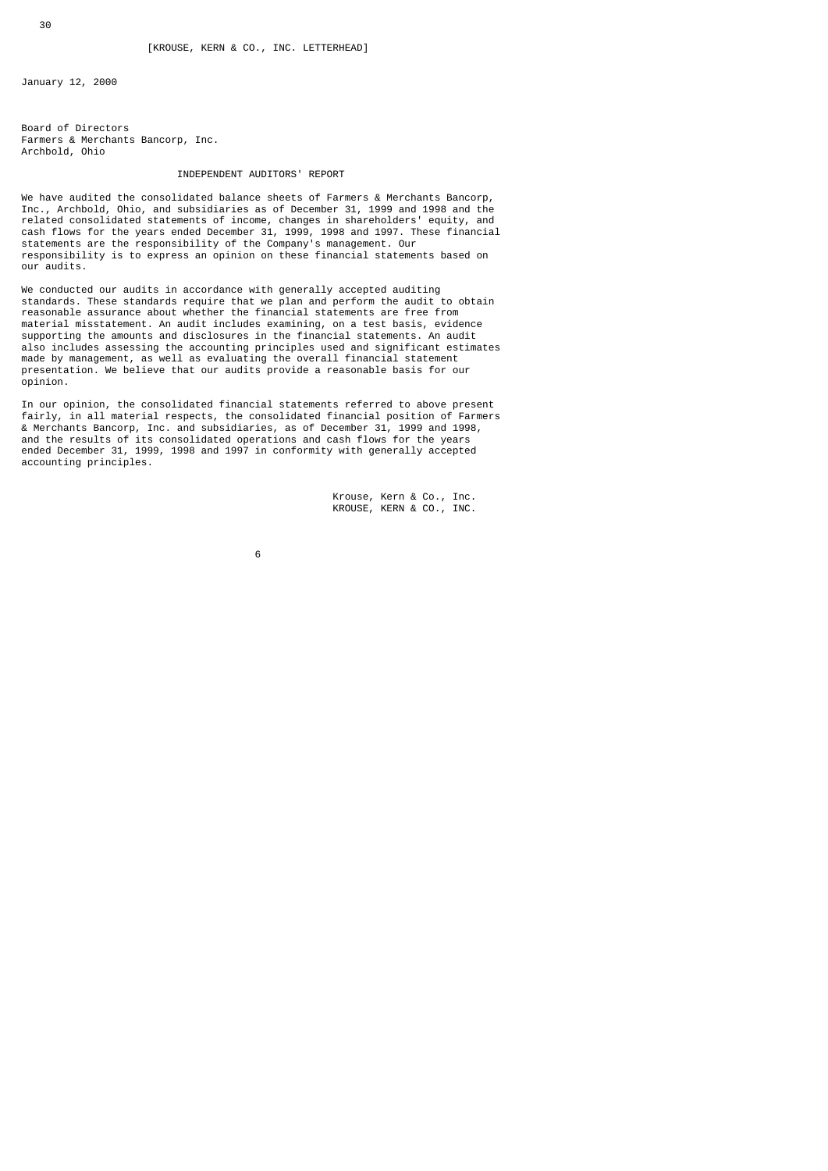January 12, 2000

Board of Directors Farmers & Merchants Bancorp, Inc. Archbold, Ohio

## INDEPENDENT AUDITORS' REPORT

We have audited the consolidated balance sheets of Farmers & Merchants Bancorp, Inc., Archbold, Ohio, and subsidiaries as of December 31, 1999 and 1998 and the related consolidated statements of income, changes in shareholders' equity, and cash flows for the years ended December 31, 1999, 1998 and 1997. These financial statements are the responsibility of the Company's management. Our responsibility is to express an opinion on these financial statements based on our audits.

We conducted our audits in accordance with generally accepted auditing standards. These standards require that we plan and perform the audit to obtain reasonable assurance about whether the financial statements are free from material misstatement. An audit includes examining, on a test basis, evidence supporting the amounts and disclosures in the financial statements. An audit also includes assessing the accounting principles used and significant estimates made by management, as well as evaluating the overall financial statement presentation. We believe that our audits provide a reasonable basis for our opinion.

In our opinion, the consolidated financial statements referred to above present fairly, in all material respects, the consolidated financial position of Farmers & Merchants Bancorp, Inc. and subsidiaries, as of December 31, 1999 and 1998, and the results of its consolidated operations and cash flows for the years ended December 31, 1999, 1998 and 1997 in conformity with generally accepted accounting principles.

> Krouse, Kern & Co., Inc. KROUSE, KERN & CO., INC.

 $\sim$  6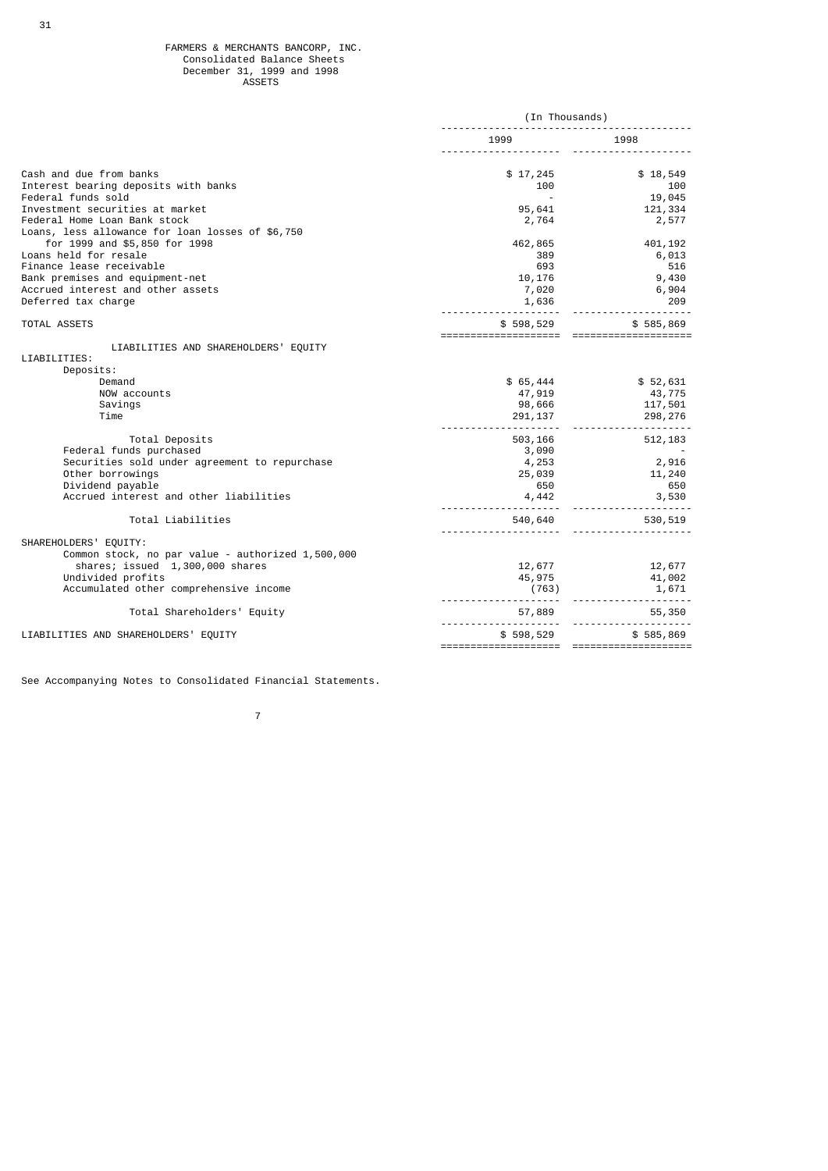|                                                   | (In Thousands) |                                                               |  |
|---------------------------------------------------|----------------|---------------------------------------------------------------|--|
|                                                   | 1999           | 1998                                                          |  |
| Cash and due from banks                           | \$17,245       | \$18,549                                                      |  |
| Interest bearing deposits with banks              | 100            | 100                                                           |  |
| Federal funds sold                                |                | 19,045                                                        |  |
| Investment securities at market                   | 95,641         | 121,334                                                       |  |
| Federal Home Loan Bank stock                      | 2,764          | 2,577                                                         |  |
| Loans, less allowance for loan losses of \$6,750  |                |                                                               |  |
| for 1999 and \$5,850 for 1998                     | 462,865        | 401,192                                                       |  |
| Loans held for resale                             | 389            | 6,013                                                         |  |
| Finance lease receivable                          | 693            | 516                                                           |  |
| Bank premises and equipment-net                   | 10,176         | 9,430                                                         |  |
| Accrued interest and other assets                 | 7,020          | 6,904                                                         |  |
| Deferred tax charge                               | 1,636          | 209                                                           |  |
| <b>TOTAL ASSETS</b>                               | \$598,529      | \$585,869                                                     |  |
| LIABILITIES AND SHAREHOLDERS' EQUITY              |                |                                                               |  |
| LIABILITIES:                                      |                |                                                               |  |
| Deposits:                                         |                |                                                               |  |
| Demand                                            | \$65,444       | \$52,631                                                      |  |
| NOW accounts                                      | 47,919         | 43,775                                                        |  |
| Savings                                           | 98,666         | 117,501                                                       |  |
| Time                                              | 291, 137       | 298,276                                                       |  |
|                                                   |                |                                                               |  |
| Total Deposits                                    | 503,166        | 512, 183                                                      |  |
| Federal funds purchased                           | 3,090          |                                                               |  |
| Securities sold under agreement to repurchase     | 4,253          | 2,916                                                         |  |
| Other borrowings                                  | 25,039         | 11,240                                                        |  |
| Dividend payable                                  | 650            | 650                                                           |  |
| Accrued interest and other liabilities            | 4,442          | 3,530                                                         |  |
| Total Liabilities                                 | 540,640        | 530,519                                                       |  |
| SHAREHOLDERS' EQUITY:                             |                |                                                               |  |
| Common stock, no par value - authorized 1,500,000 |                |                                                               |  |
| shares; issued 1,300,000 shares                   | 12,677         | 12,677                                                        |  |
| Undivided profits                                 | 45,975         | 41,002                                                        |  |
| Accumulated other comprehensive income            | <u>.</u>       | ", …<br>〔763〕<br>- - - - - - - - - - - - - - - - - -<br>1,671 |  |
| Total Shareholders' Equity                        | 57,889         | 55,350                                                        |  |
| LIABILITIES AND SHAREHOLDERS' EQUITY              | \$598,529      | \$585,869                                                     |  |
|                                                   |                |                                                               |  |

See Accompanying Notes to Consolidated Financial Statements.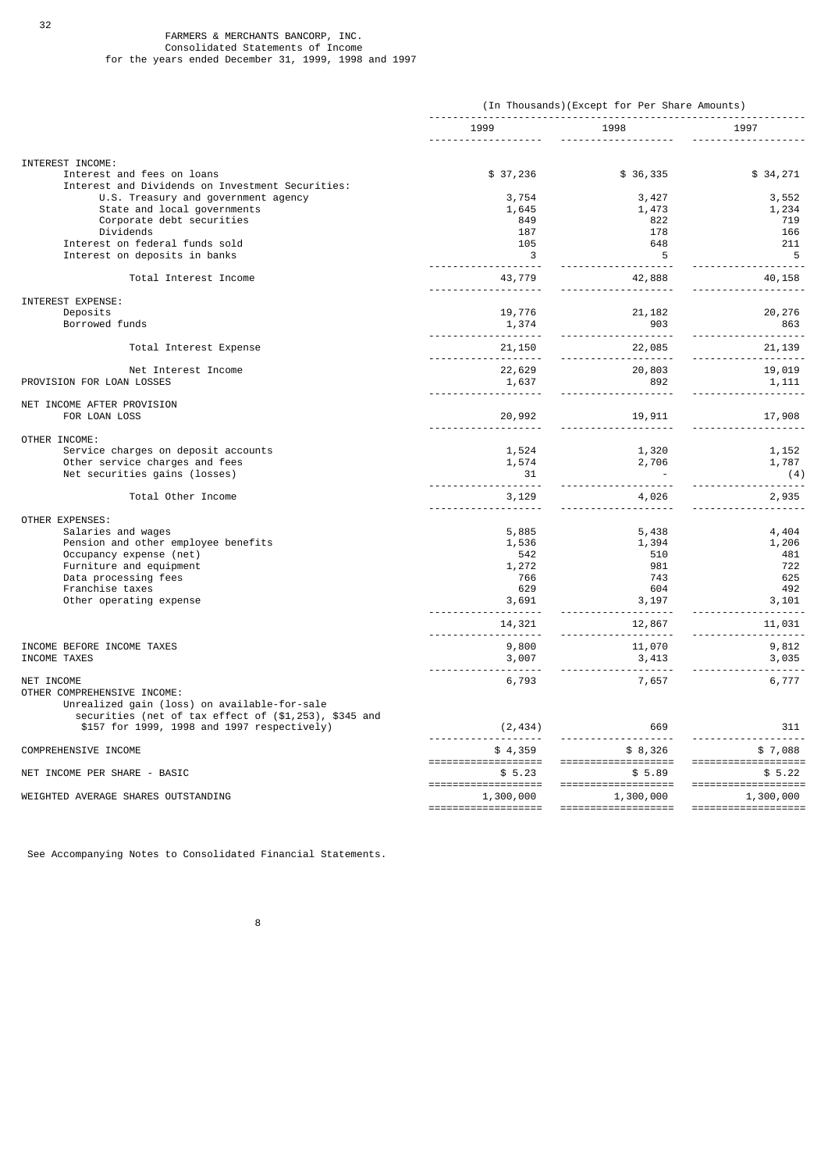32

|                                                                                | (In Thousands)(Except for Per Share Amounts)         |                                                                                                   |                      |
|--------------------------------------------------------------------------------|------------------------------------------------------|---------------------------------------------------------------------------------------------------|----------------------|
|                                                                                |                                                      | 1999 1998 1998                                                                                    | 1997                 |
| INTEREST INCOME:                                                               |                                                      |                                                                                                   |                      |
| Interest and fees on loans<br>Interest and Dividends on Investment Securities: | \$37,236                                             | \$36,335                                                                                          | \$34,271             |
| U.S. Treasury and government agency                                            | 3,754                                                | 3,427                                                                                             | 3,552                |
| State and local governments                                                    | 1,645                                                | 1,473                                                                                             | 1,234                |
| Corporate debt securities                                                      | 849                                                  | 822                                                                                               | 719                  |
| Dividends                                                                      | 187                                                  | 178                                                                                               | 166                  |
| Interest on federal funds sold                                                 | 105                                                  | 648                                                                                               | 211                  |
| Interest on deposits in banks                                                  | $\overline{\mathbf{3}}$                              | $\overline{\phantom{0}}$ 5                                                                        | $-5$                 |
| Total Interest Income                                                          | 43,779<br>.                                          | 42,888<br><u>.</u>                                                                                | 40,158<br><u>.</u> . |
| INTEREST EXPENSE:                                                              |                                                      |                                                                                                   |                      |
| Deposits                                                                       | 19,776                                               | 21,182                                                                                            | 20, 276              |
| Borrowed funds                                                                 | 1,374                                                | 903                                                                                               | 863                  |
|                                                                                |                                                      |                                                                                                   |                      |
| Total Interest Expense                                                         |                                                      | 22,085                                                                                            | 21, 139<br><u></u> . |
| Net Interest Income                                                            |                                                      | $\begin{array}{cccc} 22,629 & & & 20,803 & & & 19,019 \\ 1,637 & & & 892 & & & 1,111 \end{array}$ |                      |
| PROVISION FOR LOAN LOSSES                                                      | 1,637                                                |                                                                                                   |                      |
|                                                                                |                                                      |                                                                                                   | <u>.</u>             |
| NET INCOME AFTER PROVISION                                                     |                                                      |                                                                                                   |                      |
| FOR LOAN LOSS                                                                  | 20,992                                               | 19,911                                                                                            |                      |
| OTHER INCOME:                                                                  |                                                      |                                                                                                   |                      |
| Service charges on deposit accounts                                            | 1,524                                                |                                                                                                   | 1,152                |
| Other service charges and fees                                                 | 1,574                                                |                                                                                                   | 1,787                |
| Net securities gains (losses)                                                  | 31                                                   | 1,320<br>2,706                                                                                    | (4)                  |
| Total Other Income                                                             | 3,129                                                | 4,026                                                                                             | 2,935                |
|                                                                                |                                                      |                                                                                                   | .                    |
| OTHER EXPENSES:                                                                |                                                      |                                                                                                   |                      |
| Salaries and wages<br>Pension and other employee benefits                      | 5,885                                                | 5,438                                                                                             | 4,404                |
| Occupancy expense (net)                                                        | 1,536                                                | 1,394<br>510                                                                                      | 1,206<br>481         |
| Furniture and equipment                                                        | 542<br>1,272                                         | 981                                                                                               | 722                  |
| Data processing fees                                                           | 766                                                  | 743                                                                                               | 625                  |
| Franchise taxes                                                                | 629                                                  | 604                                                                                               | 492                  |
| Other operating expense                                                        | 3,691                                                | 3,197                                                                                             | 3,101                |
|                                                                                |                                                      |                                                                                                   | -------------------  |
|                                                                                | 14,321                                               | 12,867                                                                                            | 11,031               |
| INCOME BEFORE INCOME TAXES                                                     |                                                      |                                                                                                   |                      |
| INCOME TAXES                                                                   | $9,800$<br>3,000<br>3,413<br>3,007<br>3,413<br>3,035 |                                                                                                   | $9,812$<br>$3,035$   |
| NET INCOME                                                                     |                                                      |                                                                                                   |                      |
| OTHER COMPREHENSIVE INCOME:                                                    | 6,793                                                | 7,657                                                                                             | 6,777                |
| Unrealized gain (loss) on available-for-sale                                   |                                                      |                                                                                                   |                      |
| securities (net of tax effect of (\$1,253), \$345 and                          |                                                      |                                                                                                   |                      |
| \$157 for 1999, 1998 and 1997 respectively)                                    | (2, 434)                                             | 669                                                                                               | 311                  |
| COMPREHENSIVE INCOME                                                           |                                                      | ---------------------                                                                             |                      |
|                                                                                | $$ 4,359$ $$ 8,326$ $$ 7,088$ $$ 7,088$ $$ 7,088$    |                                                                                                   |                      |
| NET INCOME PER SHARE - BASIC                                                   |                                                      | $$5.23$ $$5.89$ $$5.22$                                                                           |                      |
|                                                                                |                                                      |                                                                                                   |                      |
| WEIGHTED AVERAGE SHARES OUTSTANDING                                            |                                                      | 1,300,000    1,300,000    1,300,000                                                               |                      |
|                                                                                |                                                      |                                                                                                   |                      |

See Accompanying Notes to Consolidated Financial Statements.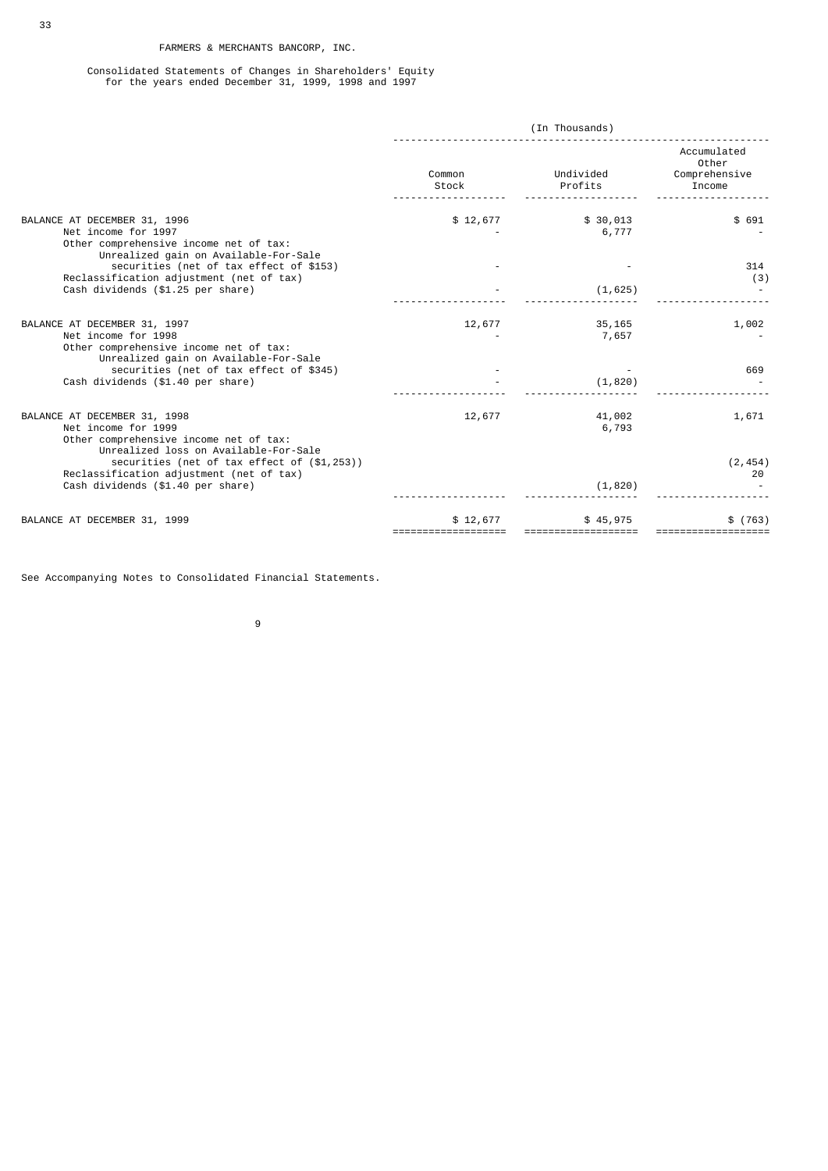Consolidated Statements of Changes in Shareholders' Equity for the years ended December 31, 1999, 1998 and 1997

|                                                                                                                                        | (In Thousands)  |                      |                                                 |
|----------------------------------------------------------------------------------------------------------------------------------------|-----------------|----------------------|-------------------------------------------------|
|                                                                                                                                        | Common<br>Stock | Undivided<br>Profits | Accumulated<br>Other<br>Comprehensive<br>Income |
| BALANCE AT DECEMBER 31, 1996<br>Net income for 1997<br>Other comprehensive income net of tax:<br>Unrealized gain on Available-For-Sale | \$12,677        | \$30,013<br>6,777    | \$691                                           |
| securities (net of tax effect of \$153)<br>Reclassification adjustment (net of tax)<br>Cash dividends (\$1.25 per share)               |                 | (1, 625)             | 314<br>(3)                                      |
| BALANCE AT DECEMBER 31, 1997<br>Net income for 1998<br>Other comprehensive income net of tax:                                          | 12,677          | 35,165<br>7,657      | 1,002                                           |
| Unrealized gain on Available-For-Sale<br>securities (net of tax effect of \$345)<br>Cash dividends (\$1.40 per share)                  |                 | (1, 820)             | 669                                             |
| BALANCE AT DECEMBER 31, 1998<br>Net income for 1999<br>Other comprehensive income net of tax:<br>Unrealized loss on Available-For-Sale | 12,677          | 41,002<br>6,793      | 1,671                                           |
| securities (net of tax effect of (\$1,253))<br>Reclassification adjustment (net of tax)<br>Cash dividends (\$1.40 per share)           |                 | (1, 820)             | (2, 454)<br>20                                  |
| BALANCE AT DECEMBER 31, 1999                                                                                                           | \$12,677        | \$45,975             | $$^{(763)}$                                     |

See Accompanying Notes to Consolidated Financial Statements.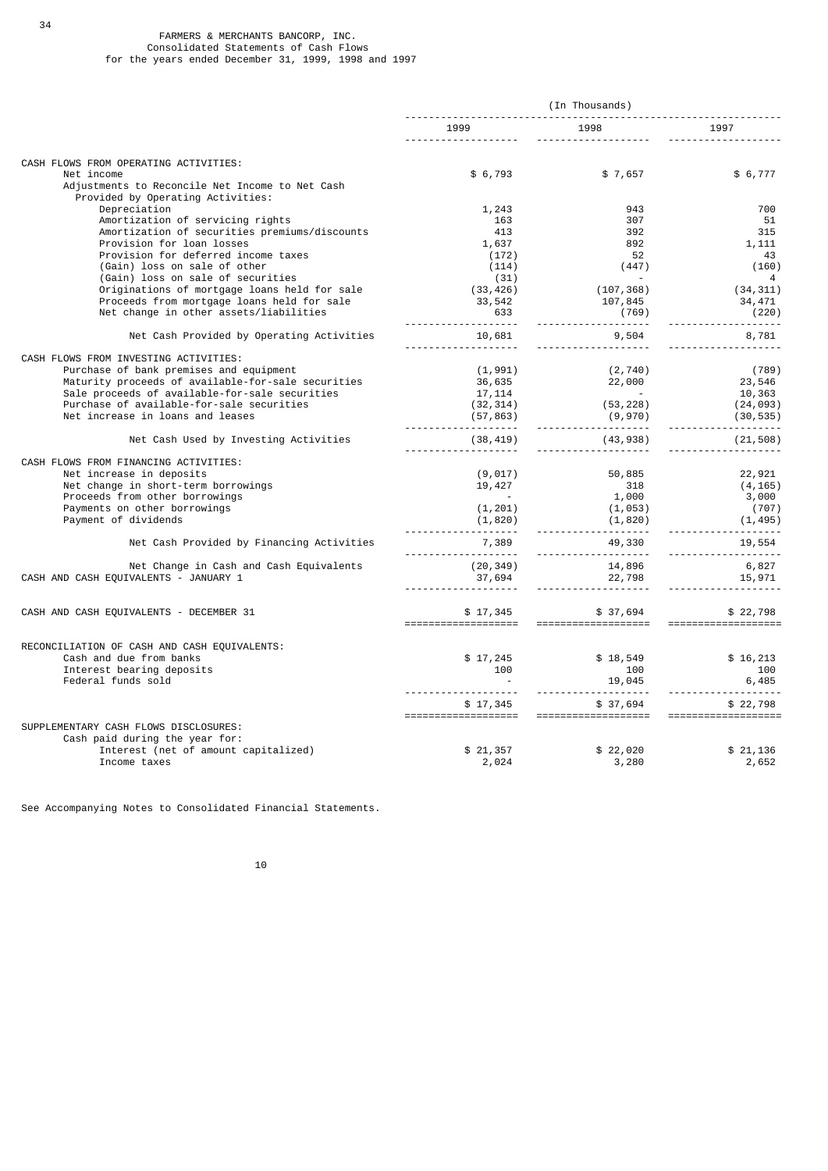## FARMERS & MERCHANTS BANCORP, INC. Consolidated Statements of Cash Flows for the years ended December 31, 1999, 1998 and 1997

34

|                                                                                                    | (In Thousands)                  |                                 |                                  |
|----------------------------------------------------------------------------------------------------|---------------------------------|---------------------------------|----------------------------------|
|                                                                                                    | 1999                            | 1998                            | 1997                             |
| CASH FLOWS FROM OPERATING ACTIVITIES:                                                              |                                 |                                 |                                  |
| Net income<br>Adjustments to Reconcile Net Income to Net Cash<br>Provided by Operating Activities: | \$ 6,793                        | \$7,657                         | \$6,777                          |
| Depreciation                                                                                       | 1,243                           | 943                             | 700                              |
| Amortization of servicing rights                                                                   | 163                             | 307                             | 51                               |
| Amortization of securities premiums/discounts                                                      | 413                             | 392                             | 315                              |
| Provision for loan losses                                                                          | 1,637                           | 892                             | 1,111                            |
| Provision for deferred income taxes                                                                | (172)                           | 52                              | 43                               |
| (Gain) loss on sale of other                                                                       | (114)                           | (447)                           | (160)                            |
| (Gain) loss on sale of securities                                                                  | (31)                            | $\sim$                          | 4                                |
| Originations of mortgage loans held for sale                                                       | (33, 426)                       | (107, 368)                      | (34, 311)                        |
| Proceeds from mortgage loans held for sale                                                         | 33,542                          | 107,845                         | 34,471                           |
| Net change in other assets/liabilities                                                             | 633                             | (769)                           | (220)                            |
| Net Cash Provided by Operating Activities                                                          | 10,681                          | 9,504                           | 8,781                            |
| CASH FLOWS FROM INVESTING ACTIVITIES:                                                              |                                 |                                 |                                  |
| Purchase of bank premises and equipment                                                            | (1, 991)                        | (2, 740)                        | (789)                            |
| Maturity proceeds of available-for-sale securities                                                 | 36,635                          | 22,000                          | 23,546                           |
| Sale proceeds of available-for-sale securities                                                     | 17, 114                         |                                 | 10,363                           |
| Purchase of available-for-sale securities                                                          | (32, 314)                       | (53, 228)                       | (24, 093)                        |
| Net increase in loans and leases                                                                   | (57, 863)                       | (9,970)                         | (30, 535)                        |
|                                                                                                    | .                               | <u>---------</u>                | .                                |
| Net Cash Used by Investing Activities                                                              | (38,419)                        | (43,938)                        | (21, 508)                        |
| CASH FLOWS FROM FINANCING ACTIVITIES:                                                              |                                 |                                 |                                  |
| Net increase in deposits                                                                           | (9, 017)                        | 50,885                          | 22,921                           |
| Net change in short-term borrowings                                                                | 19,427                          | 318                             | (4, 165)                         |
| Proceeds from other borrowings                                                                     |                                 | 1,000                           | 3,000                            |
| Payments on other borrowings                                                                       | (1, 201)                        | (1, 053)                        | (707)                            |
| Payment of dividends                                                                               | (1,820)                         | (1, 820)<br>.                   | (1, 495)                         |
| Net Cash Provided by Financing Activities                                                          | 7,389                           | 49,330                          | 19,554                           |
| Net Change in Cash and Cash Equivalents                                                            | (20, 349)                       | 14,896                          | 6,827                            |
| CASH AND CASH EQUIVALENTS - JANUARY 1                                                              | 37,694                          | 22,798                          | 15,971                           |
|                                                                                                    |                                 |                                 |                                  |
| CASH AND CASH EQUIVALENTS - DECEMBER 31                                                            | \$17,345                        | \$37,694                        | \$22,798<br>==================== |
| RECONCILIATION OF CASH AND CASH EQUIVALENTS:                                                       |                                 |                                 |                                  |
| Cash and due from banks                                                                            | \$17,245                        | \$18,549                        | \$16,213                         |
| Interest bearing deposits                                                                          | 100                             | 100                             | 100                              |
| Federal funds sold                                                                                 |                                 | 19,045                          | 6,485                            |
|                                                                                                    |                                 | .                               | <u>.</u> .                       |
|                                                                                                    | \$17,345<br>=================== | \$37,694<br>=================== | \$22,798<br>===================  |
| SUPPLEMENTARY CASH FLOWS DISCLOSURES:                                                              |                                 |                                 |                                  |
| Cash paid during the year for:                                                                     |                                 |                                 |                                  |
| Interest (net of amount capitalized)                                                               | \$21,357                        | \$22,020                        | \$21,136                         |
| Income taxes                                                                                       | 2,024                           | 3,280                           | 2,652                            |

See Accompanying Notes to Consolidated Financial Statements.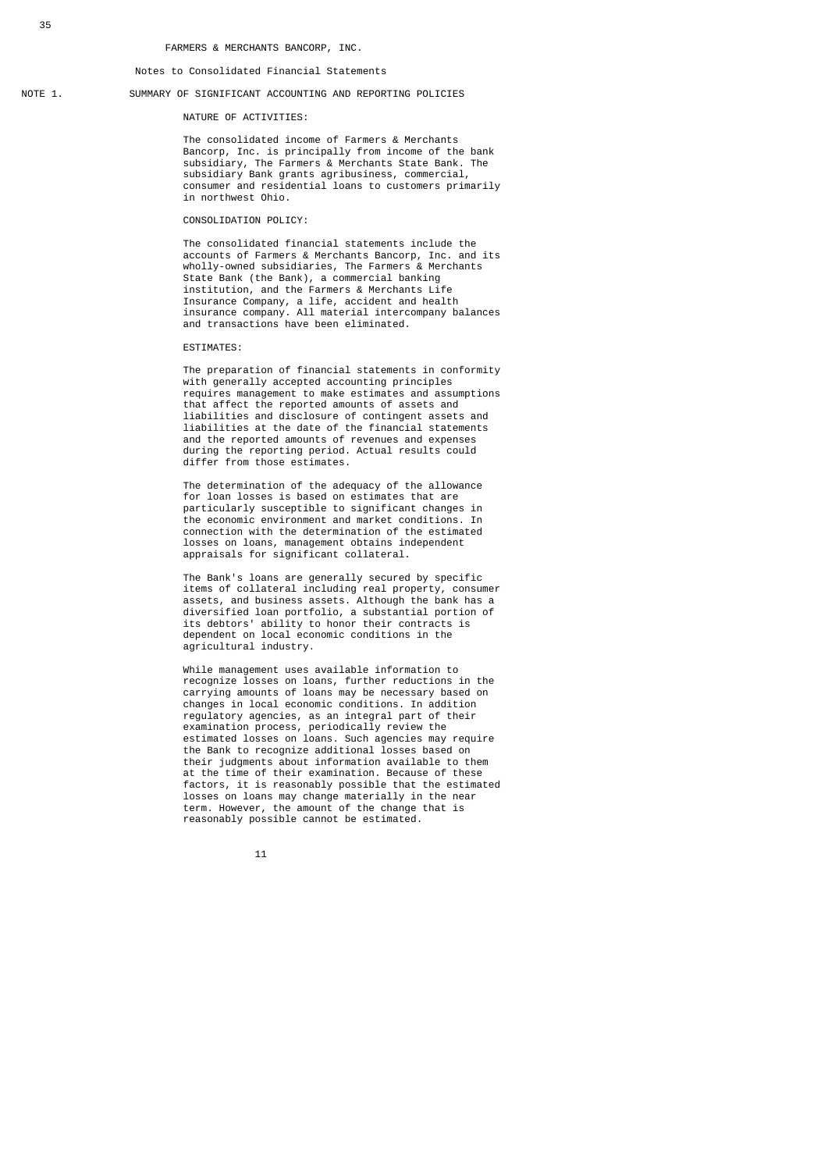Notes to Consolidated Financial Statements

#### NOTE 1. SUMMARY OF SIGNIFICANT ACCOUNTING AND REPORTING POLICIES

NATURE OF ACTIVITIES:

 The consolidated income of Farmers & Merchants Bancorp, Inc. is principally from income of the bank subsidiary, The Farmers & Merchants State Bank. The subsidiary Bank grants agribusiness, commercial, consumer and residential loans to customers primarily in northwest Ohio.

### CONSOLIDATION POLICY:

 The consolidated financial statements include the accounts of Farmers & Merchants Bancorp, Inc. and its wholly-owned subsidiaries, The Farmers & Merchants State Bank (the Bank), a commercial banking institution, and the Farmers & Merchants Life Insurance Company, a life, accident and health insurance company. All material intercompany balances and transactions have been eliminated.

#### ESTIMATES:

 The preparation of financial statements in conformity with generally accepted accounting principles requires management to make estimates and assumptions that affect the reported amounts of assets and liabilities and disclosure of contingent assets and liabilities at the date of the financial statements and the reported amounts of revenues and expenses during the reporting period. Actual results could differ from those estimates.

 The determination of the adequacy of the allowance for loan losses is based on estimates that are particularly susceptible to significant changes in the economic environment and market conditions. In connection with the determination of the estimated losses on loans, management obtains independent appraisals for significant collateral.

 The Bank's loans are generally secured by specific items of collateral including real property, consumer assets, and business assets. Although the bank has a diversified loan portfolio, a substantial portion of its debtors' ability to honor their contracts is dependent on local economic conditions in the agricultural industry.

 While management uses available information to recognize losses on loans, further reductions in the carrying amounts of loans may be necessary based on changes in local economic conditions. In addition regulatory agencies, as an integral part of their examination process, periodically review the estimated losses on loans. Such agencies may require the Bank to recognize additional losses based on their judgments about information available to them at the time of their examination. Because of these factors, it is reasonably possible that the estimated losses on loans may change materially in the near term. However, the amount of the change that is reasonably possible cannot be estimated.

 $11$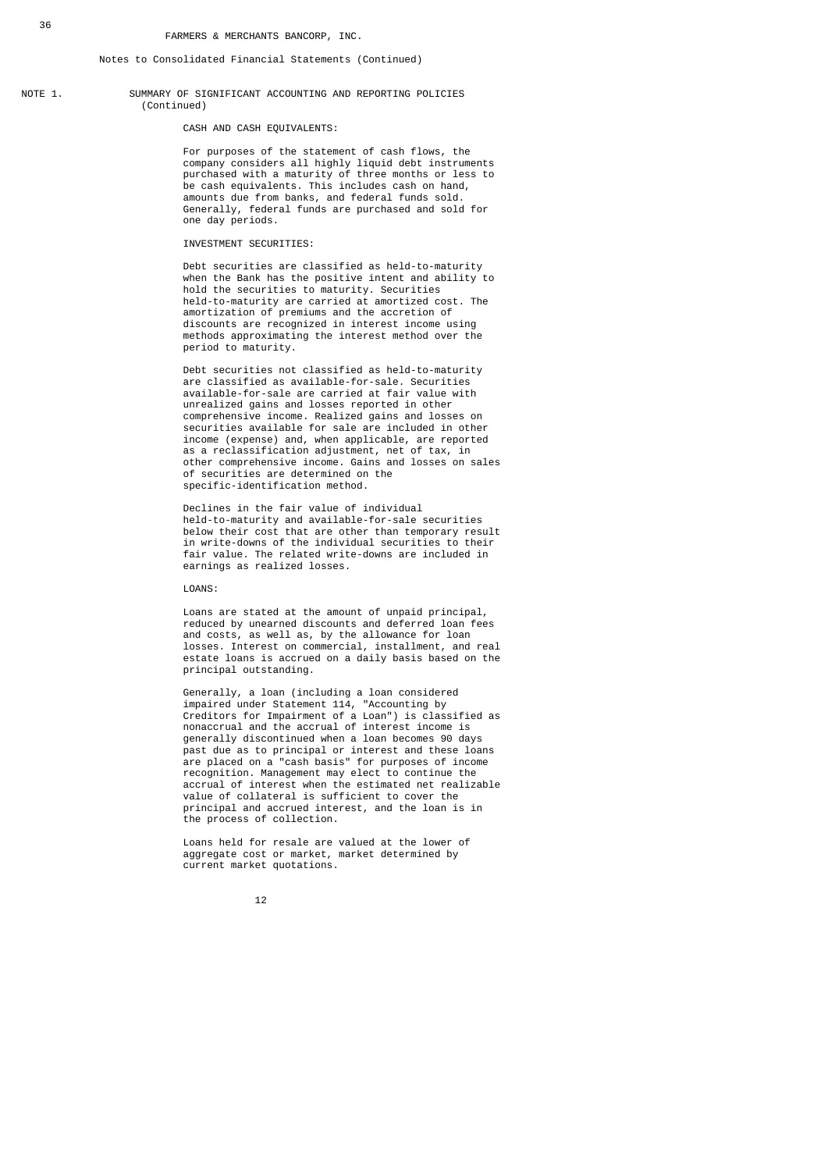#### Notes to Consolidated Financial Statements (Continued)

NOTE 1. SUMMARY OF SIGNIFICANT ACCOUNTING AND REPORTING POLICIES (Continued)

CASH AND CASH EQUIVALENTS:

 For purposes of the statement of cash flows, the company considers all highly liquid debt instruments purchased with a maturity of three months or less to be cash equivalents. This includes cash on hand, amounts due from banks, and federal funds sold. Generally, federal funds are purchased and sold for one day periods.

#### INVESTMENT SECURITIES:

 Debt securities are classified as held-to-maturity when the Bank has the positive intent and ability to hold the securities to maturity. Securities held-to-maturity are carried at amortized cost. The amortization of premiums and the accretion of discounts are recognized in interest income using methods approximating the interest method over the period to maturity.

> Debt securities not classified as held-to-maturity are classified as available-for-sale. Securities available-for-sale are carried at fair value with unrealized gains and losses reported in other comprehensive income. Realized gains and losses on securities available for sale are included in other income (expense) and, when applicable, are reported as a reclassification adjustment, net of tax, in other comprehensive income. Gains and losses on sales of securities are determined on the specific-identification method.

> Declines in the fair value of individual held-to-maturity and available-for-sale securities below their cost that are other than temporary result in write-downs of the individual securities to their fair value. The related write-downs are included in earnings as realized losses.

LOANS:

 Loans are stated at the amount of unpaid principal, reduced by unearned discounts and deferred loan fees and costs, as well as, by the allowance for loan losses. Interest on commercial, installment, and real estate loans is accrued on a daily basis based on the principal outstanding.

 Generally, a loan (including a loan considered impaired under Statement 114, "Accounting by Creditors for Impairment of a Loan") is classified as nonaccrual and the accrual of interest income is generally discontinued when a loan becomes 90 days past due as to principal or interest and these loans are placed on a "cash basis" for purposes of income recognition. Management may elect to continue the accrual of interest when the estimated net realizable value of collateral is sufficient to cover the principal and accrued interest, and the loan is in the process of collection.

> Loans held for resale are valued at the lower of aggregate cost or market, market determined by current market quotations.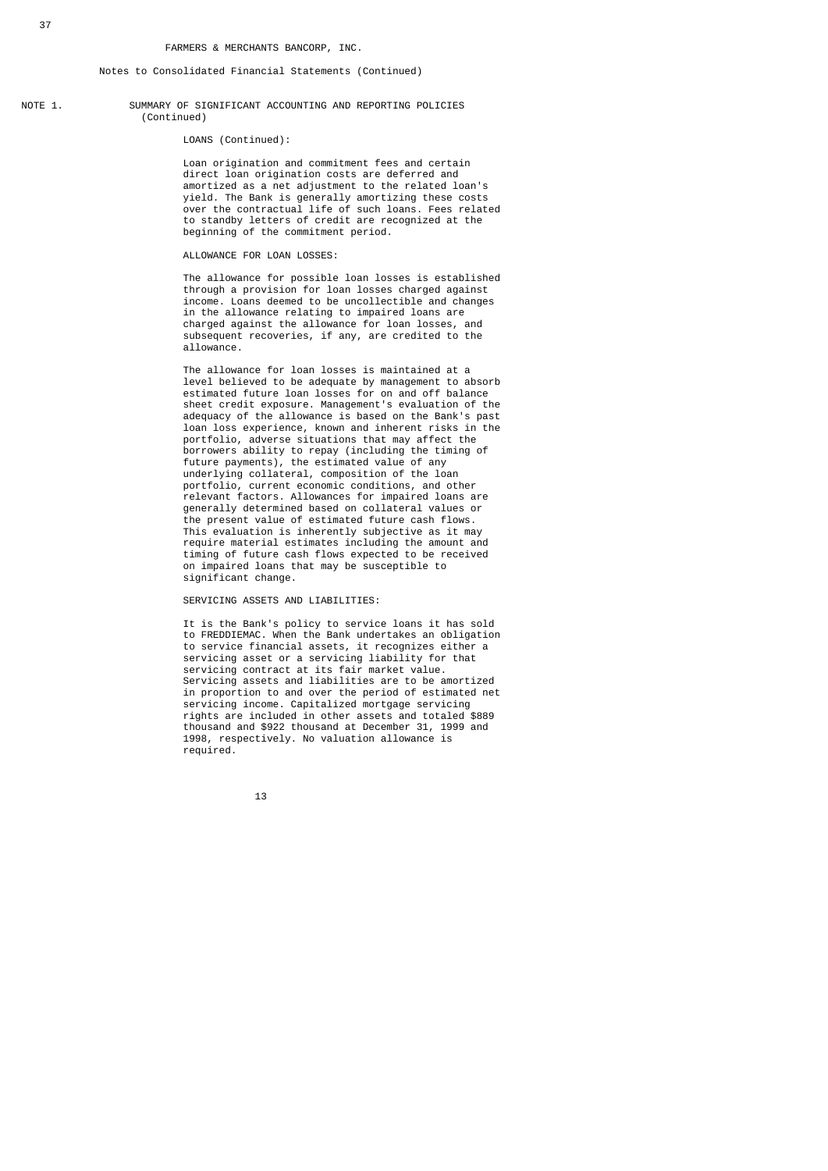NOTE 1. SUMMARY OF SIGNIFICANT ACCOUNTING AND REPORTING POLICIES (Continued)

LOANS (Continued):

 Loan origination and commitment fees and certain direct loan origination costs are deferred and amortized as a net adjustment to the related loan's yield. The Bank is generally amortizing these costs over the contractual life of such loans. Fees related to standby letters of credit are recognized at the beginning of the commitment period.

### ALLOWANCE FOR LOAN LOSSES:

 The allowance for possible loan losses is established through a provision for loan losses charged against income. Loans deemed to be uncollectible and changes in the allowance relating to impaired loans are charged against the allowance for loan losses, and subsequent recoveries, if any, are credited to the allowance.

 The allowance for loan losses is maintained at a level believed to be adequate by management to absorb estimated future loan losses for on and off balance sheet credit exposure. Management's evaluation of the adequacy of the allowance is based on the Bank's past loan loss experience, known and inherent risks in the portfolio, adverse situations that may affect the borrowers ability to repay (including the timing of future payments), the estimated value of any underlying collateral, composition of the loan portfolio, current economic conditions, and other relevant factors. Allowances for impaired loans are generally determined based on collateral values or the present value of estimated future cash flows. This evaluation is inherently subjective as it may require material estimates including the amount and timing of future cash flows expected to be received on impaired loans that may be susceptible to significant change.

SERVICING ASSETS AND LIABILITIES:

 It is the Bank's policy to service loans it has sold to FREDDIEMAC. When the Bank undertakes an obligation to service financial assets, it recognizes either a servicing asset or a servicing liability for that servicing contract at its fair market value. Servicing assets and liabilities are to be amortized in proportion to and over the period of estimated net servicing income. Capitalized mortgage servicing rights are included in other assets and totaled \$889 thousand and \$922 thousand at December 31, 1999 and 1998, respectively. No valuation allowance is required.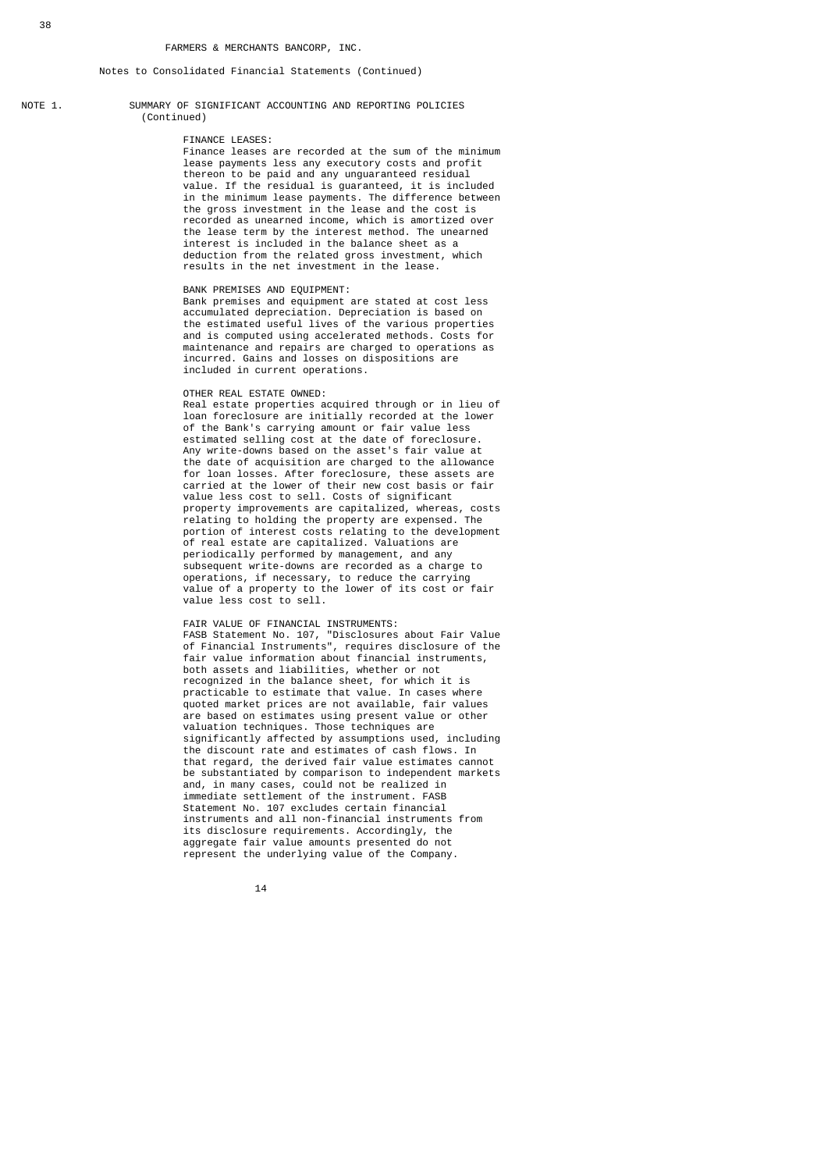NOTE 1. SUMMARY OF SIGNIFICANT ACCOUNTING AND REPORTING POLICIES (Continued)

#### FINANCE LEASES:

 Finance leases are recorded at the sum of the minimum lease payments less any executory costs and profit thereon to be paid and any unguaranteed residual value. If the residual is guaranteed, it is included in the minimum lease payments. The difference between the gross investment in the lease and the cost is recorded as unearned income, which is amortized over the lease term by the interest method. The unearned interest is included in the balance sheet as a deduction from the related gross investment, which results in the net investment in the lease.

#### BANK PREMISES AND EQUIPMENT:

 Bank premises and equipment are stated at cost less accumulated depreciation. Depreciation is based on the estimated useful lives of the various properties and is computed using accelerated methods. Costs for maintenance and repairs are charged to operations as incurred. Gains and losses on dispositions are included in current operations.

#### OTHER REAL ESTATE OWNED:

 Real estate properties acquired through or in lieu of loan foreclosure are initially recorded at the lower of the Bank's carrying amount or fair value less estimated selling cost at the date of foreclosure. Any write-downs based on the asset's fair value at the date of acquisition are charged to the allowance for loan losses. After foreclosure, these assets are carried at the lower of their new cost basis or fair value less cost to sell. Costs of significant property improvements are capitalized, whereas, costs relating to holding the property are expensed. The portion of interest costs relating to the development of real estate are capitalized. Valuations are periodically performed by management, and any subsequent write-downs are recorded as a charge to operations, if necessary, to reduce the carrying value of a property to the lower of its cost or fair value less cost to sell.

 FAIR VALUE OF FINANCIAL INSTRUMENTS: FASB Statement No. 107, "Disclosures about Fair Value of Financial Instruments", requires disclosure of the fair value information about financial instruments, both assets and liabilities, whether or not recognized in the balance sheet, for which it is practicable to estimate that value. In cases where quoted market prices are not available, fair values are based on estimates using present value or other valuation techniques. Those techniques are significantly affected by assumptions used, including the discount rate and estimates of cash flows. In that regard, the derived fair value estimates cannot be substantiated by comparison to independent markets and, in many cases, could not be realized in immediate settlement of the instrument. FASB Statement No. 107 excludes certain financial instruments and all non-financial instruments from its disclosure requirements. Accordingly, the aggregate fair value amounts presented do not represent the underlying value of the Company.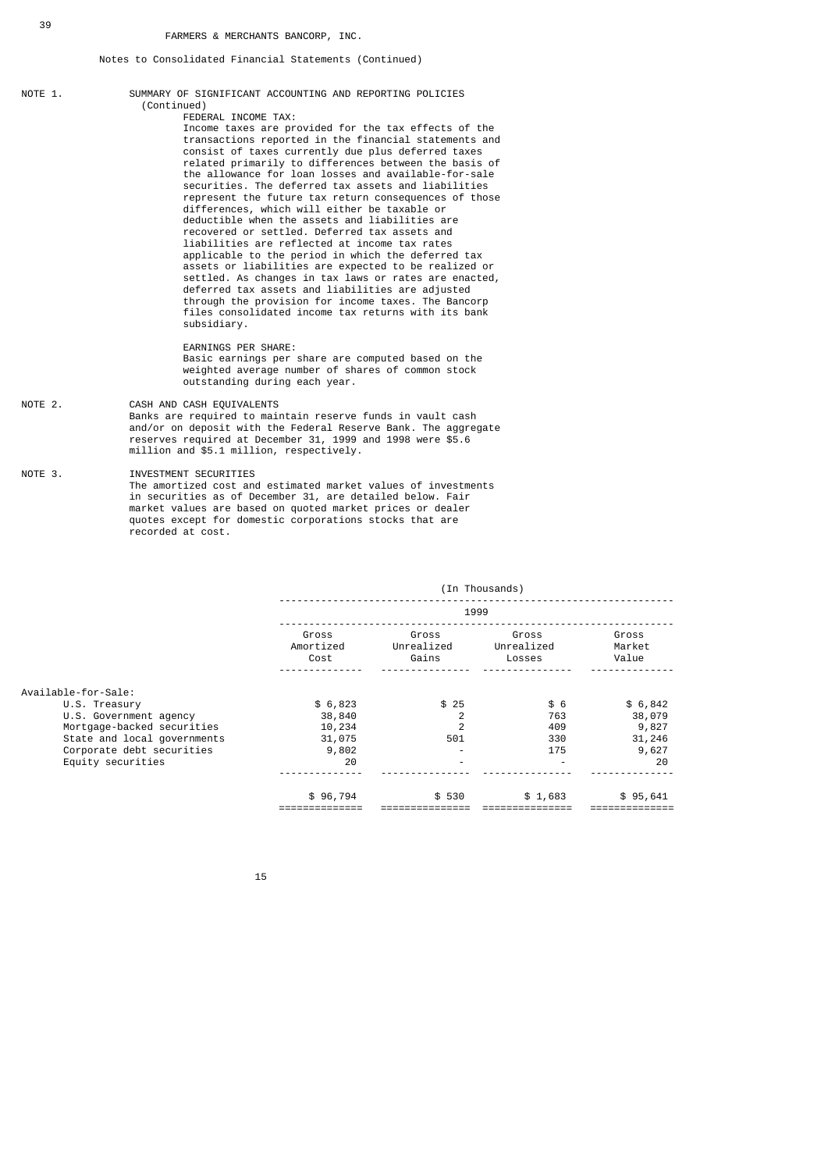- NOTE 1. SUMMARY OF SIGNIFICANT ACCOUNTING AND REPORTING POLICIES (Continued) FEDERAL INCOME TAX: Income taxes are provided for the tax effects of the transactions reported in the financial statements and consist of taxes currently due plus deferred taxes related primarily to differences between the basis of the allowance for loan losses and available-for-sale securities. The deferred tax assets and liabilities represent the future tax return consequences of those differences, which will either be taxable or deductible when the assets and liabilities are recovered or settled. Deferred tax assets and liabilities are reflected at income tax rates applicable to the period in which the deferred tax assets or liabilities are expected to be realized or settled. As changes in tax laws or rates are enacted, deferred tax assets and liabilities are adjusted through the provision for income taxes. The Bancorp files consolidated income tax returns with its bank subsidiary. EARNINGS PER SHARE: Basic earnings per share are computed based on the weighted average number of shares of common stock outstanding during each year. NOTE 2. CASH AND CASH EQUIVALENTS
- Banks are required to maintain reserve funds in vault cash and/or on deposit with the Federal Reserve Bank. The aggregate reserves required at December 31, 1999 and 1998 were \$5.6 million and \$5.1 million, respectively.

NOTE 3. INVESTMENT SECURITIES The amortized cost and estimated market values of investments in securities as of December 31, are detailed below. Fair market values are based on quoted market prices or dealer quotes except for domestic corporations stocks that are recorded at cost.

|                             |                            |                              | (In Thousands)                |                          |
|-----------------------------|----------------------------|------------------------------|-------------------------------|--------------------------|
|                             |                            |                              | 1999                          |                          |
|                             | Gross<br>Amortized<br>Cost | Gross<br>Unrealized<br>Gains | Gross<br>Unrealized<br>Losses | Gross<br>Market<br>Value |
| Available-for-Sale:         |                            |                              |                               |                          |
| U.S. Treasury               | \$6,823                    | \$25                         | \$6                           | \$6,842                  |
| U.S. Government agency      | 38,840                     | $\mathcal{P}$                | 763                           | 38,079                   |
| Mortgage-backed securities  | 10,234                     | $\overline{2}$               | 409                           | 9,827                    |
| State and local governments | 31,075                     | 501                          | 330                           | 31,246                   |
| Corporate debt securities   | 9,802                      |                              | 175                           | 9,627                    |
| Equity securities           | 20                         | ٠                            |                               | 20                       |
|                             | \$96,794                   | \$530                        | \$1,683                       | \$95,641                 |
|                             |                            |                              |                               |                          |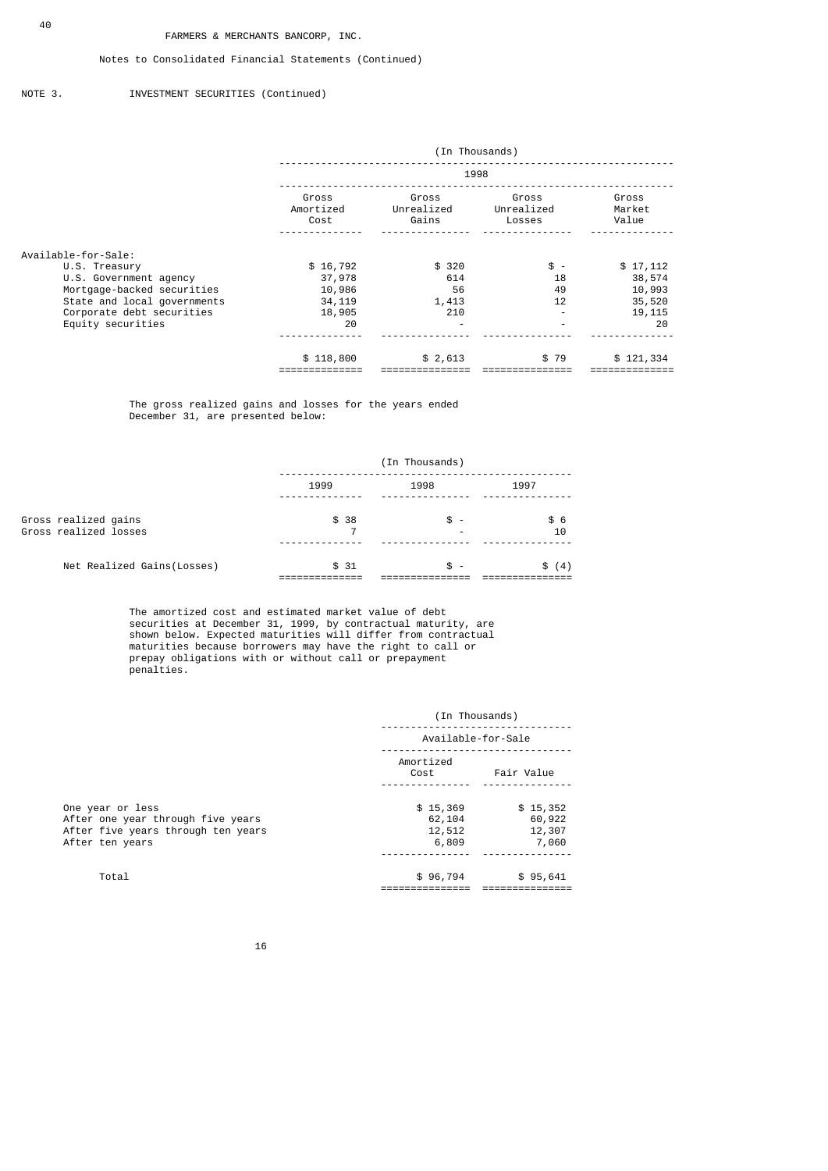### Notes to Consolidated Financial Statements (Continued)

### NOTE 3. INVESTMENT SECURITIES (Continued)

|                             |                            | (In Thousands)               |                               |                          |
|-----------------------------|----------------------------|------------------------------|-------------------------------|--------------------------|
|                             |                            | 1998                         |                               |                          |
|                             | Gross<br>Amortized<br>Cost | Gross<br>Unrealized<br>Gains | Gross<br>Unrealized<br>Losses | Gross<br>Market<br>Value |
| Available-for-Sale:         |                            |                              |                               |                          |
| U.S. Treasury               | \$16,792                   | \$320                        | $$ -$                         | \$17,112                 |
| U.S. Government agency      | 37,978                     | 614                          | 18                            | 38,574                   |
| Mortgage-backed securities  | 10,986                     | 56                           | 49                            | 10,993                   |
| State and local governments | 34, 119                    | 1,413                        | 12                            | 35,520                   |
| Corporate debt securities   | 18,905                     | 210                          |                               | 19,115                   |
| Equity securities           | 20                         | ٠                            |                               | 20                       |
|                             | \$118,800                  | \$2,613                      | \$79                          | \$121,334                |

 The gross realized gains and losses for the years ended December 31, are presented below:

|                                               | (In Thousands) |       |           |
|-----------------------------------------------|----------------|-------|-----------|
|                                               | 1999           | 1998  | 1997      |
| Gross realized gains<br>Gross realized losses | \$38           | \$ -  | \$6<br>10 |
| Net Realized Gains (Losses)                   | \$31           | $s -$ | \$<br>(4) |

 The amortized cost and estimated market value of debt securities at December 31, 1999, by contractual maturity, are shown below. Expected maturities will differ from contractual maturities because borrowers may have the right to call or prepay obligations with or without call or prepayment penalties.

|                                                                                                                | (In Thousands)                        |                                       |
|----------------------------------------------------------------------------------------------------------------|---------------------------------------|---------------------------------------|
|                                                                                                                | Available-for-Sale                    |                                       |
|                                                                                                                | Amortized<br>Cost                     | Fair Value                            |
| One year or less<br>After one year through five years<br>After five years through ten years<br>After ten years | \$15,369<br>62,104<br>12,512<br>6,809 | \$15,352<br>60,922<br>12,307<br>7,060 |
| Total                                                                                                          | \$96,794                              | \$95,641                              |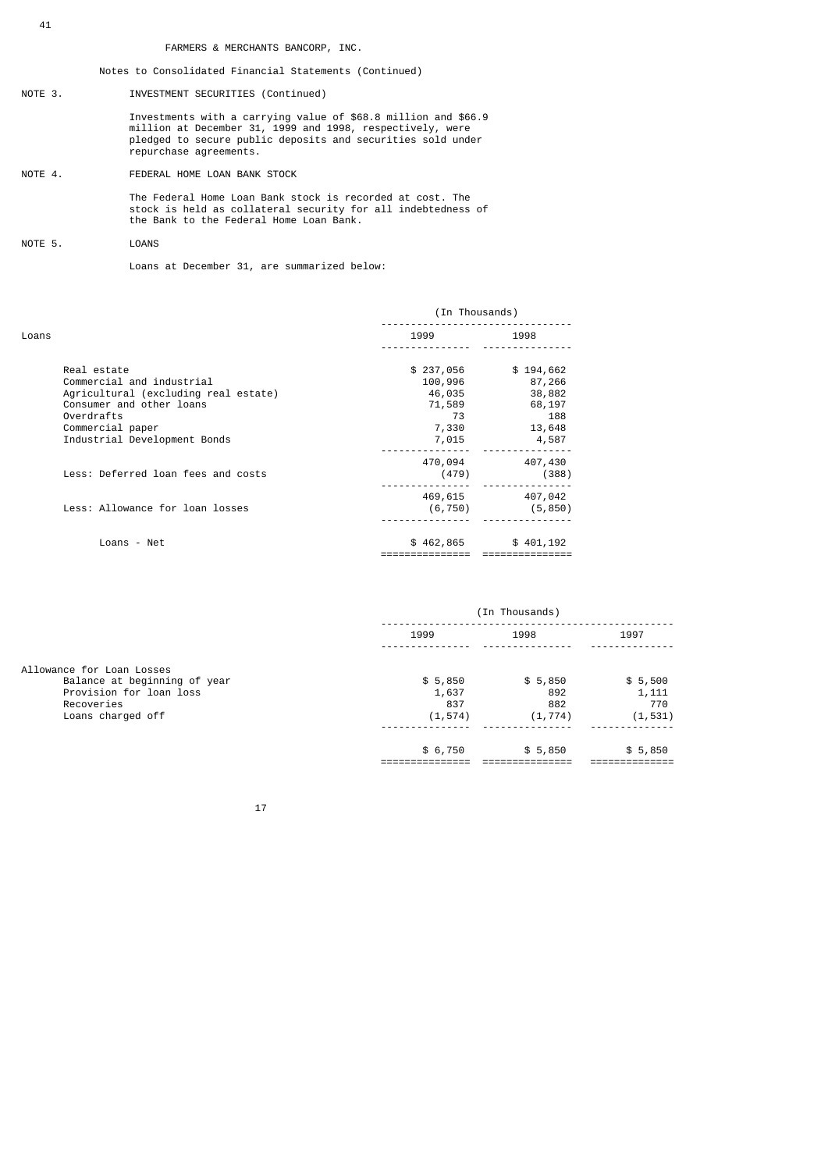Notes to Consolidated Financial Statements (Continued)

NOTE 3. INVESTMENT SECURITIES (Continued)

 Investments with a carrying value of \$68.8 million and \$66.9 million at December 31, 1999 and 1998, respectively, were pledged to secure public deposits and securities sold under repurchase agreements.

NOTE 4. FEDERAL HOME LOAN BANK STOCK

 The Federal Home Loan Bank stock is recorded at cost. The stock is held as collateral security for all indebtedness of the Bank to the Federal Home Loan Bank.

NOTE 5. LOANS

Loans at December 31, are summarized below:

|                                                                                | (In Thousands)         |                         |
|--------------------------------------------------------------------------------|------------------------|-------------------------|
| Loans                                                                          | 1999                   | 1998                    |
| Real estate<br>Commercial and industrial                                       | \$237,056<br>100,996   | \$194,662<br>87,266     |
| Agricultural (excluding real estate)<br>Consumer and other loans<br>Overdrafts | 46,035<br>71,589<br>73 | 38,882<br>68,197<br>188 |
| Commercial paper<br>Industrial Development Bonds                               | 7,330<br>7,015         | 13,648<br>4,587         |
| Less: Deferred loan fees and costs                                             | 470,094<br>(479)       | 407,430<br>(388)        |
| Less: Allowance for loan losses                                                | 469,615<br>(6, 750)    | 407,042<br>(5, 850)     |
| Loans - Net                                                                    | \$462,865              | \$401,192               |
|                                                                                |                        |                         |

|                              | (In Thousands) |          |          |
|------------------------------|----------------|----------|----------|
|                              | 1999           | 1998     | 1997     |
| Allowance for Loan Losses    |                |          |          |
| Balance at beginning of year | \$5,850        | \$5,850  | \$5,500  |
| Provision for loan loss      | 1,637          | 892      | 1,111    |
| Recoveries                   | 837            | 882      | 770      |
| Loans charged off            | (1, 574)       | (1, 774) | (1, 531) |
|                              |                |          |          |
|                              | \$6,750        | \$5,850  | \$5,850  |
|                              |                |          |          |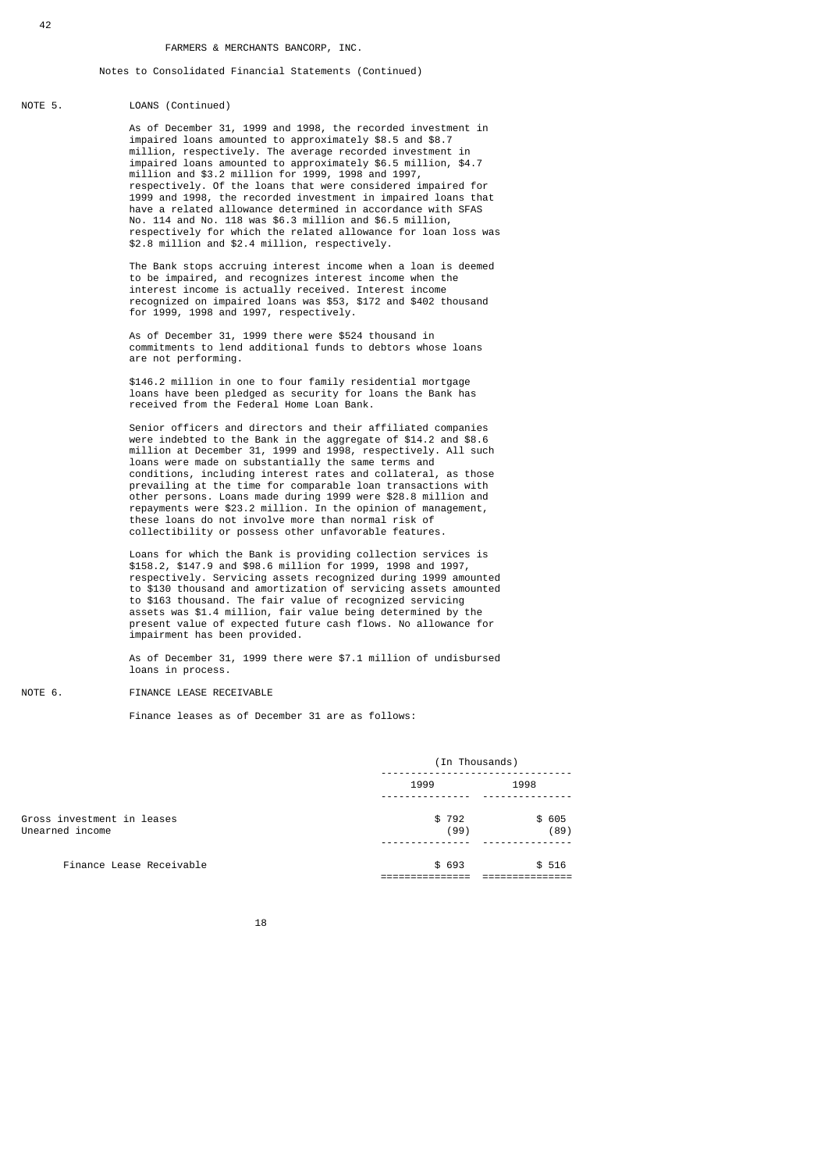#### NOTE 5. LOANS (Continued)

 As of December 31, 1999 and 1998, the recorded investment in impaired loans amounted to approximately \$8.5 and \$8.7 million, respectively. The average recorded investment in impaired loans amounted to approximately \$6.5 million, \$4.7 million and \$3.2 million for 1999, 1998 and 1997, respectively. Of the loans that were considered impaired for 1999 and 1998, the recorded investment in impaired loans that have a related allowance determined in accordance with SFAS No. 114 and No. 118 was \$6.3 million and \$6.5 million, respectively for which the related allowance for loan loss was \$2.8 million and \$2.4 million, respectively.

 The Bank stops accruing interest income when a loan is deemed to be impaired, and recognizes interest income when the interest income is actually received. Interest income recognized on impaired loans was \$53, \$172 and \$402 thousand for 1999, 1998 and 1997, respectively.

> As of December 31, 1999 there were \$524 thousand in commitments to lend additional funds to debtors whose loans are not performing.

 \$146.2 million in one to four family residential mortgage loans have been pledged as security for loans the Bank has received from the Federal Home Loan Bank.

 Senior officers and directors and their affiliated companies were indebted to the Bank in the aggregate of \$14.2 and \$8.6 million at December 31, 1999 and 1998, respectively. All such loans were made on substantially the same terms and conditions, including interest rates and collateral, as those prevailing at the time for comparable loan transactions with other persons. Loans made during 1999 were \$28.8 million and repayments were \$23.2 million. In the opinion of management, these loans do not involve more than normal risk of collectibility or possess other unfavorable features.

> Loans for which the Bank is providing collection services is \$158.2, \$147.9 and \$98.6 million for 1999, 1998 and 1997, respectively. Servicing assets recognized during 1999 amounted to \$130 thousand and amortization of servicing assets amounted to \$163 thousand. The fair value of recognized servicing assets was \$1.4 million, fair value being determined by the present value of expected future cash flows. No allowance for impairment has been provided.

> As of December 31, 1999 there were \$7.1 million of undisbursed loans in process.

### NOTE 6. FINANCE LEASE RECEIVABLE

Finance leases as of December 31 are as follows:

|                                               | (In Thousands) |               |  |
|-----------------------------------------------|----------------|---------------|--|
|                                               | 1999           | 1998          |  |
| Gross investment in leases<br>Unearned income | \$792<br>(99)  | \$605<br>(89) |  |
| Finance Lease Receivable                      | \$ 693         | \$516         |  |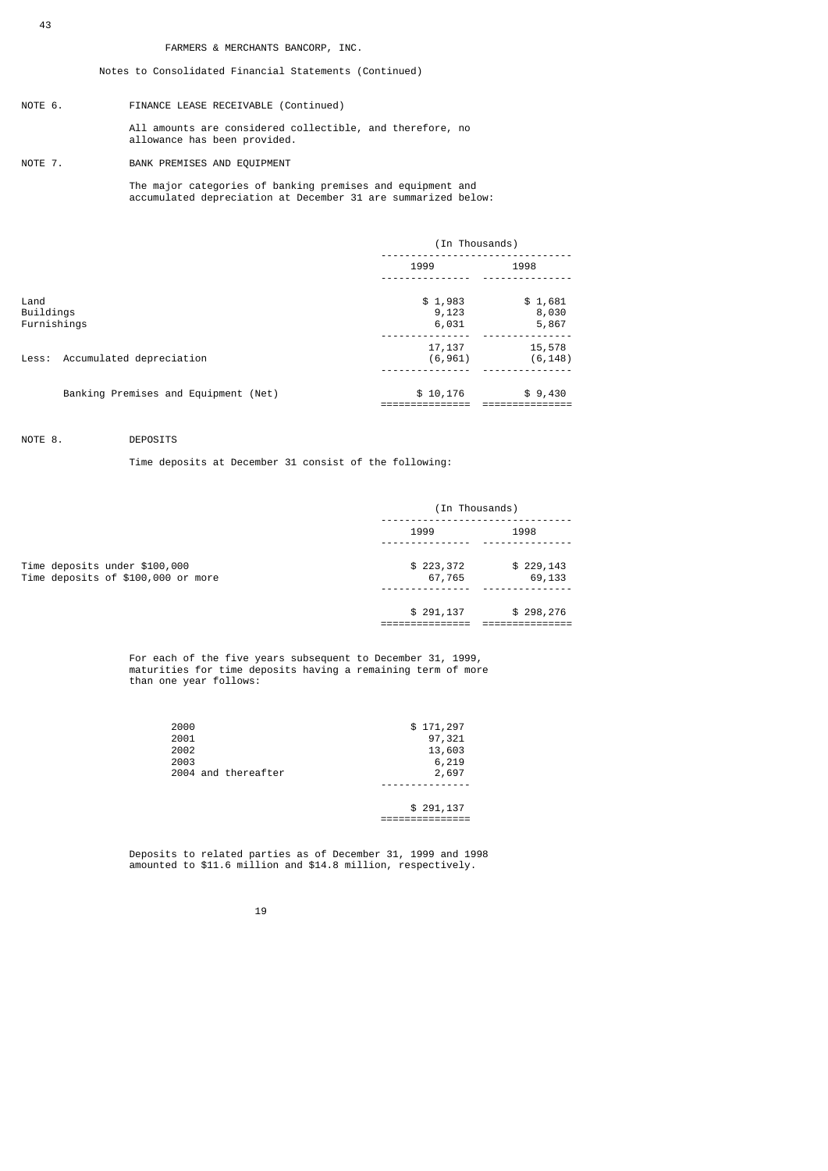## Notes to Consolidated Financial Statements (Continued)

- NOTE 6. FINANCE LEASE RECEIVABLE (Continued) All amounts are considered collectible, and therefore, no allowance has been provided.
- NOTE 7. BANK PREMISES AND EQUIPMENT

 The major categories of banking premises and equipment and accumulated depreciation at December 31 are summarized below:

|                                  |                                      | (In Thousands)            |                           |
|----------------------------------|--------------------------------------|---------------------------|---------------------------|
|                                  |                                      | 1999                      | 1998                      |
| Land<br>Buildings<br>Furnishings |                                      | \$1,983<br>9,123<br>6,031 | \$1,681<br>8,030<br>5,867 |
|                                  | Less: Accumulated depreciation       | 17,137<br>(6, 961)        | 15,578<br>(6, 148)        |
|                                  | Banking Premises and Equipment (Net) | \$10,176                  | \$9,430                   |

## NOTE 8. DEPOSITS

Time deposits at December 31 consist of the following:

|                                                                     | (In Thousands)      |                     |  |
|---------------------------------------------------------------------|---------------------|---------------------|--|
|                                                                     | 1999                | 1998                |  |
| Time deposits under \$100,000<br>Time deposits of \$100,000 or more | \$223,372<br>67,765 | \$229,143<br>69,133 |  |
|                                                                     | \$291,137           | \$298,276           |  |

 For each of the five years subsequent to December 31, 1999, maturities for time deposits having a remaining term of more than one year follows:

| 2000 |                     | \$171,297 |
|------|---------------------|-----------|
| 2001 |                     | 97,321    |
| 2002 |                     | 13,603    |
| 2003 |                     | 6,219     |
|      | 2004 and thereafter | 2,697     |
|      |                     |           |
|      |                     |           |

 \$ 291,137 ===============

 Deposits to related parties as of December 31, 1999 and 1998 amounted to \$11.6 million and \$14.8 million, respectively.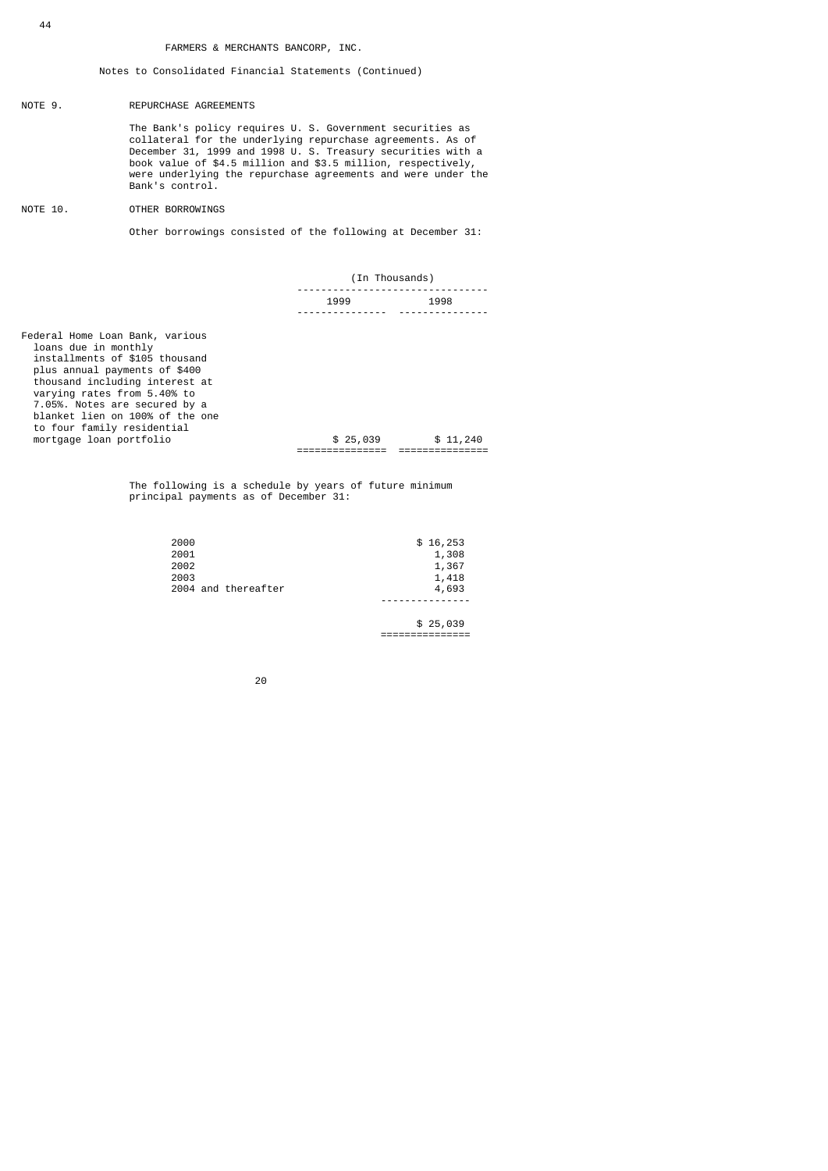### NOTE 9. REPURCHASE AGREEMENTS

 The Bank's policy requires U. S. Government securities as collateral for the underlying repurchase agreements. As of December 31, 1999 and 1998 U. S. Treasury securities with a book value of \$4.5 million and \$3.5 million, respectively, were underlying the repurchase agreements and were under the Bank's control.

NOTE 10. OTHER BORROWINGS

Other borrowings consisted of the following at December 31:

|                                                                                                                                                                                                                                                                                                                          | (In Thousands) |          |  |
|--------------------------------------------------------------------------------------------------------------------------------------------------------------------------------------------------------------------------------------------------------------------------------------------------------------------------|----------------|----------|--|
|                                                                                                                                                                                                                                                                                                                          | 1999           | 1998     |  |
| Federal Home Loan Bank, various<br>loans due in monthly<br>installments of \$105 thousand<br>plus annual payments of \$400<br>thousand including interest at<br>varying rates from 5.40% to<br>7.05%. Notes are secured by a<br>blanket lien on 100% of the one<br>to four family residential<br>mortgage loan portfolio | \$25,039       | \$11,240 |  |

 The following is a schedule by years of future minimum principal payments as of December 31:

| 2000 |                     | \$16,253 |
|------|---------------------|----------|
| 2001 |                     | 1,308    |
| 2002 |                     | 1,367    |
| 2003 |                     | 1,418    |
|      | 2004 and thereafter | 4,693    |
|      |                     |          |

 \$ 25,039 ===============

е процесси производите на 1920 година в 1920 година в 1920 година в 1920 година в 1920 година в 1920 година в<br>В 1920 година в 1920 година в 1920 година в 1920 година в 1920 година в 1920 година в 1920 година в 1920 годин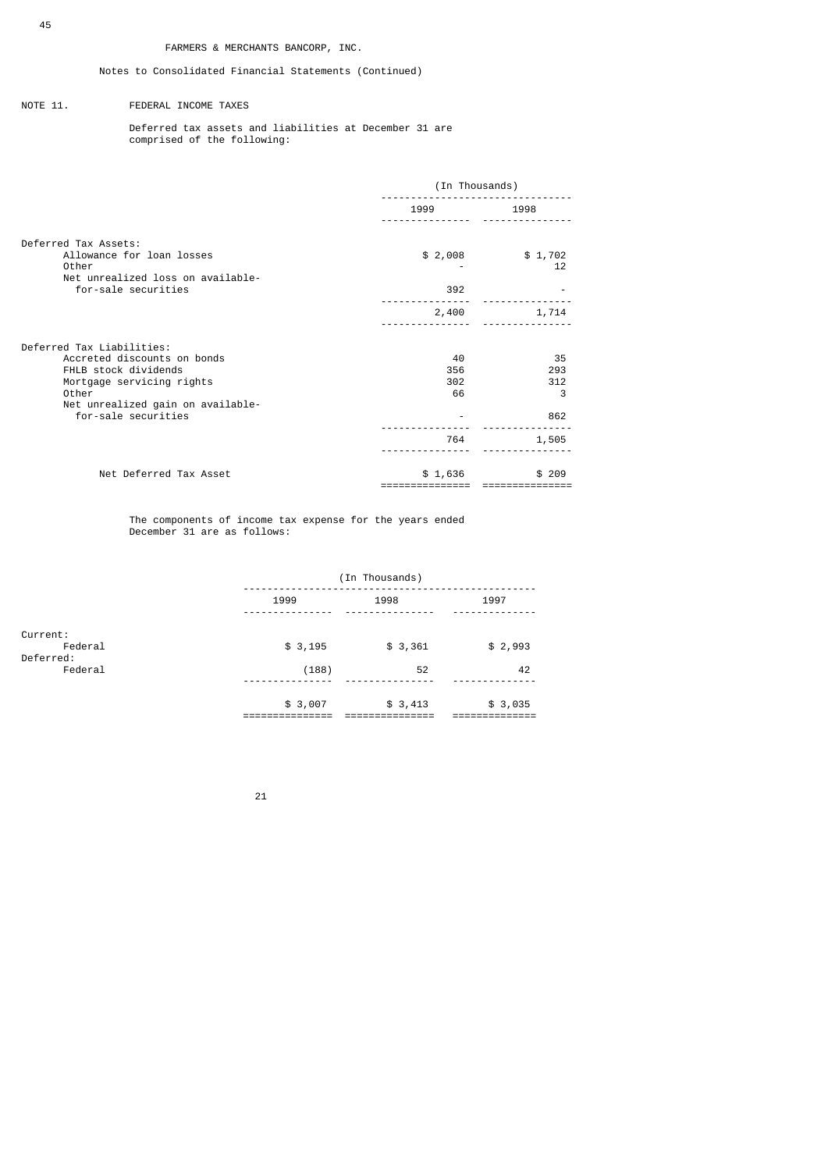### NOTE 11. FEDERAL INCOME TAXES

 Deferred tax assets and liabilities at December 31 are comprised of the following:

|                                                                                                                                                                                    | (In Thousands)                |                                       |  |
|------------------------------------------------------------------------------------------------------------------------------------------------------------------------------------|-------------------------------|---------------------------------------|--|
|                                                                                                                                                                                    | 1999                          | 1998                                  |  |
| Deferred Tax Assets:<br>Allowance for loan losses<br>Other<br>Net unrealized loss on available-<br>for-sale securities                                                             | \$2,008<br>392                | \$1,702<br>12                         |  |
|                                                                                                                                                                                    | 2,400                         | 1,714                                 |  |
| Deferred Tax Liabilities:<br>Accreted discounts on bonds<br>FHLB stock dividends<br>Mortgage servicing rights<br>Other<br>Net unrealized gain on available-<br>for-sale securities | 40<br>356<br>302<br>66<br>764 | 35<br>293<br>312<br>3<br>862<br>1,505 |  |
| Net Deferred Tax Asset                                                                                                                                                             | \$1,636                       | \$209                                 |  |

 The components of income tax expense for the years ended December 31 are as follows:

|                      | (In Thousands) |         |         |  |
|----------------------|----------------|---------|---------|--|
|                      | 1999           | 1998    | 1997    |  |
| Current:<br>Federal  | \$3,195        | \$3,361 | \$2,993 |  |
| Deferred:<br>Federal | (188)          | 52      | 42      |  |
|                      | \$3,007        | \$3,413 | \$3,035 |  |

<u>21</u>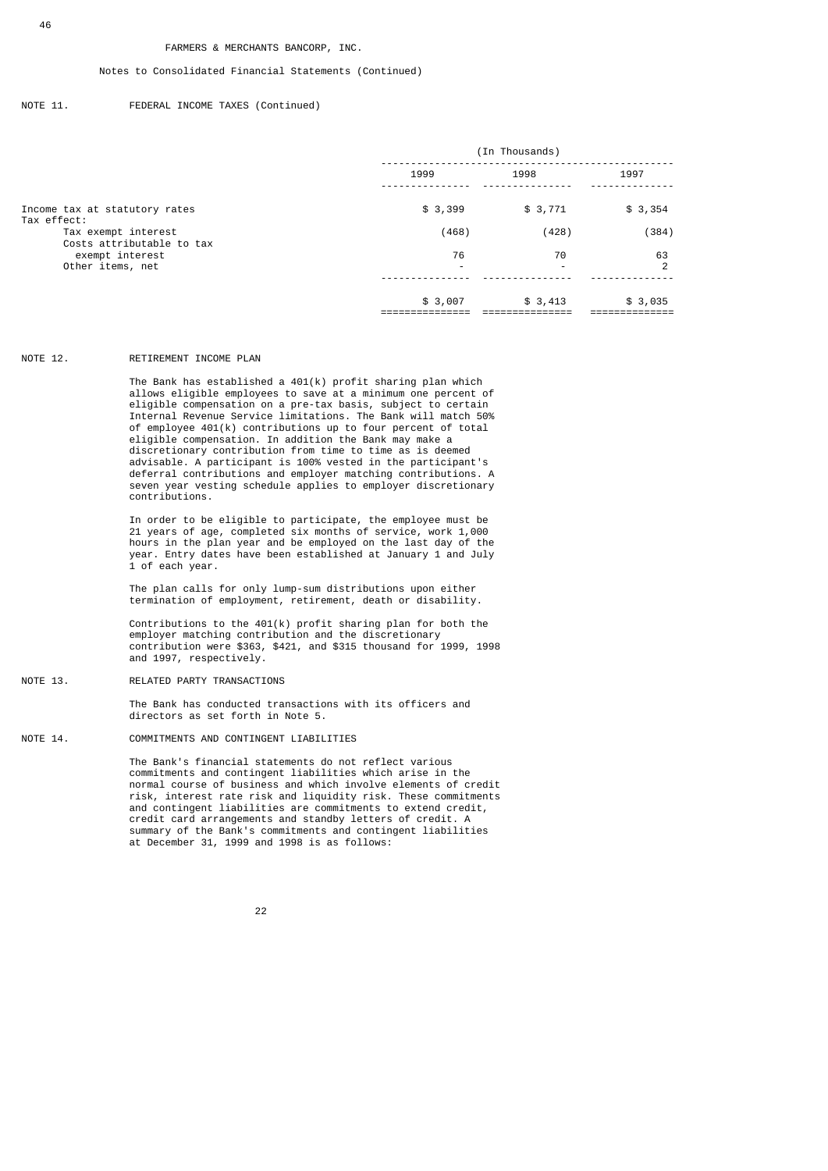### Notes to Consolidated Financial Statements (Continued)

### NOTE 11. FEDERAL INCOME TAXES (Continued)

|                                                  | (In Thousands)           |                |         |  |
|--------------------------------------------------|--------------------------|----------------|---------|--|
|                                                  | 1999                     | 1998           | 1997    |  |
| Income tax at statutory rates<br>Tax effect:     | \$3,399                  | \$3,771        | \$3,354 |  |
| Tax exempt interest<br>Costs attributable to tax | (468)                    | (428)          | (384)   |  |
| exempt interest                                  | 76                       | 70             | 63      |  |
| Other items, net                                 | $\overline{\phantom{0}}$ | $\overline{a}$ | 2       |  |
|                                                  | \$3,007                  | \$3,413        | \$3,035 |  |

#### NOTE 12. RETIREMENT INCOME PLAN

 The Bank has established a 401(k) profit sharing plan which allows eligible employees to save at a minimum one percent of eligible compensation on a pre-tax basis, subject to certain Internal Revenue Service limitations. The Bank will match 50% of employee 401(k) contributions up to four percent of total eligible compensation. In addition the Bank may make a discretionary contribution from time to time as is deemed advisable. A participant is 100% vested in the participant's deferral contributions and employer matching contributions. A seven year vesting schedule applies to employer discretionary contributions.

 In order to be eligible to participate, the employee must be 21 years of age, completed six months of service, work 1,000 hours in the plan year and be employed on the last day of the year. Entry dates have been established at January 1 and July 1 of each year.

> The plan calls for only lump-sum distributions upon either termination of employment, retirement, death or disability.

 Contributions to the 401(k) profit sharing plan for both the employer matching contribution and the discretionary contribution were \$363, \$421, and \$315 thousand for 1999, 1998 and 1997, respectively.

#### NOTE 13. RELATED PARTY TRANSACTIONS

 The Bank has conducted transactions with its officers and directors as set forth in Note 5.

### NOTE 14. COMMITMENTS AND CONTINGENT LIABILITIES

 The Bank's financial statements do not reflect various commitments and contingent liabilities which arise in the normal course of business and which involve elements of credit risk, interest rate risk and liquidity risk. These commitments and contingent liabilities are commitments to extend credit, credit card arrangements and standby letters of credit. A summary of the Bank's commitments and contingent liabilities at December 31, 1999 and 1998 is as follows:

#### <u>22 and 23 and 23 and 23 and 23 and 23 and 23 and 23 and 23 and 23 and 23 and 23 and 23 and 23 and 23 and 23 and 23 and 23 and 23 and 23 and 23 and 23 and 23 and 23 and 23 and 23 and 23 and 23 and 23 and 23 and 23 and 23 a</u>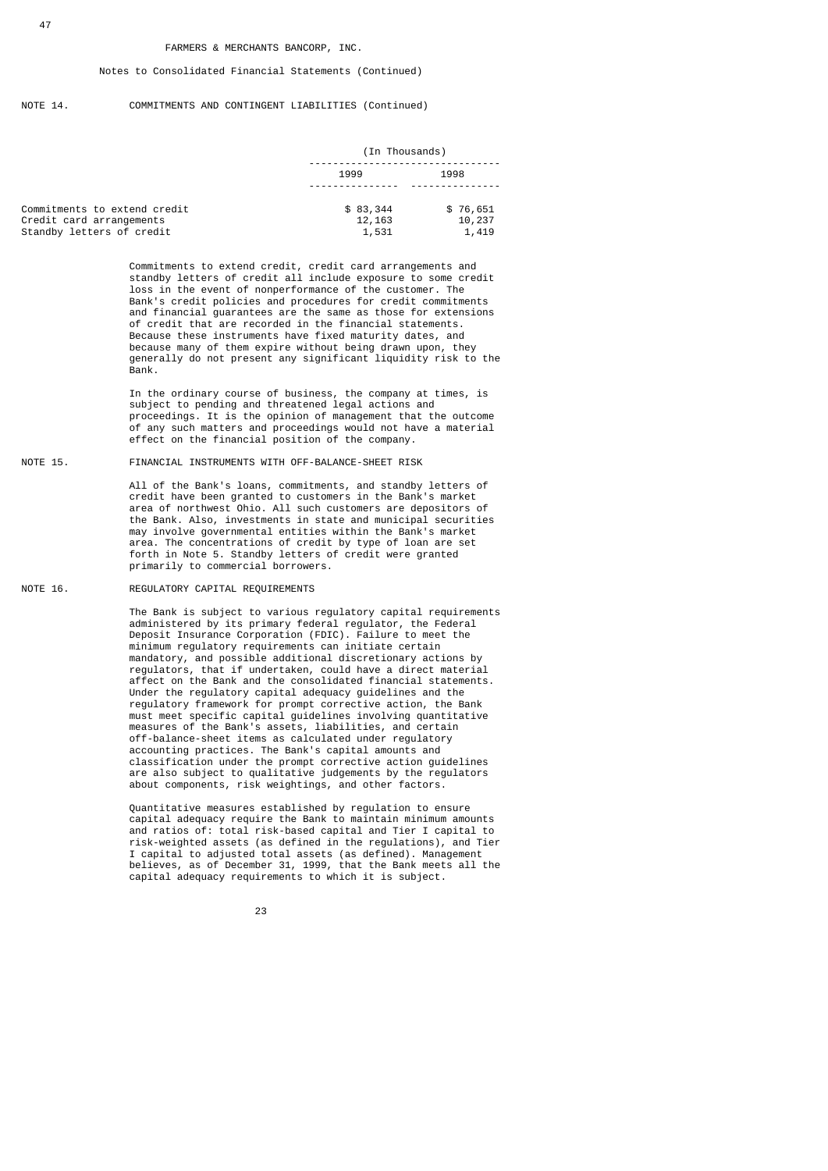#### NOTE 14. COMMITMENTS AND CONTINGENT LIABILITIES (Continued)

|                                                       | (In Thousands)   |                 |  |
|-------------------------------------------------------|------------------|-----------------|--|
|                                                       | 1999             | 1998            |  |
| Commitments to extend credit                          | \$83,344         | \$76,651        |  |
| Credit card arrangements<br>Standby letters of credit | 12, 163<br>1,531 | 10,237<br>1,419 |  |

 Commitments to extend credit, credit card arrangements and standby letters of credit all include exposure to some credit loss in the event of nonperformance of the customer. The Bank's credit policies and procedures for credit commitments and financial guarantees are the same as those for extensions of credit that are recorded in the financial statements. Because these instruments have fixed maturity dates, and because many of them expire without being drawn upon, they generally do not present any significant liquidity risk to the Bank.

> In the ordinary course of business, the company at times, is subject to pending and threatened legal actions and proceedings. It is the opinion of management that the outcome of any such matters and proceedings would not have a material effect on the financial position of the company.

### NOTE 15. FINANCIAL INSTRUMENTS WITH OFF-BALANCE-SHEET RISK

 All of the Bank's loans, commitments, and standby letters of credit have been granted to customers in the Bank's market area of northwest Ohio. All such customers are depositors of the Bank. Also, investments in state and municipal securities may involve governmental entities within the Bank's market area. The concentrations of credit by type of loan are set forth in Note 5. Standby letters of credit were granted primarily to commercial borrowers.

#### NOTE 16. REGULATORY CAPITAL REQUIREMENTS

 The Bank is subject to various regulatory capital requirements administered by its primary federal regulator, the Federal Deposit Insurance Corporation (FDIC). Failure to meet the minimum regulatory requirements can initiate certain mandatory, and possible additional discretionary actions by regulators, that if undertaken, could have a direct material affect on the Bank and the consolidated financial statements. Under the regulatory capital adequacy guidelines and the regulatory framework for prompt corrective action, the Bank must meet specific capital guidelines involving quantitative measures of the Bank's assets, liabilities, and certain off-balance-sheet items as calculated under regulatory accounting practices. The Bank's capital amounts and classification under the prompt corrective action guidelines are also subject to qualitative judgements by the regulators about components, risk weightings, and other factors.

 Quantitative measures established by regulation to ensure capital adequacy require the Bank to maintain minimum amounts and ratios of: total risk-based capital and Tier I capital to risk-weighted assets (as defined in the regulations), and Tier I capital to adjusted total assets (as defined). Management believes, as of December 31, 1999, that the Bank meets all the capital adequacy requirements to which it is subject.

<u>23 and 23 and 23 and 23 and 23 and 23 and 23 and 23 and 23 and 23 and 23 and 23 and 23 and 23 and 23 and 23 and 23 and 23 and 23 and 23 and 23 and 23 and 23 and 23 and 23 and 23 and 23 and 23 and 23 and 23 and 23 and 23 a</u>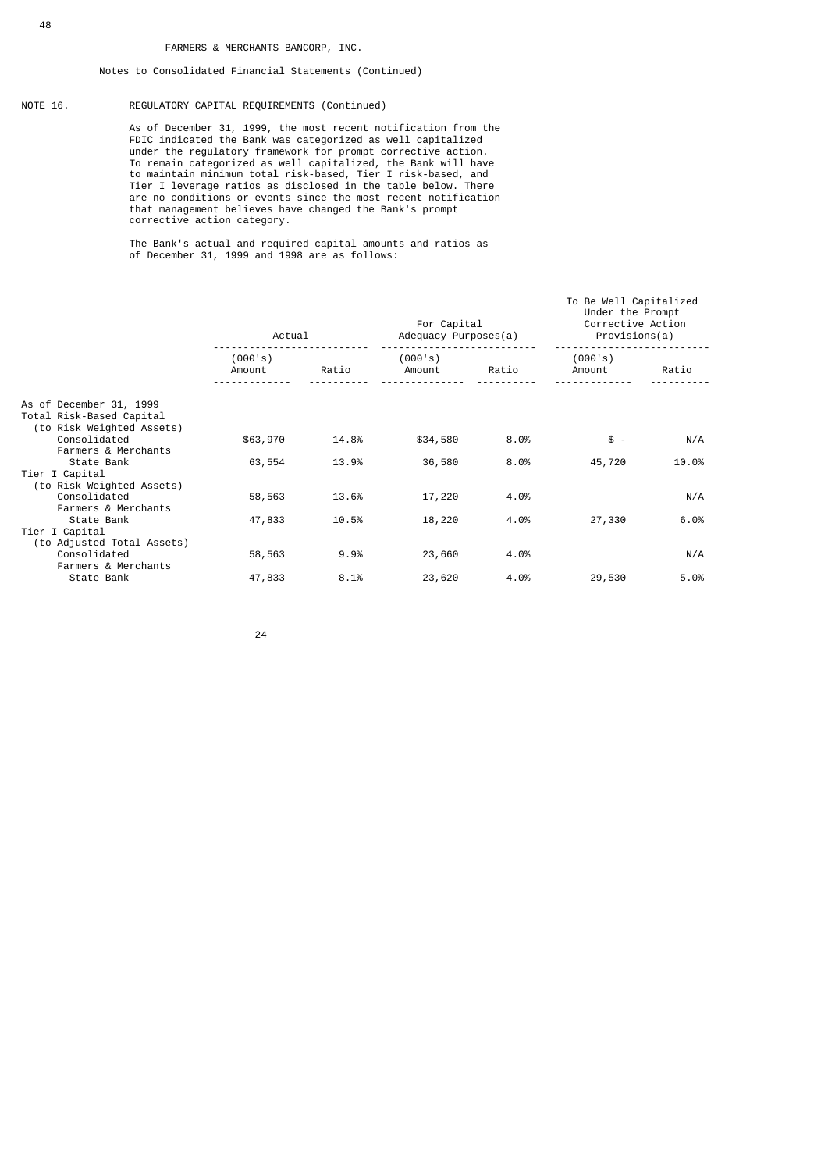### NOTE 16. REGULATORY CAPITAL REQUIREMENTS (Continued)

 As of December 31, 1999, the most recent notification from the FDIC indicated the Bank was categorized as well capitalized under the regulatory framework for prompt corrective action. To remain categorized as well capitalized, the Bank will have to maintain minimum total risk-based, Tier I risk-based, and Tier I leverage ratios as disclosed in the table below. There are no conditions or events since the most recent notification that management believes have changed the Bank's prompt corrective action category.

 The Bank's actual and required capital amounts and ratios as of December 31, 1999 and 1998 are as follows:

|                                                                                  | Actual            |       | For Capital<br>Adequacy Purposes(a) |       | To Be Well Capitalized<br>Under the Prompt<br>Corrective Action<br>Provisions(a) |       |
|----------------------------------------------------------------------------------|-------------------|-------|-------------------------------------|-------|----------------------------------------------------------------------------------|-------|
|                                                                                  | (000's)<br>Amount | Ratio | (000's)<br>Amount                   | Ratio | (000's)<br>Amount                                                                | Ratio |
| As of December 31, 1999<br>Total Risk-Based Capital<br>(to Risk Weighted Assets) |                   |       |                                     |       |                                                                                  |       |
| Consolidated<br>Farmers & Merchants                                              | \$63,970          | 14.8% | \$34,580                            | 8.0%  | $$ -$                                                                            | N/A   |
| State Bank<br>Tier I Capital<br>(to Risk Weighted Assets)                        | 63,554            | 13.9% | 36,580                              | 8.0%  | 45,720                                                                           | 10.0% |
| Consolidated<br>Farmers & Merchants                                              | 58,563            | 13.6% | 17,220                              | 4.0%  |                                                                                  | N/A   |
| State Bank<br>Tier I Capital<br>(to Adjusted Total Assets)                       | 47,833            | 10.5% | 18,220                              | 4.0%  | 27,330                                                                           | 6.0%  |
| Consolidated<br>Farmers & Merchants                                              | 58,563            | 9.9%  | 23,660                              | 4.0%  |                                                                                  | N/A   |
| State Bank                                                                       | 47,833            | 8.1%  | 23,620                              | 4.0%  | 29,530                                                                           | 5.0%  |

<u>24 and 24</u>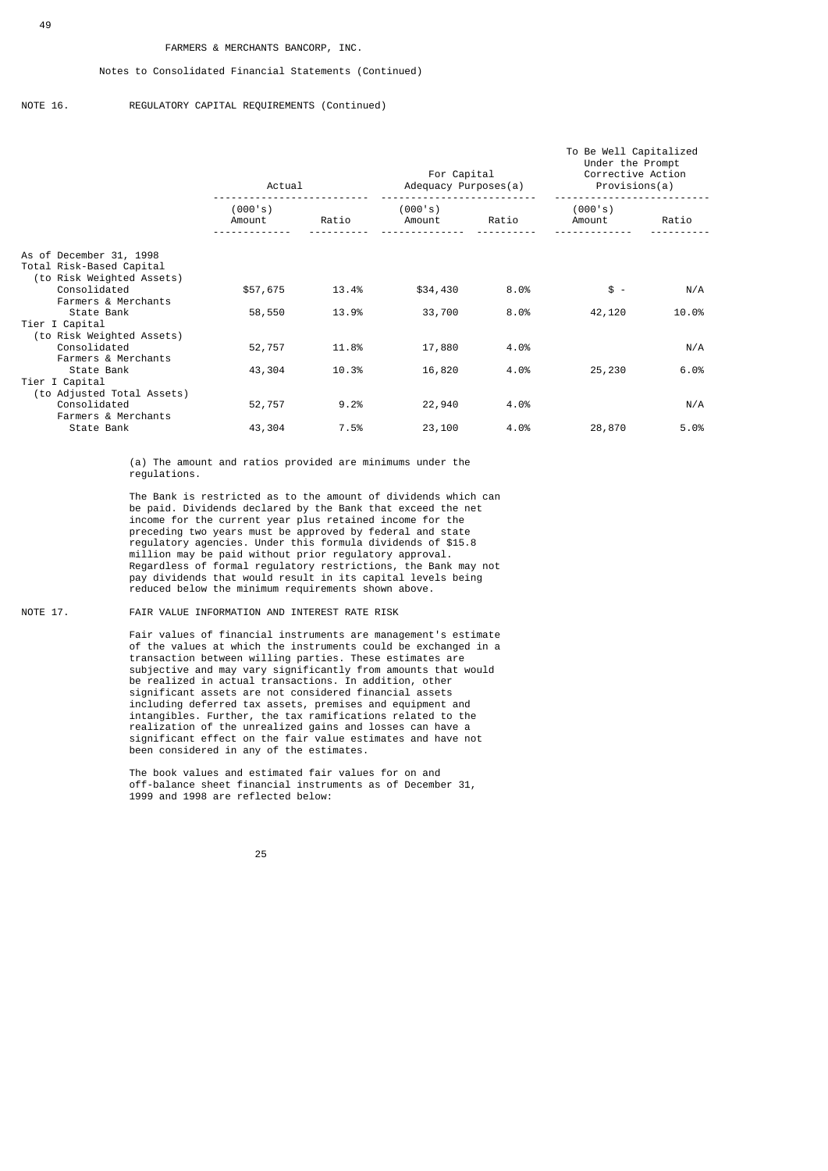NOTE 16. REGULATORY CAPITAL REQUIREMENTS (Continued)

|                                                                                                                         | Actual            |                | For Capital<br>Adequacy Purposes(a) |              | To Be Well Capitalized<br>Under the Prompt<br>Corrective Action<br>Provisions(a) |             |
|-------------------------------------------------------------------------------------------------------------------------|-------------------|----------------|-------------------------------------|--------------|----------------------------------------------------------------------------------|-------------|
|                                                                                                                         | (000's)<br>Amount | Ratio          | (000's)<br>Amount                   | Ratio        | (000's)<br>Amount                                                                | Ratio       |
| As of December 31, 1998<br>Total Risk-Based Capital<br>(to Risk Weighted Assets)<br>Consolidated<br>Farmers & Merchants | \$57,675          | 13.4%          | \$34,430                            | 8.0%         | $$ -$                                                                            | N/A         |
| State Bank<br>Tier I Capital<br>(to Risk Weighted Assets)                                                               | 58,550            | 13.9%          | 33,700                              | 8.0%         | 42,120                                                                           | 10.0%       |
| Consolidated<br>Farmers & Merchants<br>State Bank                                                                       | 52,757<br>43,304  | 11.8%<br>10.3% | 17,880<br>16,820                    | 4.0%<br>4.0% | 25,230                                                                           | N/A<br>6.0% |
| Tier I Capital<br>(to Adjusted Total Assets)<br>Consolidated                                                            | 52,757            | 9.2%           | 22,940                              | 4.0%         |                                                                                  | N/A         |
| Farmers & Merchants<br>State Bank                                                                                       | 43,304            | 7.5%           | 23,100                              | 4.0%         | 28,870                                                                           | 5.0%        |

 (a) The amount and ratios provided are minimums under the regulations.

 The Bank is restricted as to the amount of dividends which can be paid. Dividends declared by the Bank that exceed the net income for the current year plus retained income for the preceding two years must be approved by federal and state regulatory agencies. Under this formula dividends of \$15.8 million may be paid without prior regulatory approval. Regardless of formal regulatory restrictions, the Bank may not pay dividends that would result in its capital levels being reduced below the minimum requirements shown above.

NOTE 17. FAIR VALUE INFORMATION AND INTEREST RATE RISK

 Fair values of financial instruments are management's estimate of the values at which the instruments could be exchanged in a transaction between willing parties. These estimates are subjective and may vary significantly from amounts that would be realized in actual transactions. In addition, other significant assets are not considered financial assets including deferred tax assets, premises and equipment and intangibles. Further, the tax ramifications related to the realization of the unrealized gains and losses can have a significant effect on the fair value estimates and have not been considered in any of the estimates.

> The book values and estimated fair values for on and off-balance sheet financial instruments as of December 31, 1999 and 1998 are reflected below: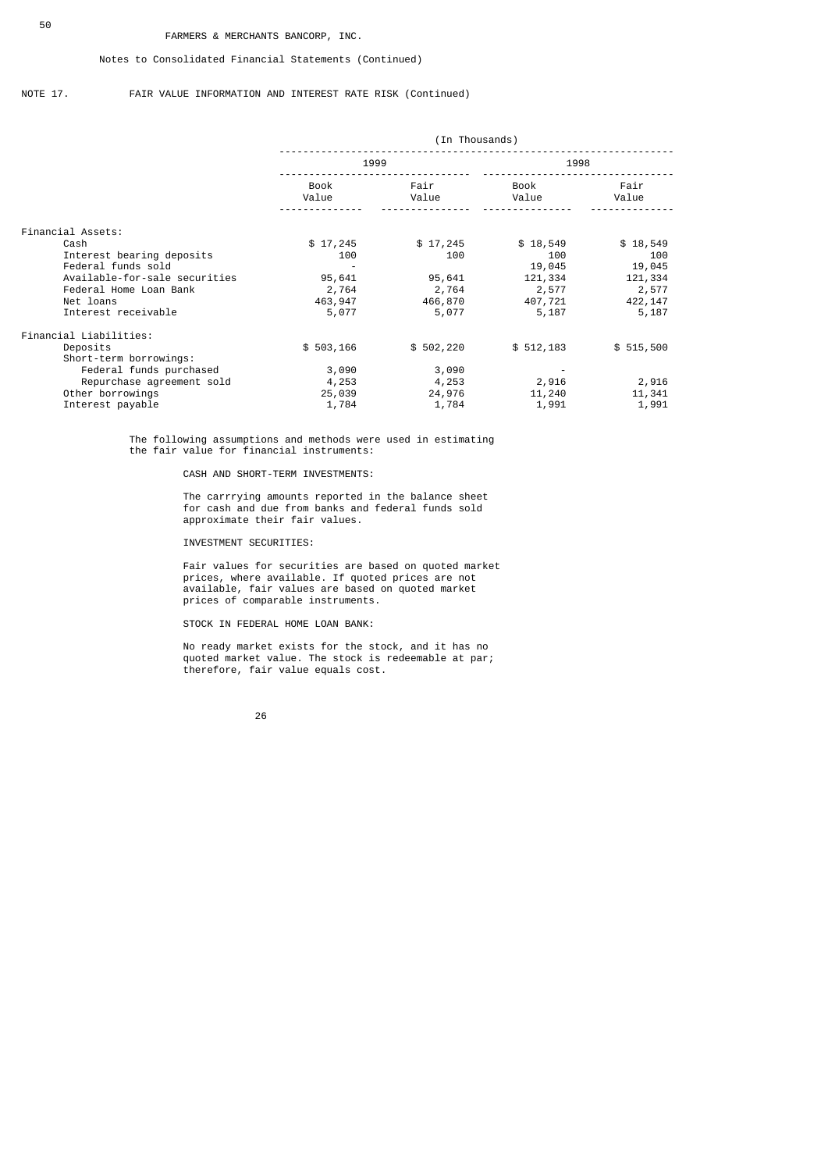### Notes to Consolidated Financial Statements (Continued)

### NOTE 17. FAIR VALUE INFORMATION AND INTEREST RATE RISK (Continued)

|                               | (In Thousands) |               |               |               |
|-------------------------------|----------------|---------------|---------------|---------------|
|                               | 1999           |               | 1998          |               |
|                               | Book<br>Value  | Fair<br>Value | Book<br>Value | Fair<br>Value |
| Financial Assets:             |                |               |               |               |
| Cash                          | \$17,245       | \$17,245      | \$18,549      | \$18,549      |
| Interest bearing deposits     | 100            | 100           | 100           | 100           |
| Federal funds sold            |                |               | 19,045        | 19,045        |
| Available-for-sale securities | 95,641         | 95,641        | 121,334       | 121,334       |
| Federal Home Loan Bank        | 2,764          | 2,764         | 2,577         | 2,577         |
| Net loans                     | 463, 947       | 466,870       | 407,721       | 422, 147      |
| Interest receivable           | 5,077          | 5,077         | 5,187         | 5,187         |
| Financial Liabilities:        |                |               |               |               |
| Deposits                      | \$503, 166     | \$502,220     | \$512,183     | \$515,500     |
| Short-term borrowings:        |                |               |               |               |
| Federal funds purchased       | 3,090          | 3,090         |               |               |
| Repurchase agreement sold     | 4,253          | 4,253         | 2,916         | 2,916         |
| Other borrowings              | 25,039         | 24,976        | 11,240        | 11,341        |
| Interest payable              | 1,784          | 1,784         | 1,991         | 1,991         |

 The following assumptions and methods were used in estimating the fair value for financial instruments:

### CASH AND SHORT-TERM INVESTMENTS:

 The carrrying amounts reported in the balance sheet for cash and due from banks and federal funds sold approximate their fair values.

INVESTMENT SECURITIES:

 Fair values for securities are based on quoted market prices, where available. If quoted prices are not available, fair values are based on quoted market prices of comparable instruments.

STOCK IN FEDERAL HOME LOAN BANK:

 No ready market exists for the stock, and it has no quoted market value. The stock is redeemable at par; therefore, fair value equals cost.

<u>26 and 26</u>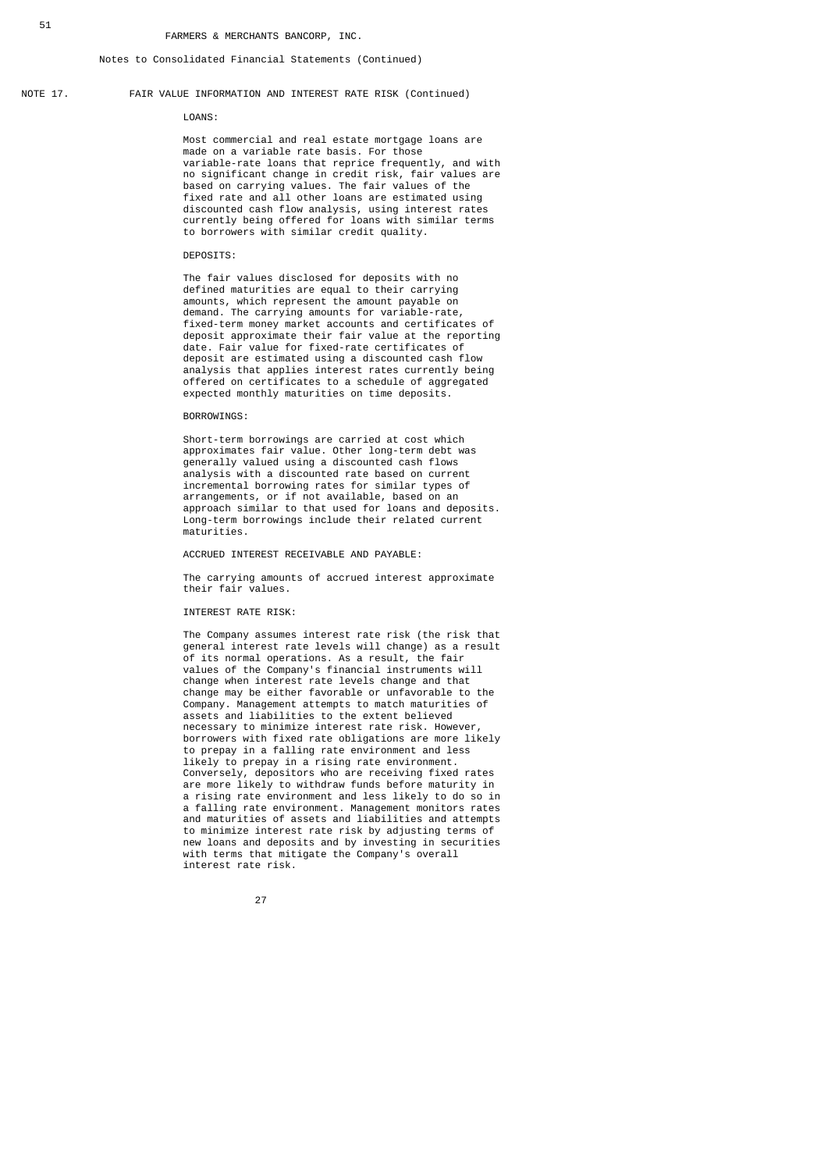### NOTE 17. FAIR VALUE INFORMATION AND INTEREST RATE RISK (Continued)

#### LOANS:

 Most commercial and real estate mortgage loans are made on a variable rate basis. For those variable-rate loans that reprice frequently, and with no significant change in credit risk, fair values are based on carrying values. The fair values of the fixed rate and all other loans are estimated using discounted cash flow analysis, using interest rates currently being offered for loans with similar terms to borrowers with similar credit quality.

### DEPOSITS:

 The fair values disclosed for deposits with no defined maturities are equal to their carrying amounts, which represent the amount payable on demand. The carrying amounts for variable-rate, fixed-term money market accounts and certificates of deposit approximate their fair value at the reporting date. Fair value for fixed-rate certificates of deposit are estimated using a discounted cash flow analysis that applies interest rates currently being offered on certificates to a schedule of aggregated expected monthly maturities on time deposits.

#### BORROWINGS:

 Short-term borrowings are carried at cost which approximates fair value. Other long-term debt was generally valued using a discounted cash flows analysis with a discounted rate based on current incremental borrowing rates for similar types of arrangements, or if not available, based on an approach similar to that used for loans and deposits. Long-term borrowings include their related current maturities.

### ACCRUED INTEREST RECEIVABLE AND PAYABLE:

 The carrying amounts of accrued interest approximate their fair values.

#### INTEREST RATE RISK:

 The Company assumes interest rate risk (the risk that general interest rate levels will change) as a result of its normal operations. As a result, the fair values of the Company's financial instruments will change when interest rate levels change and that change may be either favorable or unfavorable to the Company. Management attempts to match maturities of assets and liabilities to the extent believed necessary to minimize interest rate risk. However, borrowers with fixed rate obligations are more likely to prepay in a falling rate environment and less likely to prepay in a rising rate environment. Conversely, depositors who are receiving fixed rates are more likely to withdraw funds before maturity in a rising rate environment and less likely to do so in a falling rate environment. Management monitors rates and maturities of assets and liabilities and attempts to minimize interest rate risk by adjusting terms of new loans and deposits and by investing in securities with terms that mitigate the Company's overall interest rate risk.

<u>27 and 27 and 27 and 27 and 27 and 27 and 27 and 27 and 27 and 27 and 27 and 27 and 27 and 27 and 27 and 27 and 27 and 27 and 27 and 27 and 27 and 27 and 27 and 27 and 27 and 27 and 27 and 27 and 27 and 27 and 27 and 27 a</u>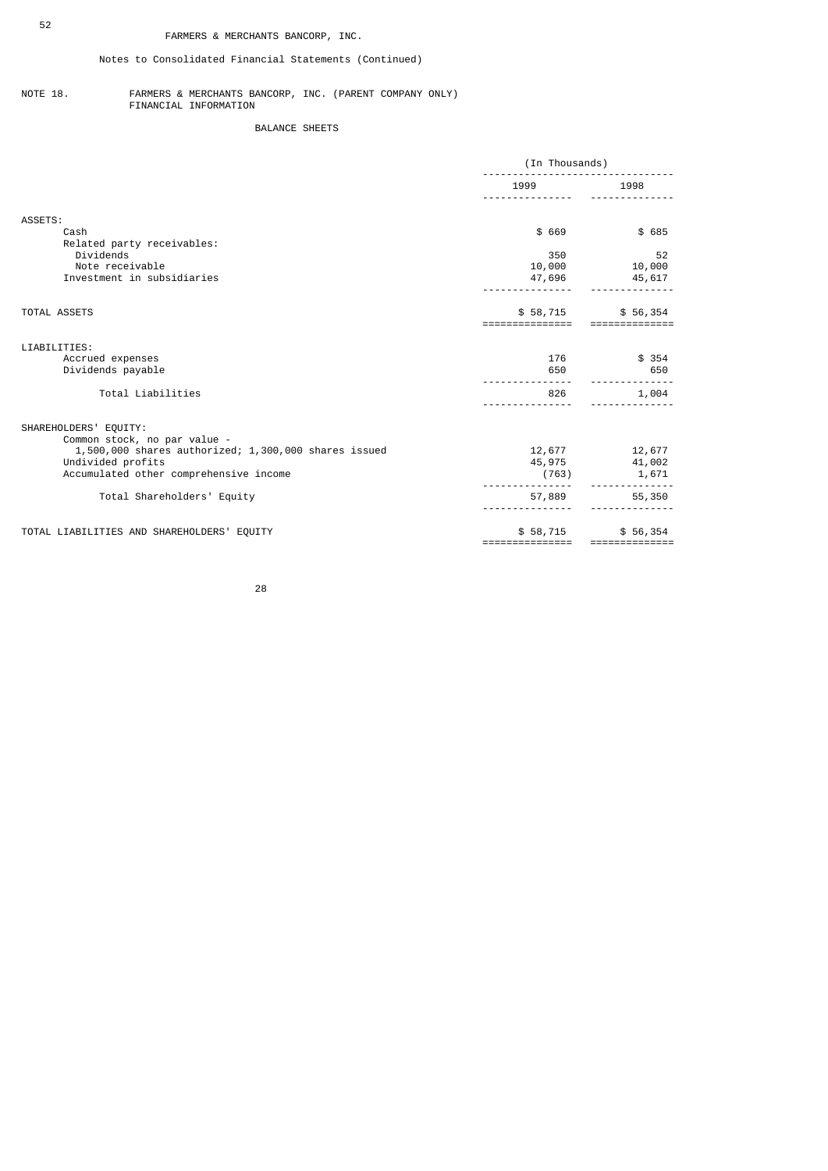# Notes to Consolidated Financial Statements (Continued)

#### NOTE 18. FARMERS & MERCHANTS BANCORP, INC. (PARENT COMPANY ONLY) FINANCIAL INFORMATION

# BALANCE SHEETS

|                                                       | (In Thousands)              |                           |  |
|-------------------------------------------------------|-----------------------------|---------------------------|--|
|                                                       | 1999                        | 1998                      |  |
| ASSETS:                                               |                             |                           |  |
| Cash<br>Related party receivables:                    | \$ 669                      | \$ 685                    |  |
| Dividends<br>Note receivable                          | 350<br>10,000               | 52                        |  |
| Investment in subsidiaries                            | 47,696                      | 10,000<br>45,617          |  |
| <b>TOTAL ASSETS</b>                                   | \$58,715<br>=============   | \$56,354                  |  |
| LIABILITIES:                                          |                             |                           |  |
| Accrued expenses                                      | 176                         | \$ 354                    |  |
| Dividends payable                                     | 650                         | 650                       |  |
| Total Liabilities                                     | 826                         | 1,004                     |  |
| SHAREHOLDERS' EQUITY:<br>Common stock, no par value - |                             |                           |  |
| 1,500,000 shares authorized; 1,300,000 shares issued  | 12,677                      | 12,677                    |  |
| Undivided profits                                     |                             | 45,975 41,002             |  |
| Accumulated other comprehensive income                | (763)                       | 1,671                     |  |
| Total Shareholders' Equity                            | 57,889                      | 55,350                    |  |
| TOTAL LIABILITIES AND SHAREHOLDERS' EQUITY            | \$58,715<br>=============== | \$56,354<br>============= |  |

<u>28 and 28 and 28 and 28 and 28 and 28 and 28 and 28 and 28 and 28 and 28 and 28 and 28 and 28 and 28 and 28 and 28 and 28 and 28 and 28 and 28 and 28 and 28 and 28 and 28 and 28 and 28 and 28 and 28 and 28 and 28 and 28 a</u>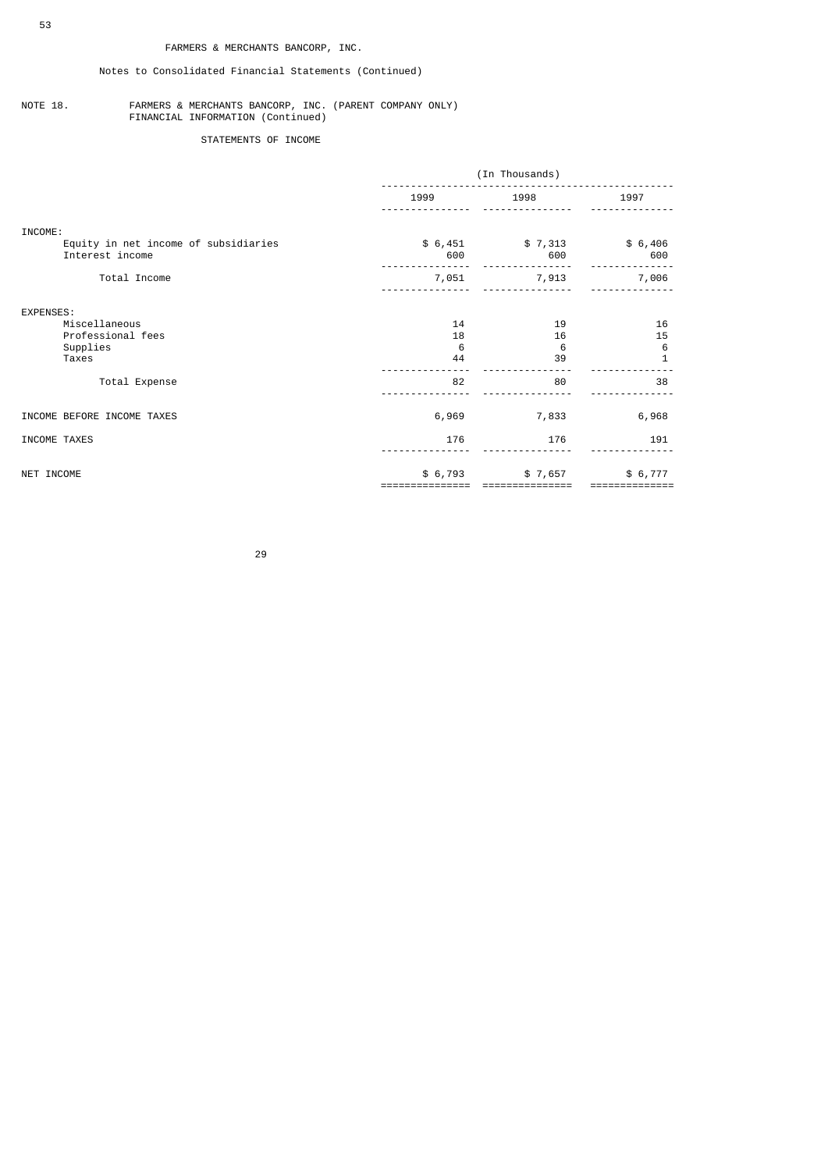## Notes to Consolidated Financial Statements (Continued)

#### NOTE 18. FARMERS & MERCHANTS BANCORP, INC. (PARENT COMPANY ONLY) FINANCIAL INFORMATION (Continued)

# STATEMENTS OF INCOME

|                                                         | (In Thousands) |                |                |  |
|---------------------------------------------------------|----------------|----------------|----------------|--|
|                                                         | 1999           | 1998           | 1997           |  |
| INCOME:                                                 |                |                |                |  |
| Equity in net income of subsidiaries<br>Interest income | \$6,451<br>600 | \$7,313<br>600 | \$6,406<br>600 |  |
| Total Income                                            | 7,051          | 7,913          | 7,006          |  |
| EXPENSES:                                               |                |                |                |  |
| Miscellaneous                                           | 14             | 19             | 16             |  |
| Professional fees                                       | 18             | 16             | 15             |  |
| Supplies                                                | 6              | 6              | 6              |  |
| Taxes                                                   | 44             | 39             | $\mathbf{1}$   |  |
| Total Expense                                           | 82             | 80             | 38             |  |
| INCOME BEFORE INCOME TAXES                              | 6,969          | 7,833          | 6,968          |  |
| INCOME TAXES                                            | 176            | 176            | 191            |  |
| NET INCOME                                              | \$6,793        | \$7,657        | \$6,777        |  |
|                                                         |                |                |                |  |

<u>29 and 29 and 29 and 29 and 29 and 29 and 29 and 29 and 29 and 29 and 29 and 29 and 29 and 29 and 29 and 2012 </u>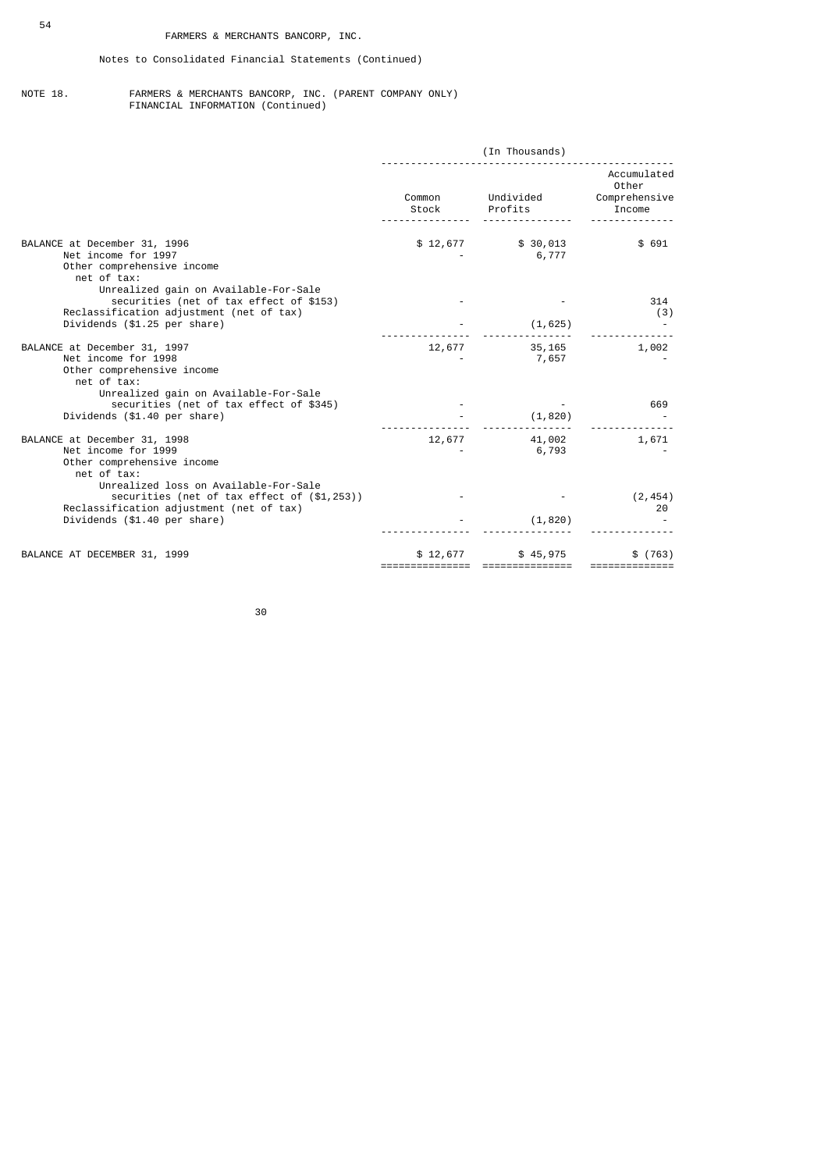#### NOTE 18. FARMERS & MERCHANTS BANCORP, INC. (PARENT COMPANY ONLY) FINANCIAL INFORMATION (Continued)

|                                                                                                                                           | (In Thousands)  |                              |                                                 |  |
|-------------------------------------------------------------------------------------------------------------------------------------------|-----------------|------------------------------|-------------------------------------------------|--|
|                                                                                                                                           | Common<br>Stock | Undivided<br>Profits         | Accumulated<br>Other<br>Comprehensive<br>Income |  |
| BALANCE at December 31, 1996<br>Net income for 1997<br>Other comprehensive income<br>net of tax:<br>Unrealized gain on Available-For-Sale |                 | $$12,677$ $$30,013$<br>6,777 | \$691                                           |  |
| securities (net of tax effect of \$153)<br>Reclassification adjustment (net of tax)<br>Dividends (\$1.25 per share)                       |                 | (1, 625)                     | 314<br>(3)                                      |  |
| BALANCE at December 31, 1997<br>Net income for 1998<br>Other comprehensive income<br>net of tax:<br>Unrealized gain on Available-For-Sale | 12,677          | 35,165<br>7,657              | 1,002                                           |  |
| securities (net of tax effect of \$345)<br>Dividends (\$1.40 per share)                                                                   |                 | (1, 820)                     | 669                                             |  |
| BALANCE at December 31, 1998<br>Net income for 1999<br>Other comprehensive income<br>net of tax:<br>Unrealized loss on Available-For-Sale | 12,677          | 41,002<br>6,793              | 1,671                                           |  |
| securities (net of tax effect of (\$1,253))<br>Reclassification adjustment (net of tax)<br>Dividends (\$1.40 per share)                   |                 | (1, 820)                     | (2, 454)<br>20                                  |  |
| BALANCE AT DECEMBER 31, 1999                                                                                                              | \$12,677        | \$45,975<br>=============    | \$(763)<br>==========                           |  |

30 and 20 and 20 and 20 and 20 and 20 and 20 and 20 and 20 and 20 and 20 and 20 and 20 and 20 and 20 and 20 an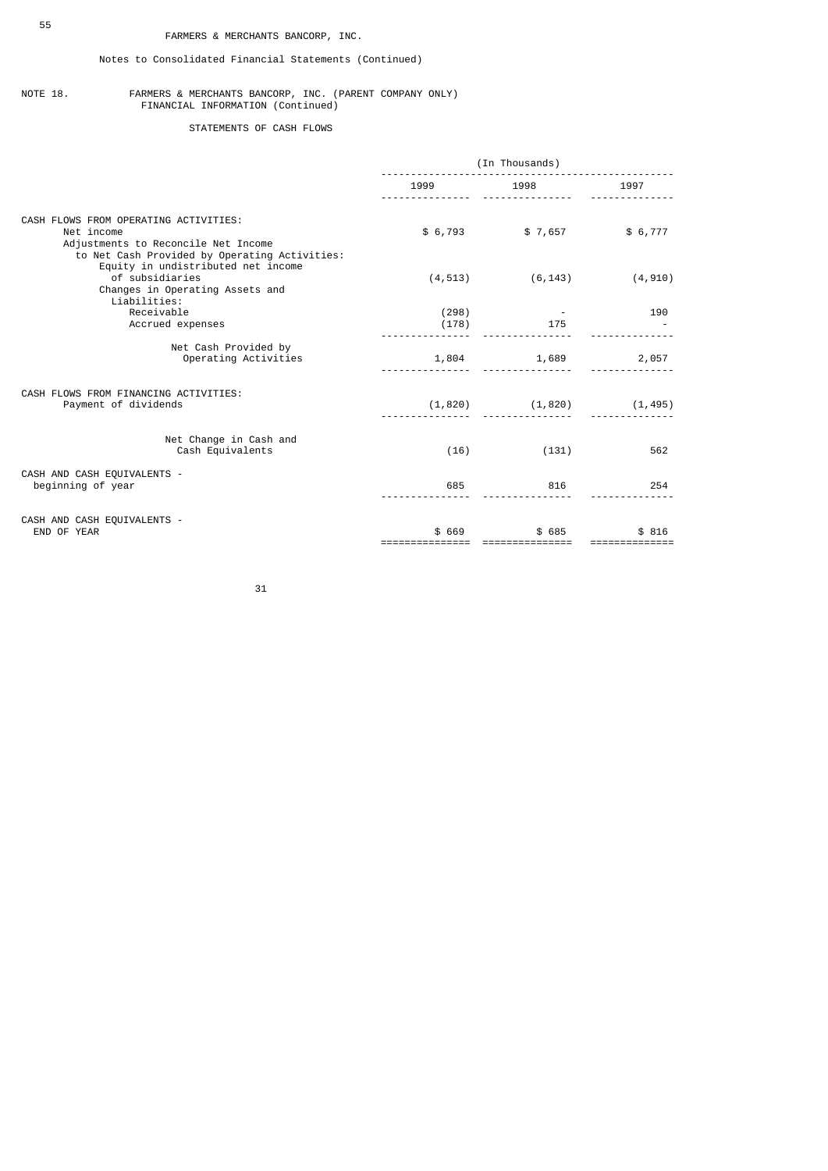# Notes to Consolidated Financial Statements (Continued)

#### NOTE 18. FARMERS & MERCHANTS BANCORP, INC. (PARENT COMPANY ONLY) FINANCIAL INFORMATION (Continued)

STATEMENTS OF CASH FLOWS

|                                                                                                                                             | (In Thousands) |                            |          |  |
|---------------------------------------------------------------------------------------------------------------------------------------------|----------------|----------------------------|----------|--|
|                                                                                                                                             | 1999           | 1998                       | 1997     |  |
| CASH FLOWS FROM OPERATING ACTIVITIES:<br>Net income<br>Adjustments to Reconcile Net Income<br>to Net Cash Provided by Operating Activities: |                | $$6,793$ $$7,657$ $$6,777$ |          |  |
| Equity in undistributed net income<br>of subsidiaries<br>Changes in Operating Assets and<br>Liabilities:                                    | (4, 513)       | (6, 143)                   | (4, 910) |  |
| Receivable<br>Accrued expenses                                                                                                              | (298)<br>(178) | 175                        | 190      |  |
| Net Cash Provided by<br>Operating Activities                                                                                                | 1,804          | 1,689                      | 2,057    |  |
| CASH FLOWS FROM FINANCING ACTIVITIES:<br>Payment of dividends                                                                               | (1, 820)       | (1, 820)                   | (1, 495) |  |
| Net Change in Cash and<br>Cash Equivalents                                                                                                  | (16)           | (131)                      | 562      |  |
| CASH AND CASH EQUIVALENTS -<br>beginning of year                                                                                            | 685            | 816                        | 254      |  |
| CASH AND CASH EQUIVALENTS -<br>END OF YEAR                                                                                                  | \$ 669         | \$ 685                     | \$ 816   |  |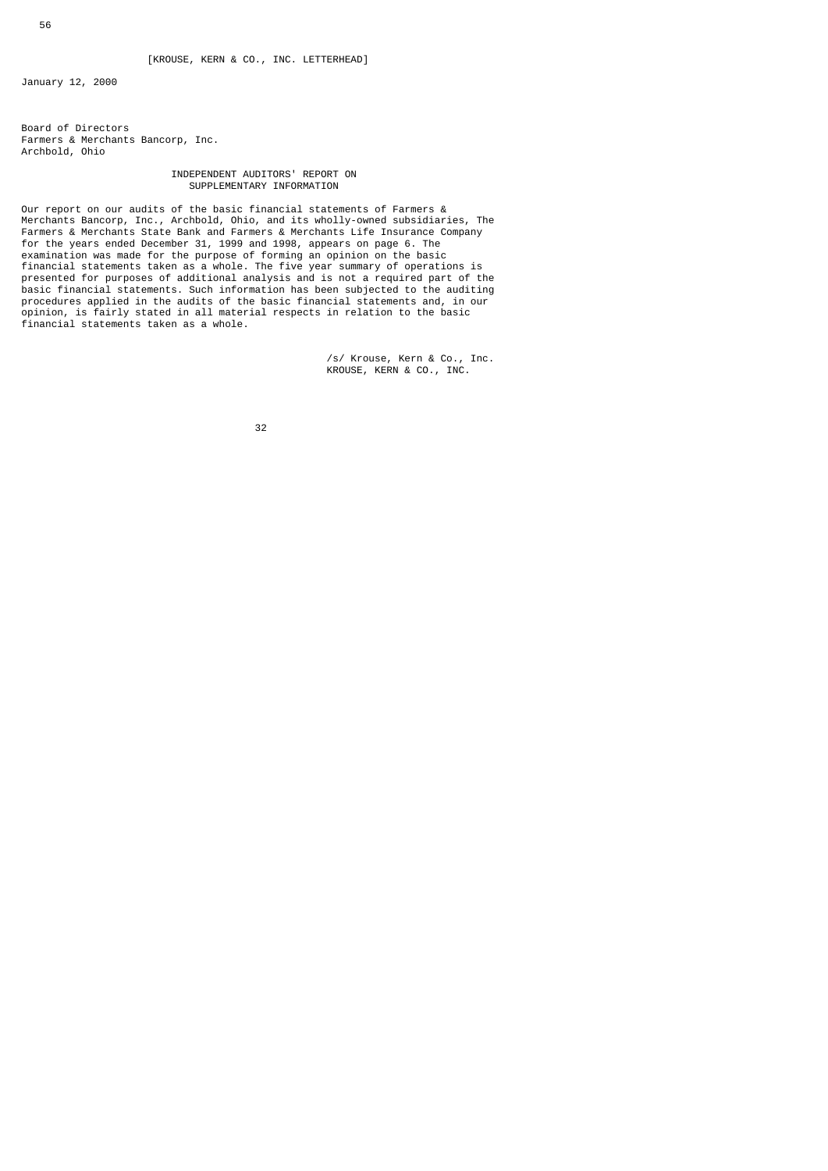January 12, 2000

Board of Directors Farmers & Merchants Bancorp, Inc. Archbold, Ohio

### INDEPENDENT AUDITORS' REPORT ON SUPPLEMENTARY INFORMATION

Our report on our audits of the basic financial statements of Farmers & Merchants Bancorp, Inc., Archbold, Ohio, and its wholly-owned subsidiaries, The Farmers & Merchants State Bank and Farmers & Merchants Life Insurance Company for the years ended December 31, 1999 and 1998, appears on page 6. The examination was made for the purpose of forming an opinion on the basic financial statements taken as a whole. The five year summary of operations is presented for purposes of additional analysis and is not a required part of the basic financial statements. Such information has been subjected to the auditing procedures applied in the audits of the basic financial statements and, in our opinion, is fairly stated in all material respects in relation to the basic financial statements taken as a whole.

> /s/ Krouse, Kern & Co., Inc. KROUSE, KERN & CO., INC.

а в село во село во село во 1920 година во 1920 година во 1920 година, кои 1932 година во 1930 година и 1930 г<br>Во 1930 година од село во 1930 година од село во 1930 година од село во 1930 година од село во 1930 година од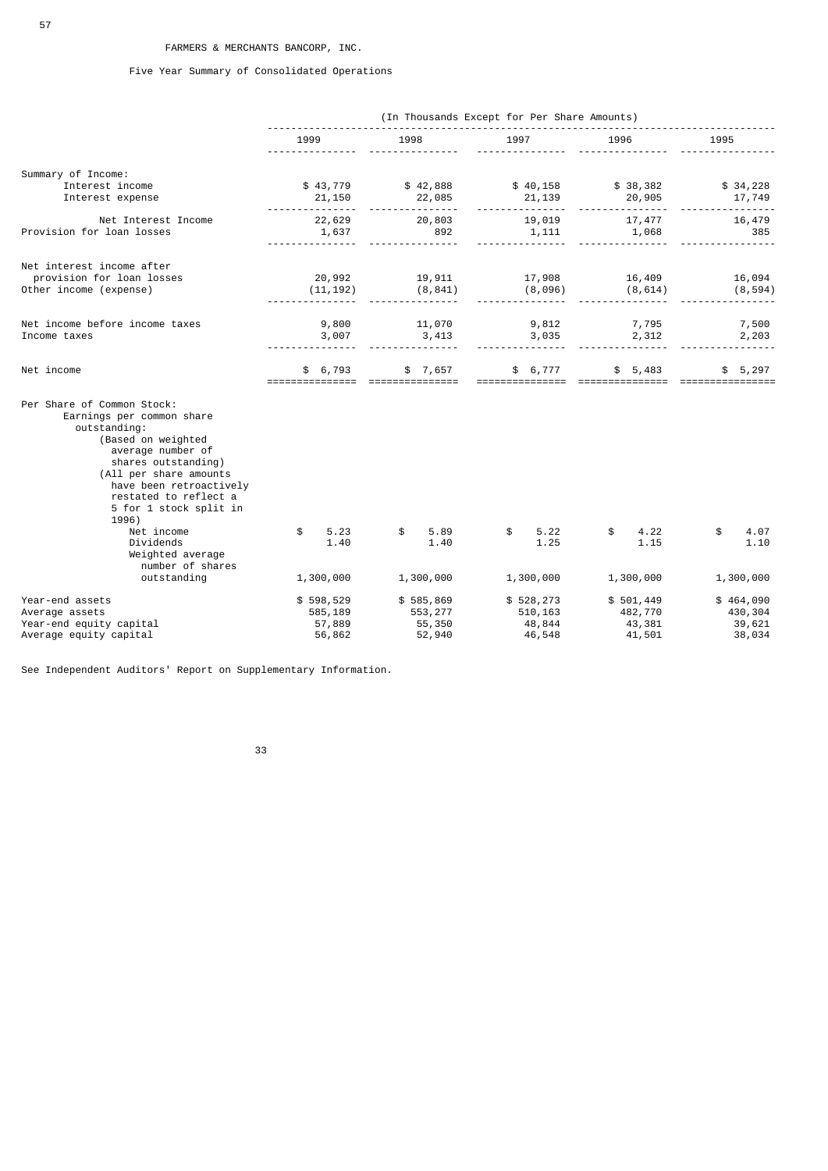Five Year Summary of Consolidated Operations

|                                                                                                                                                                                                                                                                                                                                              |                                 |                                                             | (In Thousands Except for Per Share Amounts) |                                  |                                 |
|----------------------------------------------------------------------------------------------------------------------------------------------------------------------------------------------------------------------------------------------------------------------------------------------------------------------------------------------|---------------------------------|-------------------------------------------------------------|---------------------------------------------|----------------------------------|---------------------------------|
|                                                                                                                                                                                                                                                                                                                                              | 1999                            | 1998                                                        | 1997                                        | 1996                             | 1995                            |
| Summary of Income:                                                                                                                                                                                                                                                                                                                           |                                 |                                                             |                                             |                                  |                                 |
| Interest income<br>Interest expense                                                                                                                                                                                                                                                                                                          | 21,150                          | $$43,779$ $$42,888$ $$40,158$ $$38,382$ $$34,228$<br>22,085 |                                             |                                  | 17,749                          |
| Net Interest Income<br>Provision for loan losses                                                                                                                                                                                                                                                                                             | 22,629<br>1,637                 | 20,803<br>892                                               |                                             | 19,019 17,477<br>$1,111$ $1,068$ | 16,479<br>385                   |
| Net interest income after<br>provision for loan losses<br>Other income (expense)                                                                                                                                                                                                                                                             | 20,992<br>(11, 192)             | 19,911<br>(8, 841)                                          | 17,908<br>(8,096)                           | 16,409<br>(8, 614)               | 16,094<br>(8, 594)              |
| Net income before income taxes<br>Income taxes                                                                                                                                                                                                                                                                                               | 9,800<br>3,007                  | 11,070<br>3,413                                             | 9,812<br>3,035                              | $7,795$<br>2, 312                | 7,500<br>2,203                  |
| Net income                                                                                                                                                                                                                                                                                                                                   | \$6,793<br>===============      | ===============                                             | $$7,657$ $$6,777$ $$5,483$                  |                                  | \$5,297                         |
| Per Share of Common Stock:<br>Earnings per common share<br>outstanding:<br>(Based on weighted<br>average number of<br>shares outstanding)<br>(All per share amounts<br>have been retroactively<br>restated to reflect a<br>5 for 1 stock split in<br>1996)<br>Net income<br>Dividends<br>Weighted average<br>number of shares<br>outstanding | 5.23<br>\$<br>1.40<br>1,300,000 | 5.89<br>\$<br>1.40<br>1,300,000                             | 5.22<br>\$<br>1.25<br>1,300,000             | 4.22<br>\$<br>1.15<br>1,300,000  | \$<br>4.07<br>1.10<br>1,300,000 |
| Year-end assets                                                                                                                                                                                                                                                                                                                              | \$598,529                       | \$585,869                                                   | \$528, 273                                  | \$501,449                        | \$464,090                       |
| Average assets<br>Year-end equity capital<br>Average equity capital                                                                                                                                                                                                                                                                          | 585,189<br>57,889<br>56,862     | 553,277<br>55,350<br>52,940                                 | 510,163<br>48,844<br>46,548                 | 482,770<br>43,381<br>41,501      | 430,304<br>39,621<br>38,034     |

See Independent Auditors' Report on Supplementary Information.

33 and 2012 and 2013 and 2013 and 2014 and 2014 and 2014 and 2014 and 2014 and 2014 and 2014 and 201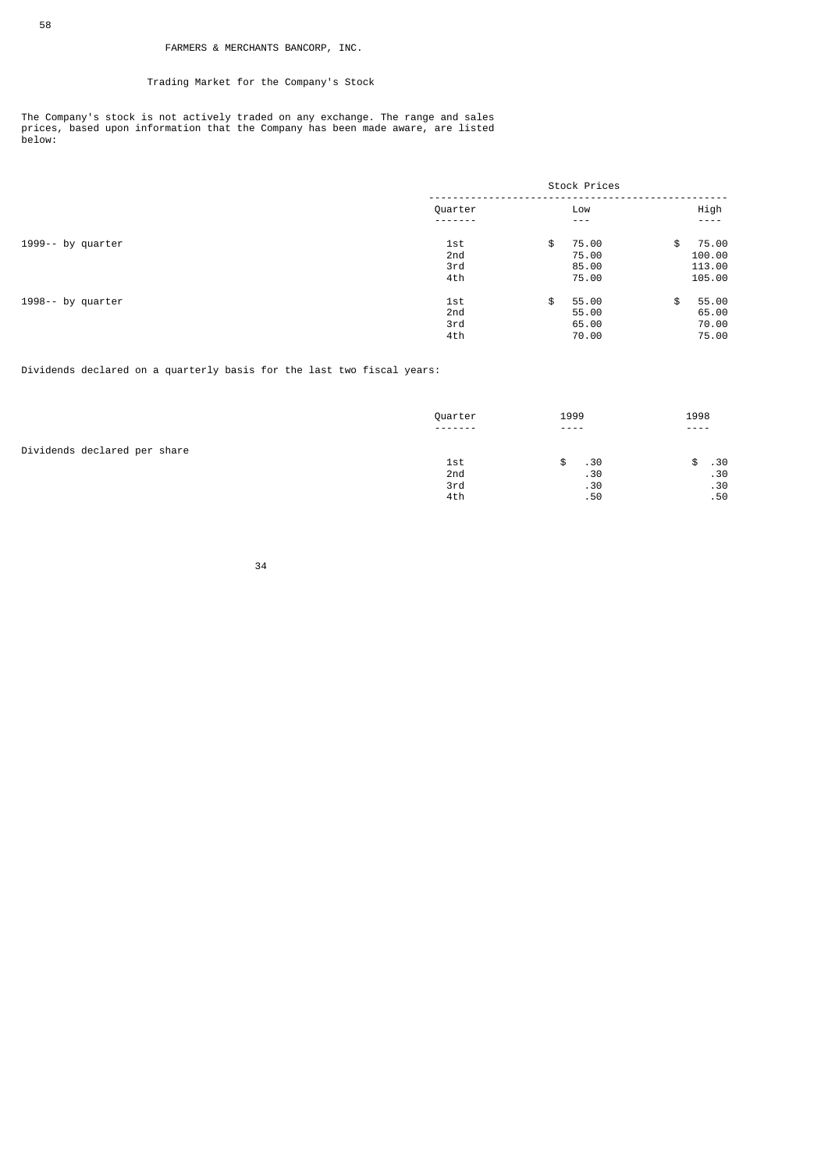# Trading Market for the Company's Stock

The Company's stock is not actively traded on any exchange. The range and sales prices, based upon information that the Company has been made aware, are listed below:

|                   | Stock Prices |    |               |    |               |
|-------------------|--------------|----|---------------|----|---------------|
|                   | Quarter      |    | Low           |    | High          |
|                   |              |    | $\frac{1}{2}$ |    | $\frac{1}{2}$ |
| 1999-- by quarter | 1st          | \$ | 75.00         | \$ | 75.00         |
|                   | 2nd          |    | 75.00         |    | 100.00        |
|                   | 3rd          |    | 85.00         |    | 113.00        |
|                   | 4th          |    | 75.00         |    | 105.00        |
| 1998-- by quarter | 1st          | \$ | 55.00         | \$ | 55.00         |
|                   | 2nd          |    | 55.00         |    | 65.00         |
|                   | 3rd          |    | 65.00         |    | 70.00         |
|                   | 4th          |    | 70.00         |    | 75.00         |

### Dividends declared on a quarterly basis for the last two fiscal years:

|                              | Quarter  | 1999                                                                                                                                                                                                                                                                                                                                                                                         | 1998          |
|------------------------------|----------|----------------------------------------------------------------------------------------------------------------------------------------------------------------------------------------------------------------------------------------------------------------------------------------------------------------------------------------------------------------------------------------------|---------------|
|                              | -------- | $\frac{1}{2} \frac{1}{2} \frac{1}{2} \frac{1}{2} \frac{1}{2} \frac{1}{2} \frac{1}{2} \frac{1}{2} \frac{1}{2} \frac{1}{2} \frac{1}{2} \frac{1}{2} \frac{1}{2} \frac{1}{2} \frac{1}{2} \frac{1}{2} \frac{1}{2} \frac{1}{2} \frac{1}{2} \frac{1}{2} \frac{1}{2} \frac{1}{2} \frac{1}{2} \frac{1}{2} \frac{1}{2} \frac{1}{2} \frac{1}{2} \frac{1}{2} \frac{1}{2} \frac{1}{2} \frac{1}{2} \frac{$ | $\frac{1}{2}$ |
| Dividends declared per share |          |                                                                                                                                                                                                                                                                                                                                                                                              |               |
|                              | 1st      | .30                                                                                                                                                                                                                                                                                                                                                                                          | .30           |
|                              | 2nd      | .30                                                                                                                                                                                                                                                                                                                                                                                          | .30           |
|                              | 3rd      | .30                                                                                                                                                                                                                                                                                                                                                                                          | .30           |
|                              | 4th      | .50                                                                                                                                                                                                                                                                                                                                                                                          | .50           |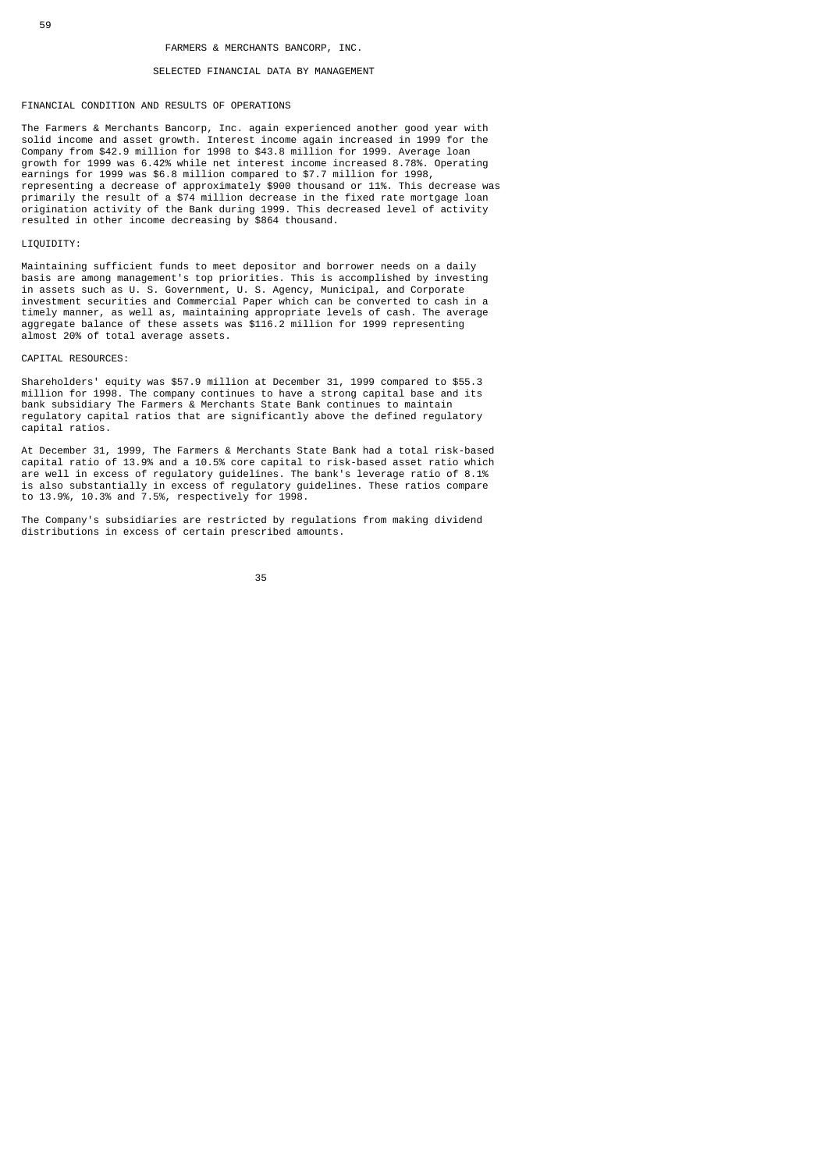#### SELECTED FINANCIAL DATA BY MANAGEMENT

#### FINANCIAL CONDITION AND RESULTS OF OPERATIONS

The Farmers & Merchants Bancorp, Inc. again experienced another good year with solid income and asset growth. Interest income again increased in 1999 for the Company from \$42.9 million for 1998 to \$43.8 million for 1999. Average loan growth for 1999 was 6.42% while net interest income increased 8.78%. Operating earnings for 1999 was \$6.8 million compared to \$7.7 million for 1998, representing a decrease of approximately \$900 thousand or 11%. This decrease was primarily the result of a \$74 million decrease in the fixed rate mortgage loan origination activity of the Bank during 1999. This decreased level of activity resulted in other income decreasing by \$864 thousand.

#### LIQUIDITY:

Maintaining sufficient funds to meet depositor and borrower needs on a daily basis are among management's top priorities. This is accomplished by investing in assets such as U. S. Government, U. S. Agency, Municipal, and Corporate investment securities and Commercial Paper which can be converted to cash in a timely manner, as well as, maintaining appropriate levels of cash. The average aggregate balance of these assets was \$116.2 million for 1999 representing almost 20% of total average assets.

### CAPITAL RESOURCES:

Shareholders' equity was \$57.9 million at December 31, 1999 compared to \$55.3 million for 1998. The company continues to have a strong capital base and its bank subsidiary The Farmers & Merchants State Bank continues to maintain regulatory capital ratios that are significantly above the defined regulatory capital ratios.

At December 31, 1999, The Farmers & Merchants State Bank had a total risk-based capital ratio of 13.9% and a 10.5% core capital to risk-based asset ratio which are well in excess of regulatory guidelines. The bank's leverage ratio of 8.1% is also substantially in excess of regulatory guidelines. These ratios compare to 13.9%, 10.3% and 7.5%, respectively for 1998.

The Company's subsidiaries are restricted by regulations from making dividend distributions in excess of certain prescribed amounts.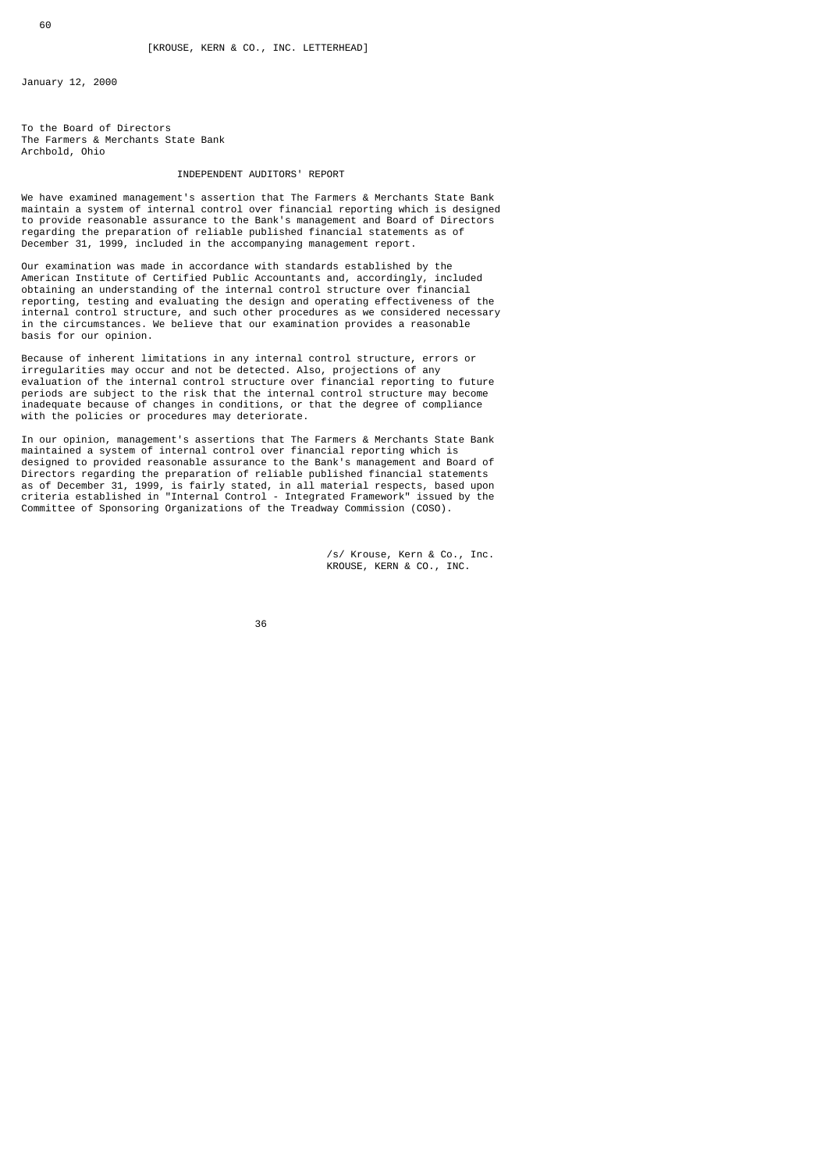January 12, 2000

To the Board of Directors The Farmers & Merchants State Bank Archbold, Ohio

### INDEPENDENT AUDITORS' REPORT

We have examined management's assertion that The Farmers & Merchants State Bank maintain a system of internal control over financial reporting which is designed to provide reasonable assurance to the Bank's management and Board of Directors regarding the preparation of reliable published financial statements as of December 31, 1999, included in the accompanying management report.

Our examination was made in accordance with standards established by the American Institute of Certified Public Accountants and, accordingly, included obtaining an understanding of the internal control structure over financial reporting, testing and evaluating the design and operating effectiveness of the internal control structure, and such other procedures as we considered necessary in the circumstances. We believe that our examination provides a reasonable basis for our opinion.

Because of inherent limitations in any internal control structure, errors or irregularities may occur and not be detected. Also, projections of any evaluation of the internal control structure over financial reporting to future periods are subject to the risk that the internal control structure may become inadequate because of changes in conditions, or that the degree of compliance with the policies or procedures may deteriorate.

In our opinion, management's assertions that The Farmers & Merchants State Bank maintained a system of internal control over financial reporting which is designed to provided reasonable assurance to the Bank's management and Board of Directors regarding the preparation of reliable published financial statements as of December 31, 1999, is fairly stated, in all material respects, based upon criteria established in "Internal Control - Integrated Framework" issued by the Committee of Sponsoring Organizations of the Treadway Commission (COSO).

> /s/ Krouse, Kern & Co., Inc. KROUSE, KERN & CO., INC.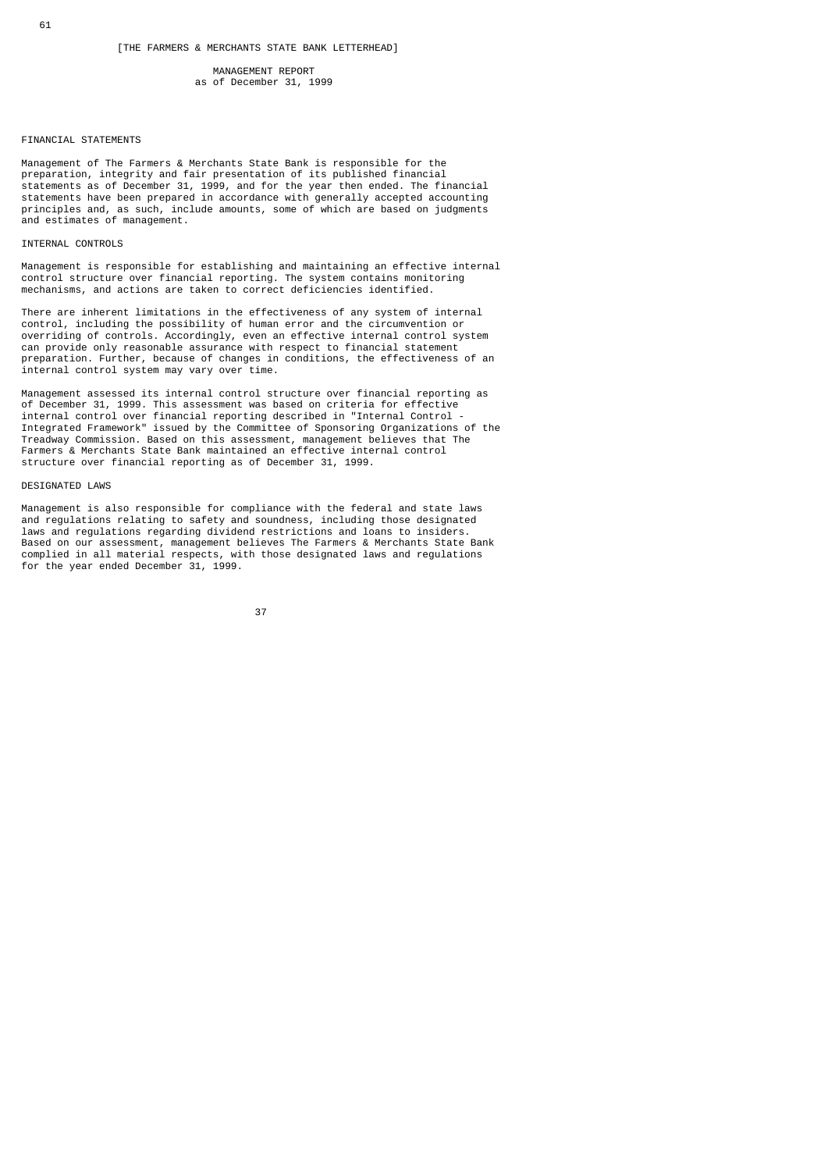### MANAGEMENT REPORT as of December 31, 1999

### FINANCIAL STATEMENTS

Management of The Farmers & Merchants State Bank is responsible for the preparation, integrity and fair presentation of its published financial statements as of December 31, 1999, and for the year then ended. The financial statements have been prepared in accordance with generally accepted accounting principles and, as such, include amounts, some of which are based on judgments and estimates of management.

### INTERNAL CONTROLS

Management is responsible for establishing and maintaining an effective internal control structure over financial reporting. The system contains monitoring mechanisms, and actions are taken to correct deficiencies identified.

There are inherent limitations in the effectiveness of any system of internal control, including the possibility of human error and the circumvention or overriding of controls. Accordingly, even an effective internal control system can provide only reasonable assurance with respect to financial statement preparation. Further, because of changes in conditions, the effectiveness of an internal control system may vary over time.

Management assessed its internal control structure over financial reporting as of December 31, 1999. This assessment was based on criteria for effective internal control over financial reporting described in "Internal Control - Integrated Framework" issued by the Committee of Sponsoring Organizations of the Treadway Commission. Based on this assessment, management believes that The Farmers & Merchants State Bank maintained an effective internal control structure over financial reporting as of December 31, 1999.

### DESIGNATED LAWS

Management is also responsible for compliance with the federal and state laws and regulations relating to safety and soundness, including those designated laws and regulations regarding dividend restrictions and loans to insiders. Based on our assessment, management believes The Farmers & Merchants State Bank complied in all material respects, with those designated laws and regulations for the year ended December 31, 1999.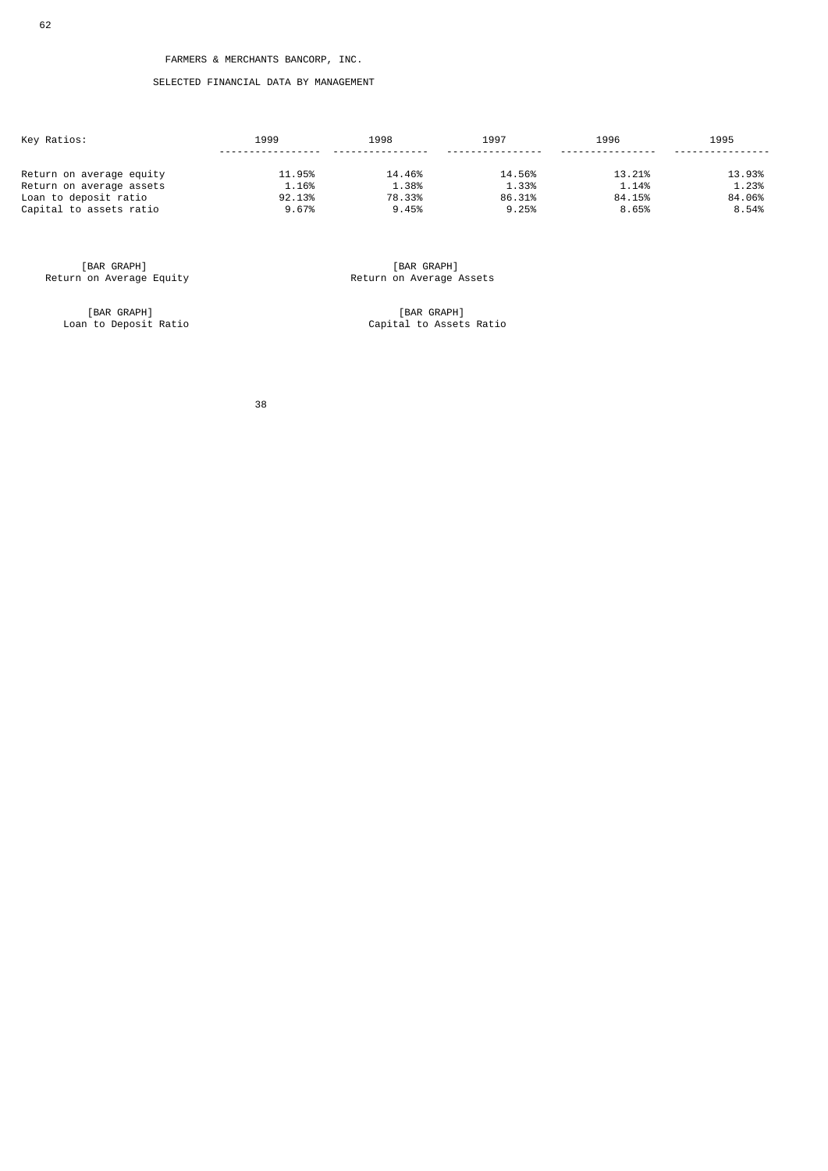# SELECTED FINANCIAL DATA BY MANAGEMENT

| Key Ratios:              | 1999   | 1998   | 1997   | 1996   | 1995   |
|--------------------------|--------|--------|--------|--------|--------|
| Return on average equity | 11.95% | 14.46% | 14.56% | 13.21% | 13.93% |
| Return on average assets | 1.16%  | 1.38%  | 1.33%  | 1.14%  | 1.23%  |
| Loan to deposit ratio    | 92.13% | 78.33% | 86.31% | 84.15% | 84.06% |
| Capital to assets ratio  | 9.67%  | 9.45%  | 9.25%  | 8.65%  | 8.54%  |

[BAR GRAPH]<br>Return on Average Equity

[BAR GRAPH]<br>Loan to Deposit Ratio

EBAR GRAPH]<br>Return on Average Assets

Laan GRAPH]<br>Capital to Assets Ratio

38 - 1992 - 1993 - 1994 - 1995 - 1996 - 1997 - 1998 - 1999 - 1999 - 1999 - 1999 - 1999 - 1999 - 199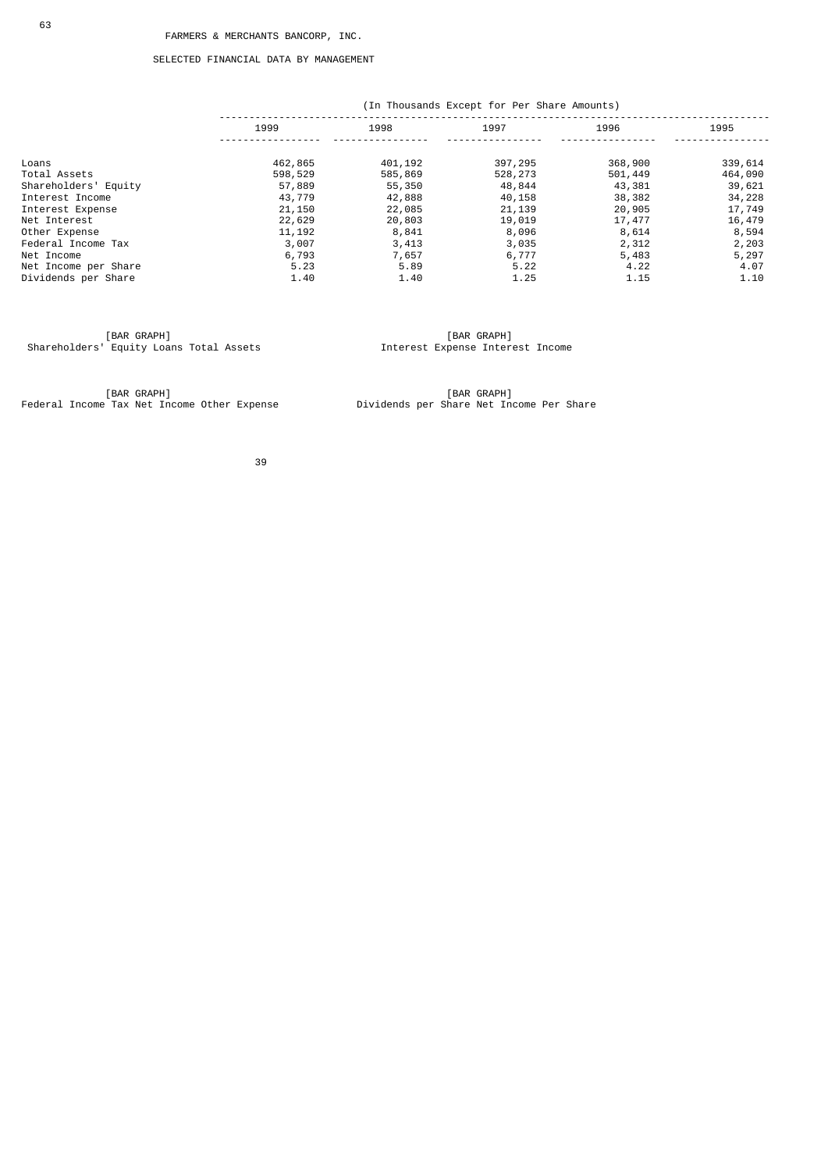### SELECTED FINANCIAL DATA BY MANAGEMENT

|                      |         | (In Thousands Except for Per Share Amounts) |         |         |         |  |
|----------------------|---------|---------------------------------------------|---------|---------|---------|--|
|                      | 1999    | 1998                                        | 1997    | 1996    | 1995    |  |
| Loans                | 462,865 | 401,192                                     | 397,295 | 368,900 | 339,614 |  |
| Total Assets         | 598,529 | 585,869                                     | 528,273 | 501,449 | 464,090 |  |
| Shareholders' Equity | 57,889  | 55,350                                      | 48,844  | 43,381  | 39,621  |  |
| Interest Income      | 43,779  | 42,888                                      | 40,158  | 38,382  | 34,228  |  |
| Interest Expense     | 21,150  | 22,085                                      | 21,139  | 20,905  | 17,749  |  |
| Net Interest         | 22,629  | 20,803                                      | 19,019  | 17,477  | 16,479  |  |
| Other Expense        | 11, 192 | 8,841                                       | 8,096   | 8,614   | 8,594   |  |
| Federal Income Tax   | 3,007   | 3,413                                       | 3,035   | 2,312   | 2,203   |  |
| Net Income           | 6,793   | 7,657                                       | 6,777   | 5,483   | 5,297   |  |
| Net Income per Share | 5.23    | 5.89                                        | 5.22    | 4.22    | 4.07    |  |
| Dividends per Share  | 1.40    | 1.40                                        | 1.25    | 1.15    | 1.10    |  |

 [BAR GRAPH] [BAR GRAPH] Shareholders' Equity Loans Total Assets Interest Expense Interest Income

 [BAR GRAPH] [BAR GRAPH] Federal Income Tax Net Income Other Expense Dividends per Share Net Income Per Share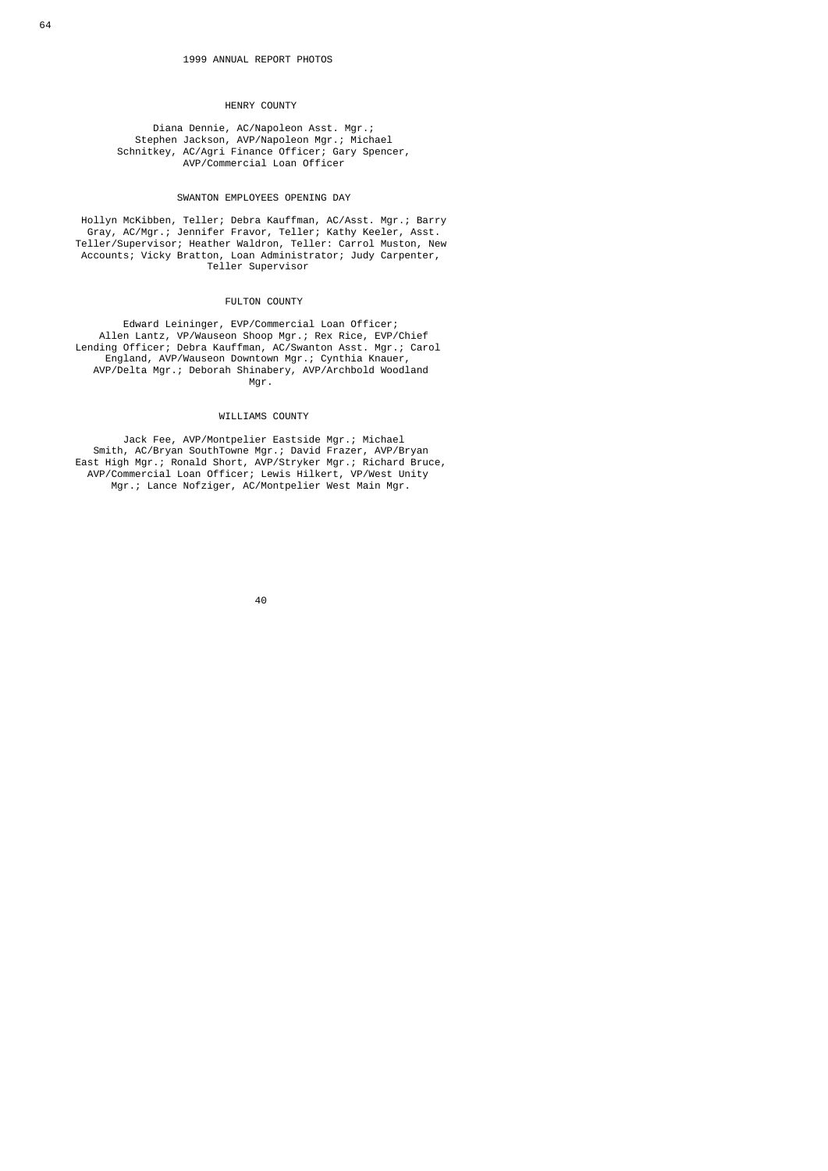#### HENRY COUNTY

 Diana Dennie, AC/Napoleon Asst. Mgr.; Stephen Jackson, AVP/Napoleon Mgr.; Michael Schnitkey, AC/Agri Finance Officer; Gary Spencer, AVP/Commercial Loan Officer

#### SWANTON EMPLOYEES OPENING DAY

 Hollyn McKibben, Teller; Debra Kauffman, AC/Asst. Mgr.; Barry Gray, AC/Mgr.; Jennifer Fravor, Teller; Kathy Keeler, Asst. Teller/Supervisor; Heather Waldron, Teller: Carrol Muston, New Accounts; Vicky Bratton, Loan Administrator; Judy Carpenter, Teller Supervisor

### FULTON COUNTY

 Edward Leininger, EVP/Commercial Loan Officer; Allen Lantz, VP/Wauseon Shoop Mgr.; Rex Rice, EVP/Chief Lending Officer; Debra Kauffman, AC/Swanton Asst. Mgr.; Carol England, AVP/Wauseon Downtown Mgr.; Cynthia Knauer, AVP/Delta Mgr.; Deborah Shinabery, AVP/Archbold Woodland Mgr. The contract of the contract of the Mgr.

### WILLIAMS COUNTY

 Jack Fee, AVP/Montpelier Eastside Mgr.; Michael Smith, AC/Bryan SouthTowne Mgr.; David Frazer, AVP/Bryan East High Mgr.; Ronald Short, AVP/Stryker Mgr.; Richard Bruce, AVP/Commercial Loan Officer; Lewis Hilkert, VP/West Unity Mgr.; Lance Nofziger, AC/Montpelier West Main Mgr.

е в село во село во село во село во село во село во село во село во село во село во село во село во село во се<br>Во село во село во село во село во село во село во село во село во село во село во село во село во село во сел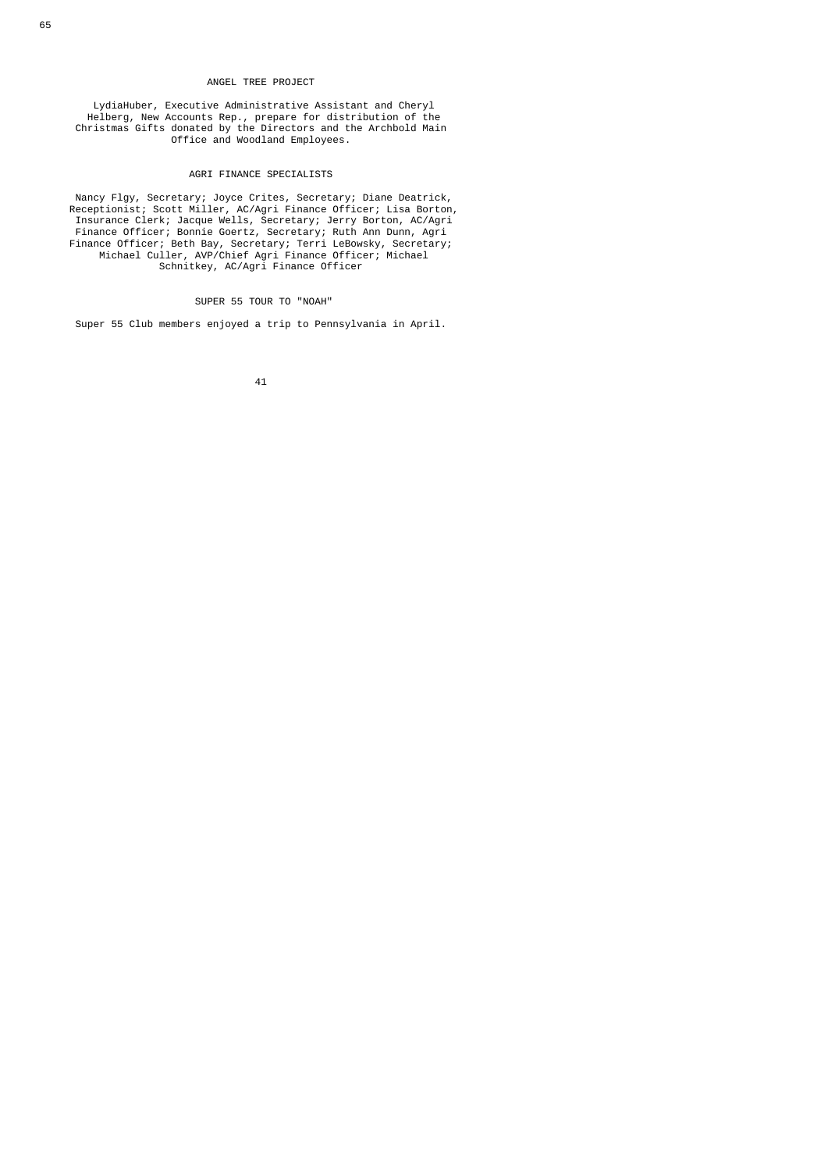### ANGEL TREE PROJECT

 LydiaHuber, Executive Administrative Assistant and Cheryl Helberg, New Accounts Rep., prepare for distribution of the Christmas Gifts donated by the Directors and the Archbold Main Office and Woodland Employees.

# AGRI FINANCE SPECIALISTS

 Nancy Flgy, Secretary; Joyce Crites, Secretary; Diane Deatrick, Receptionist; Scott Miller, AC/Agri Finance Officer; Lisa Borton, Insurance Clerk; Jacque Wells, Secretary; Jerry Borton, AC/Agri Finance Officer; Bonnie Goertz, Secretary; Ruth Ann Dunn, Agri Finance Officer; Beth Bay, Secretary; Terri LeBowsky, Secretary; Michael Culler, AVP/Chief Agri Finance Officer; Michael Schnitkey, AC/Agri Finance Officer

## SUPER 55 TOUR TO "NOAH"

Super 55 Club members enjoyed a trip to Pennsylvania in April.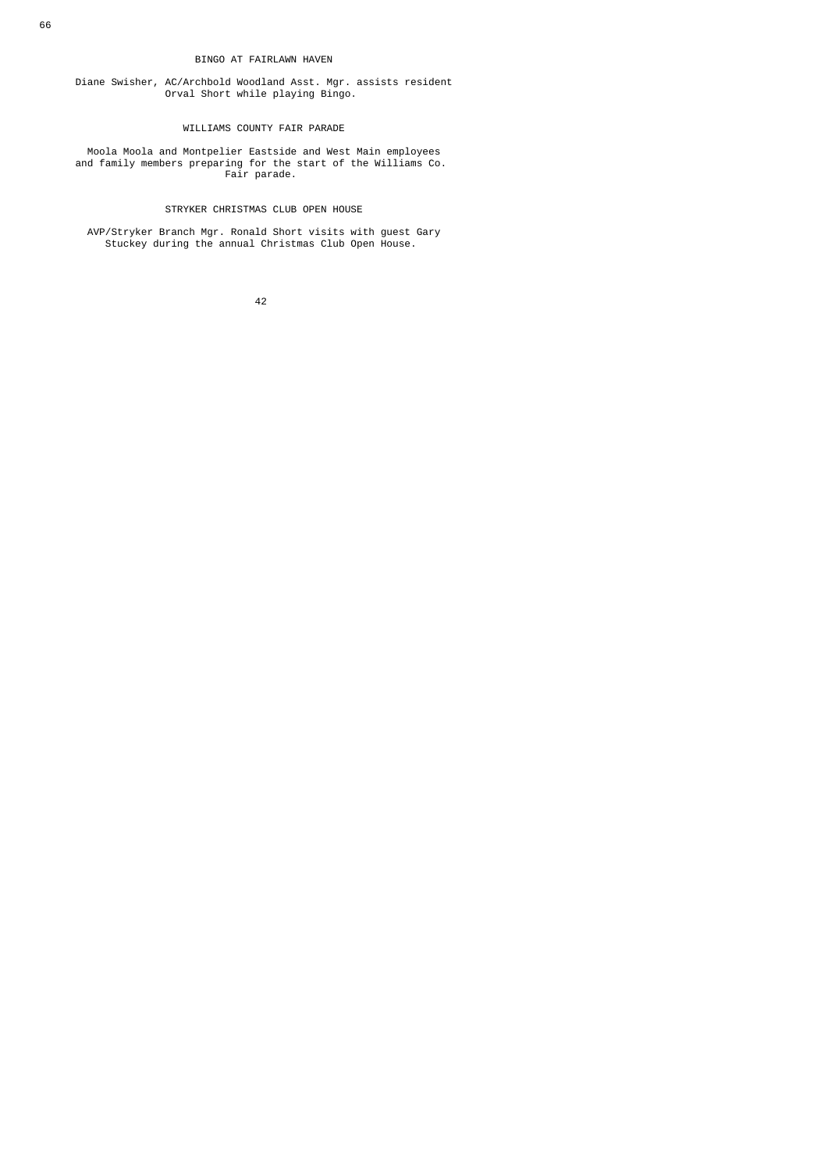### BINGO AT FAIRLAWN HAVEN

 Diane Swisher, AC/Archbold Woodland Asst. Mgr. assists resident Orval Short while playing Bingo.

# WILLIAMS COUNTY FAIR PARADE

 Moola Moola and Montpelier Eastside and West Main employees and family members preparing for the start of the Williams Co. Fair parade.

# STRYKER CHRISTMAS CLUB OPEN HOUSE

 AVP/Stryker Branch Mgr. Ronald Short visits with guest Gary Stuckey during the annual Christmas Club Open House.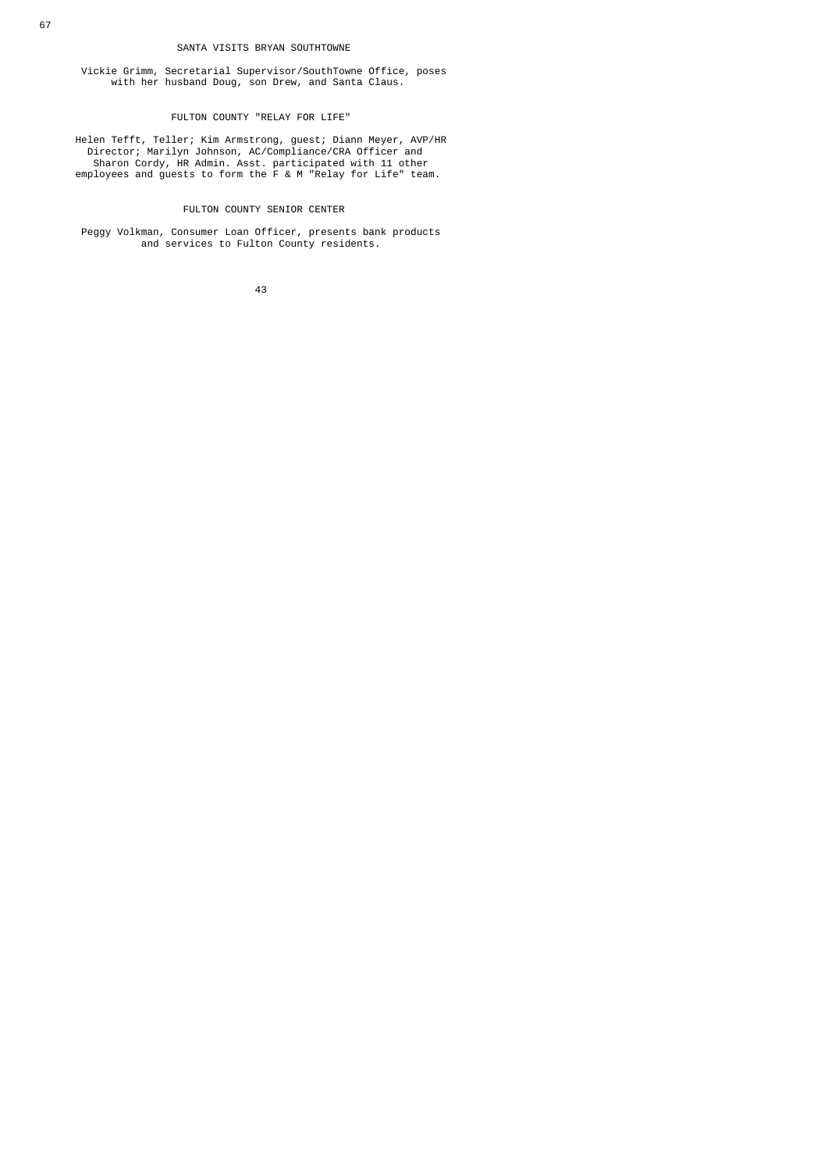### SANTA VISITS BRYAN SOUTHTOWNE

 Vickie Grimm, Secretarial Supervisor/SouthTowne Office, poses with her husband Doug, son Drew, and Santa Claus.

### FULTON COUNTY "RELAY FOR LIFE"

 Helen Tefft, Teller; Kim Armstrong, guest; Diann Meyer, AVP/HR Director; Marilyn Johnson, AC/Compliance/CRA Officer and Sharon Cordy, HR Admin. Asst. participated with 11 other employees and guests to form the F & M "Relay for Life" team.

# FULTON COUNTY SENIOR CENTER

 Peggy Volkman, Consumer Loan Officer, presents bank products and services to Fulton County residents.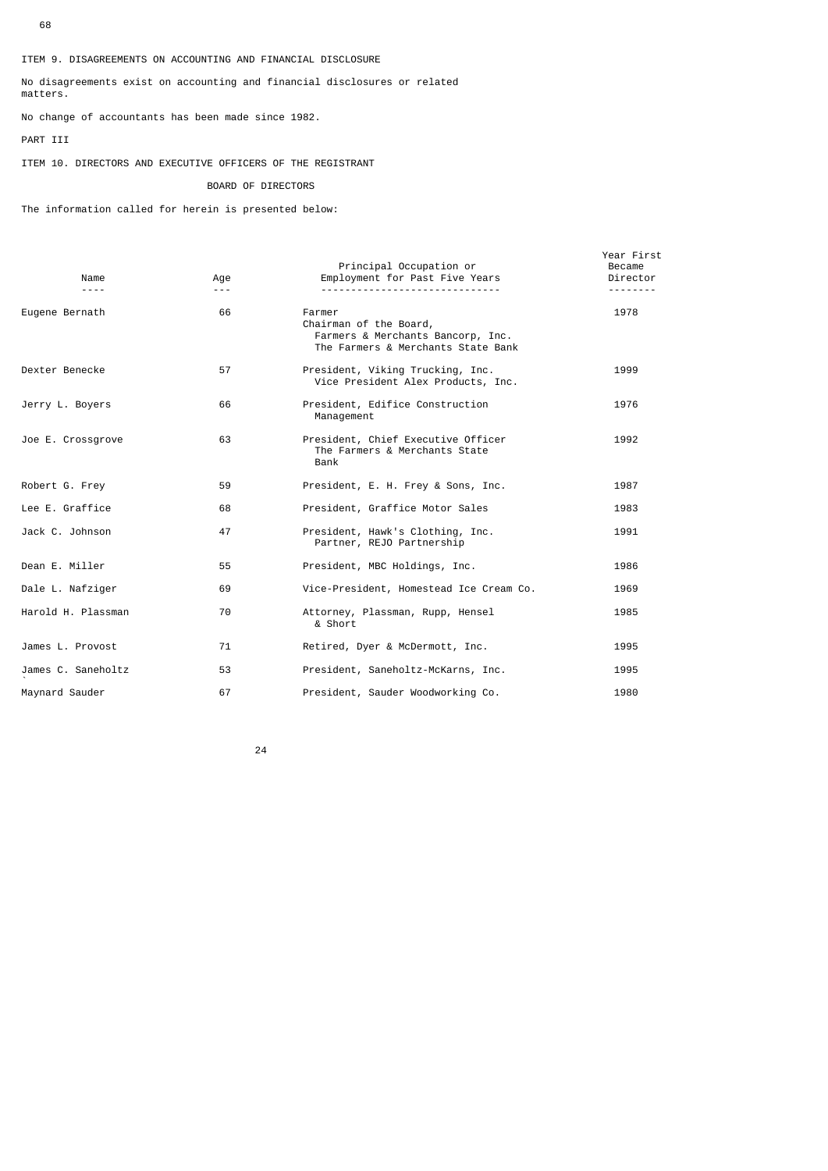### ITEM 9. DISAGREEMENTS ON ACCOUNTING AND FINANCIAL DISCLOSURE

No disagreements exist on accounting and financial disclosures or related matters.

No change of accountants has been made since 1982.

# PART III

ITEM 10. DIRECTORS AND EXECUTIVE OFFICERS OF THE REGISTRANT

# BOARD OF DIRECTORS

The information called for herein is presented below:

| Name               | Age<br>$- - -$ | Principal Occupation or<br>Employment for Past Five Years                                                   | Year First<br>Became<br>Director |
|--------------------|----------------|-------------------------------------------------------------------------------------------------------------|----------------------------------|
| Eugene Bernath     | 66             | Farmer<br>Chairman of the Board,<br>Farmers & Merchants Bancorp, Inc.<br>The Farmers & Merchants State Bank | 1978                             |
| Dexter Benecke     | 57             | President, Viking Trucking, Inc.<br>Vice President Alex Products, Inc.                                      | 1999                             |
| Jerry L. Boyers    | 66             | President, Edifice Construction<br>Management                                                               | 1976                             |
| Joe E. Crossgrove  | 63             | President, Chief Executive Officer<br>The Farmers & Merchants State<br>Bank                                 | 1992                             |
| Robert G. Frey     | 59             | President, E. H. Frey & Sons, Inc.                                                                          | 1987                             |
| Lee E. Graffice    | 68             | President, Graffice Motor Sales                                                                             | 1983                             |
| Jack C. Johnson    | 47             | President, Hawk's Clothing, Inc.<br>Partner, REJO Partnership                                               | 1991                             |
| Dean E. Miller     | 55             | President, MBC Holdings, Inc.                                                                               | 1986                             |
| Dale L. Nafziger   | 69             | Vice-President, Homestead Ice Cream Co.                                                                     | 1969                             |
| Harold H. Plassman | 70             | Attorney, Plassman, Rupp, Hensel<br>& Short                                                                 | 1985                             |
| James L. Provost   | 71             | Retired, Dyer & McDermott, Inc.                                                                             | 1995                             |
| James C. Saneholtz | 53             | President, Saneholtz-McKarns, Inc.                                                                          | 1995                             |
| Maynard Sauder     | 67             | President, Sauder Woodworking Co.                                                                           | 1980                             |
|                    |                |                                                                                                             |                                  |

<u>24 and 24</u>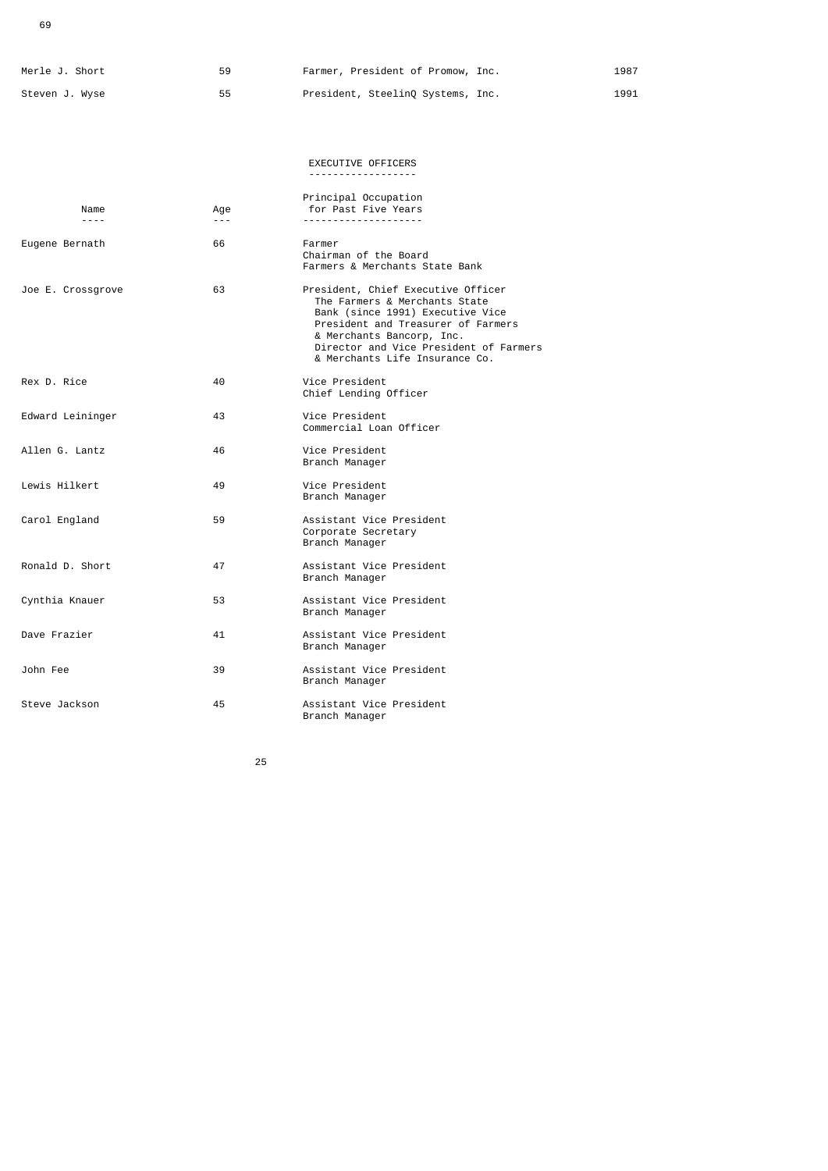69

|                                                           | Merle J. Short | 59 | Farmer, President of Promow, Inc. | 1987 |
|-----------------------------------------------------------|----------------|----|-----------------------------------|------|
| President, SteelinQ Systems, Inc.<br>Steven J. Wyse<br>55 |                |    |                                   | 1991 |

|                   |                                                                                                                                                                                                                                                                                                                                                                                                     | EXECUTIVE OFFICERS<br><u>.</u>                                                                                                                                                                                                                         |
|-------------------|-----------------------------------------------------------------------------------------------------------------------------------------------------------------------------------------------------------------------------------------------------------------------------------------------------------------------------------------------------------------------------------------------------|--------------------------------------------------------------------------------------------------------------------------------------------------------------------------------------------------------------------------------------------------------|
| Name<br>$- - - -$ | Age<br>$\frac{1}{2} \frac{1}{2} \frac{1}{2} \frac{1}{2} \frac{1}{2} \frac{1}{2} \frac{1}{2} \frac{1}{2} \frac{1}{2} \frac{1}{2} \frac{1}{2} \frac{1}{2} \frac{1}{2} \frac{1}{2} \frac{1}{2} \frac{1}{2} \frac{1}{2} \frac{1}{2} \frac{1}{2} \frac{1}{2} \frac{1}{2} \frac{1}{2} \frac{1}{2} \frac{1}{2} \frac{1}{2} \frac{1}{2} \frac{1}{2} \frac{1}{2} \frac{1}{2} \frac{1}{2} \frac{1}{2} \frac{$ | Principal Occupation<br>for Past Five Years                                                                                                                                                                                                            |
| Eugene Bernath    | 66                                                                                                                                                                                                                                                                                                                                                                                                  | Farmer<br>Chairman of the Board<br>Farmers & Merchants State Bank                                                                                                                                                                                      |
| Joe E. Crossgrove | 63                                                                                                                                                                                                                                                                                                                                                                                                  | President, Chief Executive Officer<br>The Farmers & Merchants State<br>Bank (since 1991) Executive Vice<br>President and Treasurer of Farmers<br>& Merchants Bancorp, Inc.<br>Director and Vice President of Farmers<br>& Merchants Life Insurance Co. |
| Rex D. Rice       | 40                                                                                                                                                                                                                                                                                                                                                                                                  | Vice President<br>Chief Lending Officer                                                                                                                                                                                                                |
| Edward Leininger  | 43                                                                                                                                                                                                                                                                                                                                                                                                  | Vice President<br>Commercial Loan Officer                                                                                                                                                                                                              |
| Allen G. Lantz    | 46                                                                                                                                                                                                                                                                                                                                                                                                  | Vice President<br>Branch Manager                                                                                                                                                                                                                       |
| Lewis Hilkert     | 49                                                                                                                                                                                                                                                                                                                                                                                                  | Vice President<br>Branch Manager                                                                                                                                                                                                                       |
| Carol England     | 59                                                                                                                                                                                                                                                                                                                                                                                                  | Assistant Vice President<br>Corporate Secretary<br>Branch Manager                                                                                                                                                                                      |
| Ronald D. Short   | 47                                                                                                                                                                                                                                                                                                                                                                                                  | Assistant Vice President<br>Branch Manager                                                                                                                                                                                                             |
| Cynthia Knauer    | 53                                                                                                                                                                                                                                                                                                                                                                                                  | Assistant Vice President<br>Branch Manager                                                                                                                                                                                                             |
| Dave Frazier      | 41                                                                                                                                                                                                                                                                                                                                                                                                  | Assistant Vice President<br>Branch Manager                                                                                                                                                                                                             |
| John Fee          | 39                                                                                                                                                                                                                                                                                                                                                                                                  | Assistant Vice President<br>Branch Manager                                                                                                                                                                                                             |
| Steve Jackson     | 45                                                                                                                                                                                                                                                                                                                                                                                                  | Assistant Vice President<br>Branch Manager                                                                                                                                                                                                             |

<u>25 and 25 and 26 and 26 and 26 and 26 and 26 and 26 and 26 and 26 and 26 and 26 and 26 and 26 and 26 and 26 and 26 and 26 and 26 and 26 and 27 and 27 and 27 and 27 and 27 and 27 and 27 and 27 and 27 and 27 and 27 and 27 a</u>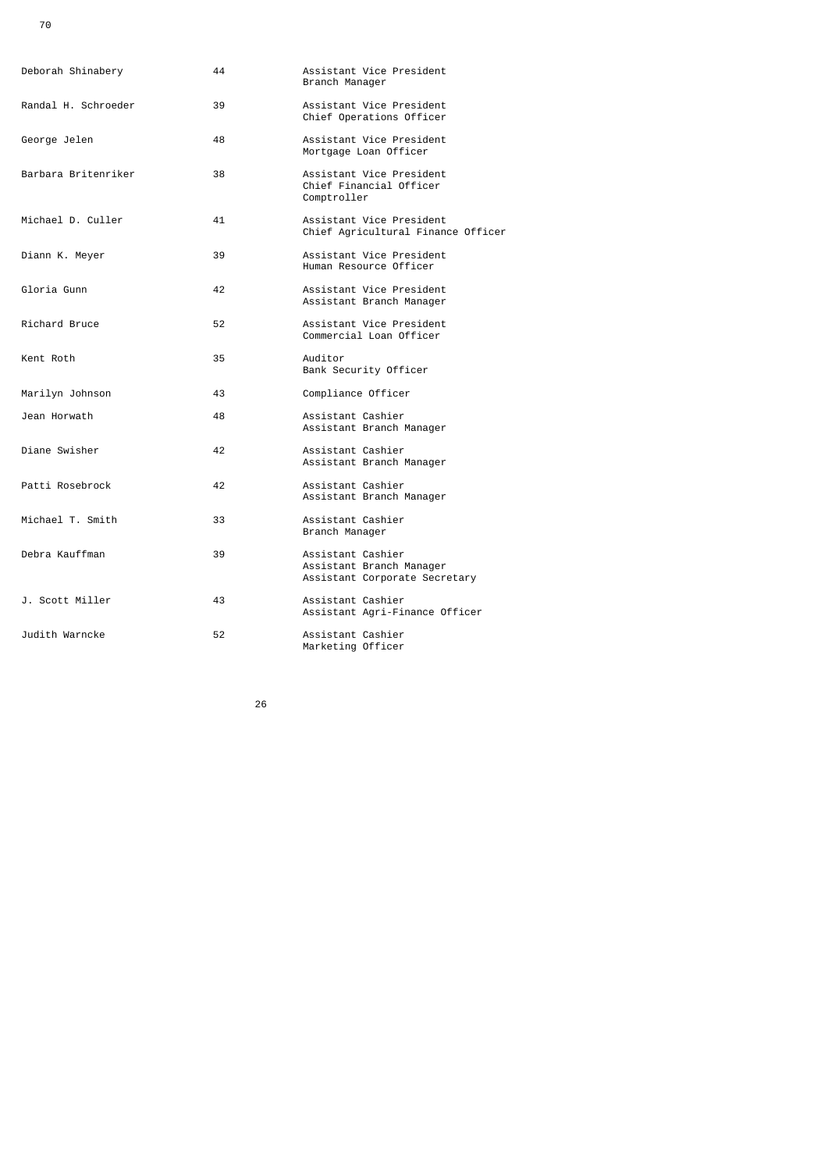| Deborah Shinabery   | 44 | Assistant Vice President<br>Branch Manager                                     |
|---------------------|----|--------------------------------------------------------------------------------|
| Randal H. Schroeder | 39 | Assistant Vice President<br>Chief Operations Officer                           |
| George Jelen        | 48 | Assistant Vice President<br>Mortgage Loan Officer                              |
| Barbara Britenriker | 38 | Assistant Vice President<br>Chief Financial Officer<br>Comptroller             |
| Michael D. Culler   | 41 | Assistant Vice President<br>Chief Agricultural Finance Officer                 |
| Diann K. Meyer      | 39 | Assistant Vice President<br>Human Resource Officer                             |
| Gloria Gunn         | 42 | Assistant Vice President<br>Assistant Branch Manager                           |
| Richard Bruce       | 52 | Assistant Vice President<br>Commercial Loan Officer                            |
| Kent Roth           | 35 | Auditor<br>Bank Security Officer                                               |
| Marilyn Johnson     | 43 | Compliance Officer                                                             |
| Jean Horwath        | 48 | Assistant Cashier<br>Assistant Branch Manager                                  |
| Diane Swisher       | 42 | Assistant Cashier<br>Assistant Branch Manager                                  |
| Patti Rosebrock     | 42 | Assistant Cashier<br>Assistant Branch Manager                                  |
| Michael T. Smith    | 33 | Assistant Cashier<br>Branch Manager                                            |
| Debra Kauffman      | 39 | Assistant Cashier<br>Assistant Branch Manager<br>Assistant Corporate Secretary |
| J. Scott Miller     | 43 | Assistant Cashier<br>Assistant Agri-Finance Officer                            |
| Judith Warncke      | 52 | Assistant Cashier<br>Marketing Officer                                         |

<u>26 and 26</u>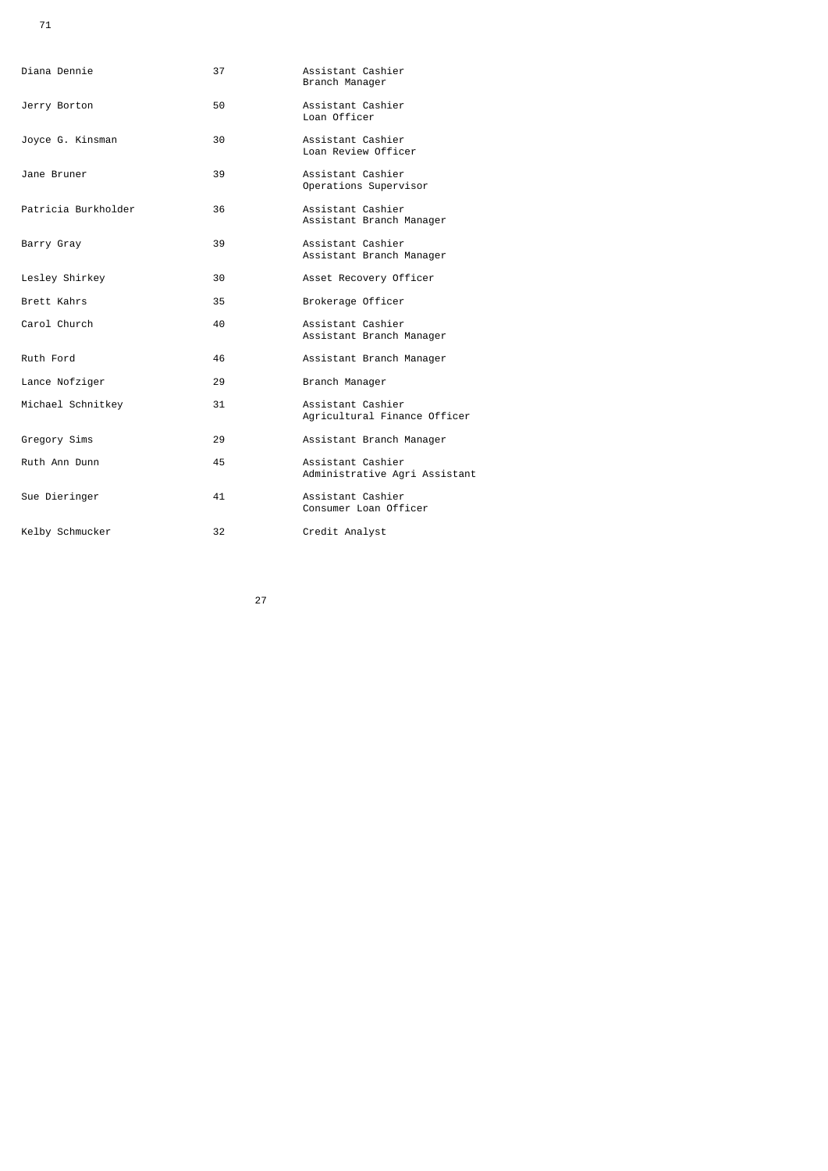| Diana Dennie        | 37 | Assistant Cashier<br>Branch Manager                |
|---------------------|----|----------------------------------------------------|
| Jerry Borton        | 50 | Assistant Cashier<br>Loan Officer                  |
| Joyce G. Kinsman    | 30 | Assistant Cashier<br>Loan Review Officer           |
| Jane Bruner         | 39 | Assistant Cashier<br>Operations Supervisor         |
| Patricia Burkholder | 36 | Assistant Cashier<br>Assistant Branch Manager      |
| Barry Gray          | 39 | Assistant Cashier<br>Assistant Branch Manager      |
| Lesley Shirkey      | 30 | Asset Recovery Officer                             |
| Brett Kahrs         | 35 | Brokerage Officer                                  |
| Carol Church        | 40 | Assistant Cashier<br>Assistant Branch Manager      |
| Ruth Ford           | 46 | Assistant Branch Manager                           |
| Lance Nofziger      | 29 | Branch Manager                                     |
| Michael Schnitkey   | 31 | Assistant Cashier<br>Agricultural Finance Officer  |
| Gregory Sims        | 29 | Assistant Branch Manager                           |
| Ruth Ann Dunn       | 45 | Assistant Cashier<br>Administrative Agri Assistant |
| Sue Dieringer       | 41 | Assistant Cashier<br>Consumer Loan Officer         |
| Kelby Schmucker     | 32 | Credit Analyst                                     |

<u>27 and 27</u>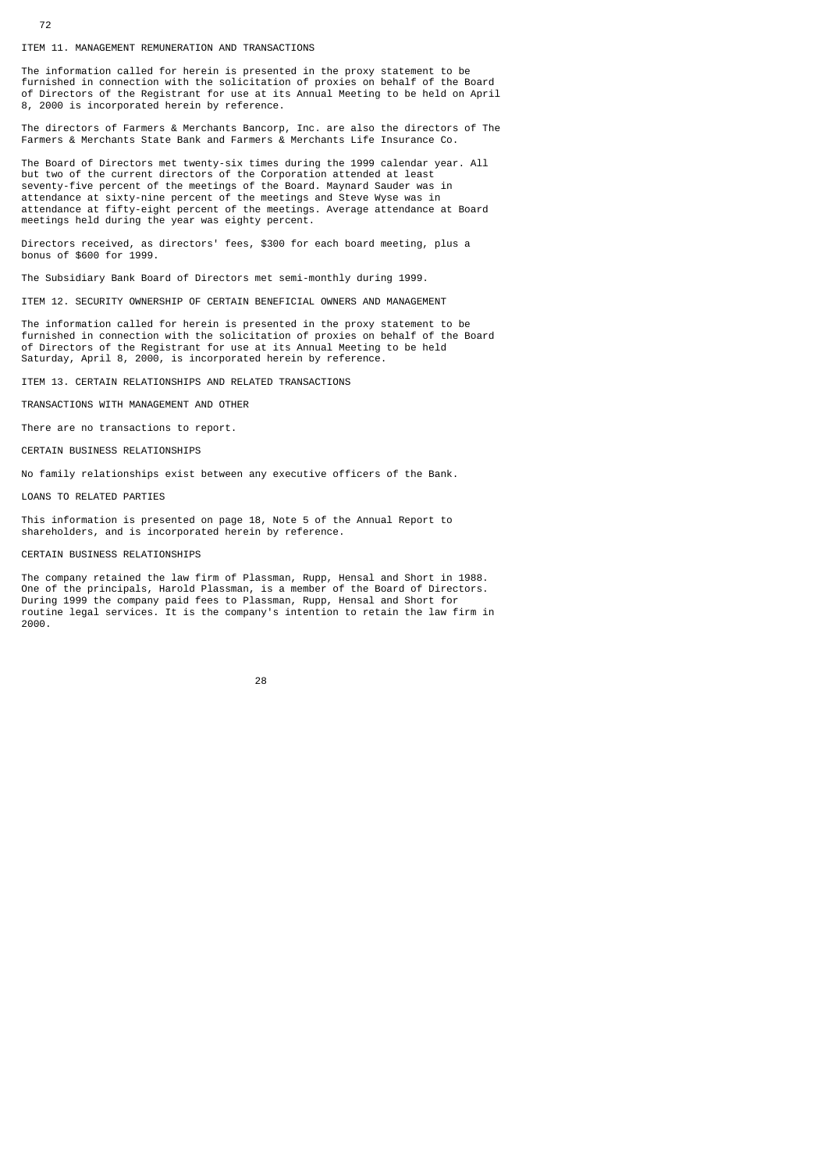ITEM 11. MANAGEMENT REMUNERATION AND TRANSACTIONS

The information called for herein is presented in the proxy statement to be furnished in connection with the solicitation of proxies on behalf of the Board of Directors of the Registrant for use at its Annual Meeting to be held on April 8, 2000 is incorporated herein by reference.

The directors of Farmers & Merchants Bancorp, Inc. are also the directors of The Farmers & Merchants State Bank and Farmers & Merchants Life Insurance Co.

The Board of Directors met twenty-six times during the 1999 calendar year. All but two of the current directors of the Corporation attended at least seventy-five percent of the meetings of the Board. Maynard Sauder was in attendance at sixty-nine percent of the meetings and Steve Wyse was in attendance at fifty-eight percent of the meetings. Average attendance at Board meetings held during the year was eighty percent.

Directors received, as directors' fees, \$300 for each board meeting, plus a bonus of \$600 for 1999.

The Subsidiary Bank Board of Directors met semi-monthly during 1999.

ITEM 12. SECURITY OWNERSHIP OF CERTAIN BENEFICIAL OWNERS AND MANAGEMENT

The information called for herein is presented in the proxy statement to be furnished in connection with the solicitation of proxies on behalf of the Board of Directors of the Registrant for use at its Annual Meeting to be held Saturday, April 8, 2000, is incorporated herein by reference.

ITEM 13. CERTAIN RELATIONSHIPS AND RELATED TRANSACTIONS

TRANSACTIONS WITH MANAGEMENT AND OTHER

There are no transactions to report.

CERTAIN BUSINESS RELATIONSHIPS

No family relationships exist between any executive officers of the Bank.

LOANS TO RELATED PARTIES

This information is presented on page 18, Note 5 of the Annual Report to shareholders, and is incorporated herein by reference.

### CERTAIN BUSINESS RELATIONSHIPS

The company retained the law firm of Plassman, Rupp, Hensal and Short in 1988. One of the principals, Harold Plassman, is a member of the Board of Directors. During 1999 the company paid fees to Plassman, Rupp, Hensal and Short for routine legal services. It is the company's intention to retain the law firm in 2000.

|  | 28 |
|--|----|
|  |    |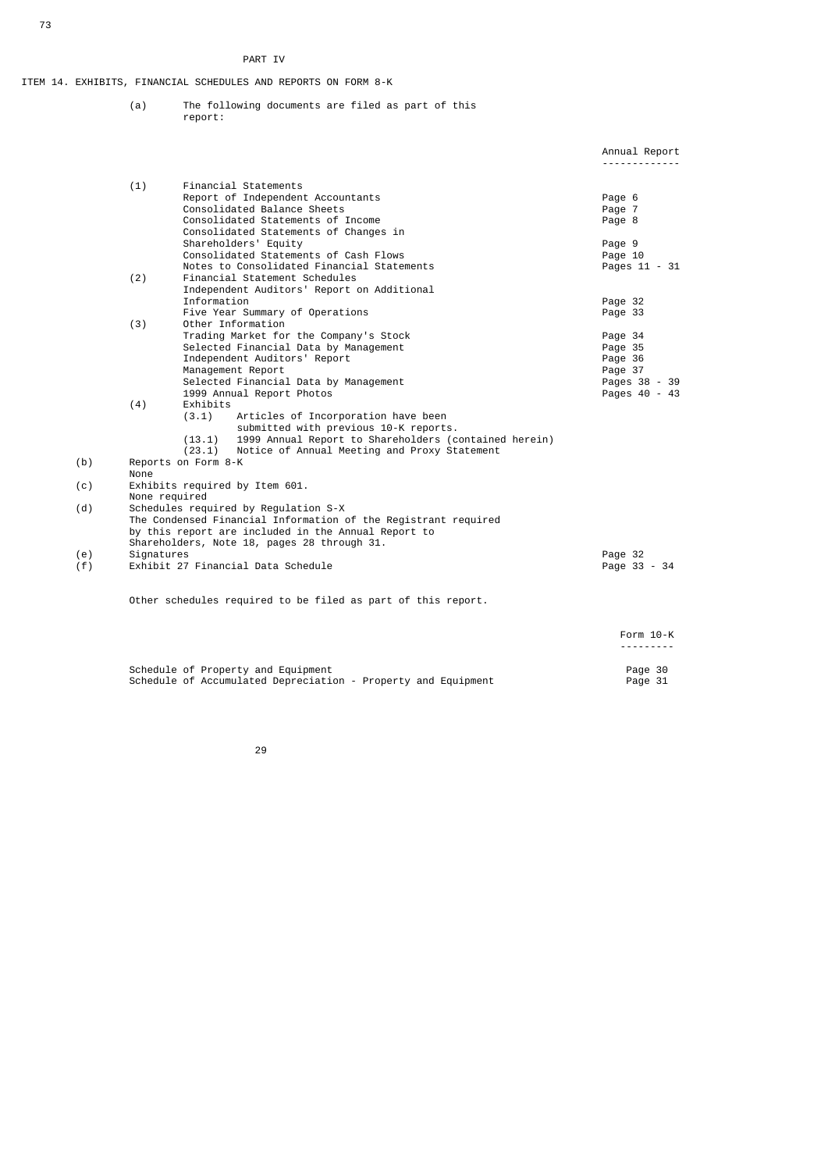## PART IV

ITEM 14. EXHIBITS, FINANCIAL SCHEDULES AND REPORTS ON FORM 8-K

 (a) The following documents are filed as part of this report:

|     |            |                                                                       | Annual Report      |
|-----|------------|-----------------------------------------------------------------------|--------------------|
|     |            |                                                                       |                    |
|     | (1)        | Financial Statements<br>Report of Independent Accountants             | Page 6             |
|     |            | Consolidated Balance Sheets                                           | Page 7             |
|     |            | Consolidated Statements of Income                                     | Page 8             |
|     |            | Consolidated Statements of Changes in                                 |                    |
|     |            | Shareholders' Equity                                                  | Page 9             |
|     |            | Consolidated Statements of Cash Flows                                 | Page 10            |
|     |            | Notes to Consolidated Financial Statements                            | Pages 11 - 31      |
|     | (2)        | Financial Statement Schedules                                         |                    |
|     |            | Independent Auditors' Report on Additional                            |                    |
|     |            | Information                                                           | Page 32            |
|     |            | Five Year Summary of Operations                                       | Page 33            |
|     | (3)        | Other Information                                                     |                    |
|     |            | Trading Market for the Company's Stock                                | Page 34            |
|     |            | Selected Financial Data by Management<br>Independent Auditors' Report | Page 35<br>Page 36 |
|     |            | Management Report                                                     | Page 37            |
|     |            | Selected Financial Data by Management                                 | Pages 38 - 39      |
|     |            | 1999 Annual Report Photos                                             | Pages 40 - 43      |
|     | (4)        | Exhibits                                                              |                    |
|     |            | (3.1)<br>Articles of Incorporation have been                          |                    |
|     |            | submitted with previous 10-K reports.                                 |                    |
|     |            | 1999 Annual Report to Shareholders (contained herein)<br>(13.1)       |                    |
|     |            | Notice of Annual Meeting and Proxy Statement<br>(23.1)                |                    |
| (b) |            | Reports on Form 8-K                                                   |                    |
|     | None       |                                                                       |                    |
| (c) |            | Exhibits required by Item 601.<br>None required                       |                    |
| (d) |            | Schedules required by Regulation S-X                                  |                    |
|     |            | The Condensed Financial Information of the Registrant required        |                    |
|     |            | by this report are included in the Annual Report to                   |                    |
|     |            | Shareholders, Note 18, pages 28 through 31.                           |                    |
| (e) | Signatures |                                                                       | Page 32            |
| (f) |            | Exhibit 27 Financial Data Schedule                                    | Page 33 - 34       |
|     |            |                                                                       |                    |
|     |            | Other schedules required to be filed as part of this report.          |                    |
|     |            |                                                                       | Form 10-K          |
|     |            |                                                                       | . <b>.</b>         |
|     |            | Cabadula af Desnachu sad Fautanost                                    | $D = -2$           |

Schedule of Property and Equipment Page 30  $\,$ Schedule of Accumulated Depreciation - Property and Equipment Page 31

<u>29 and 29 and 29 and 29 and 29 and 29 and 29 and 29 and 29 and 29 and 29 and 29 and 29 and 29 and 29 and 2012</u>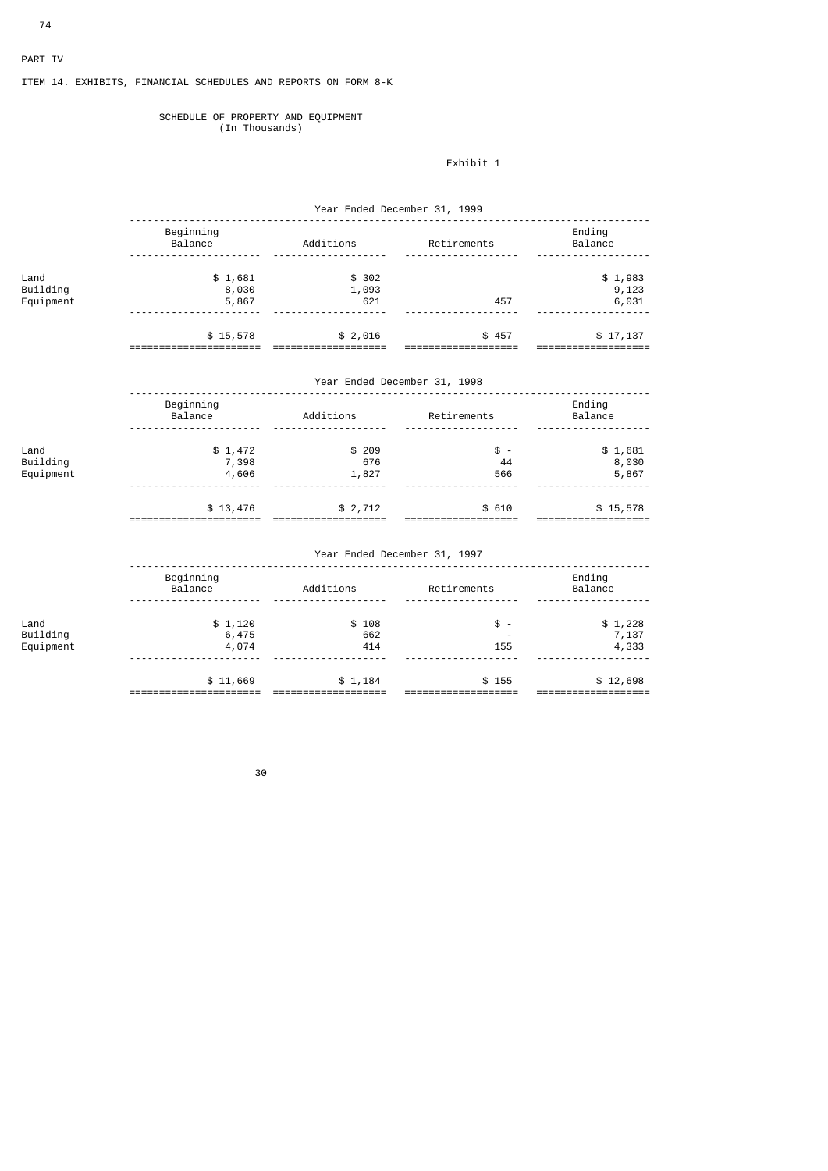# PART IV

# ITEM 14. EXHIBITS, FINANCIAL SCHEDULES AND REPORTS ON FORM 8-K

#### SCHEDULE OF PROPERTY AND EQUIPMENT (In Thousands)

# Exhibit 1

|                               | Year Ended December 31, 1999 |                            |                              |                           |  |  |
|-------------------------------|------------------------------|----------------------------|------------------------------|---------------------------|--|--|
|                               | Beginning<br>Balance         | Additions Retirements      |                              | Ending<br>Balance         |  |  |
| Land<br>Building<br>Equipment | \$1,681<br>8,030<br>5,867    | \$302<br>1,093<br>621      | 457                          |                           |  |  |
|                               | \$15,578<br>===============  | \$2,016<br>=============== | \$457<br>====                | \$17,137                  |  |  |
|                               | Year Ended December 31, 1998 |                            |                              |                           |  |  |
|                               | Beginning<br>Balance         | Additions Retirements      |                              | Ending<br>Balance         |  |  |
| Land<br>Building<br>Equipment | \$1,472<br>7,398<br>4,606    | \$209<br>676<br>1,827      | $\frac{1}{2}$ -<br>44<br>566 | \$1,681<br>8,030<br>5,867 |  |  |
|                               | \$13,476                     | \$2,712                    | \$610                        | \$15,578                  |  |  |
|                               | Year Ended December 31, 1997 |                            |                              |                           |  |  |

|           | Beginning<br>Balance | Additions | Retirements | Ending<br>Balance |  |
|-----------|----------------------|-----------|-------------|-------------------|--|
|           |                      |           |             |                   |  |
| Land      | \$1,120              | \$108     | $$ -$       | \$1,228           |  |
| Building  | 6,475                | 662       | -           | 7,137             |  |
| Equipment | 4,074                | 414       | 155         | 4,333             |  |
|           |                      |           |             |                   |  |
|           | \$11,669             | \$1,184   | \$155       | \$12,698          |  |
|           |                      |           |             |                   |  |

а в село во село во село во село во 1990 година, како во 1990 година, како е од 1990 година, како е од 1990 го<br>Во 1990 година од 1990 година, како е од 1990 година, како е од 1990 година, како е од 1990 година, како е од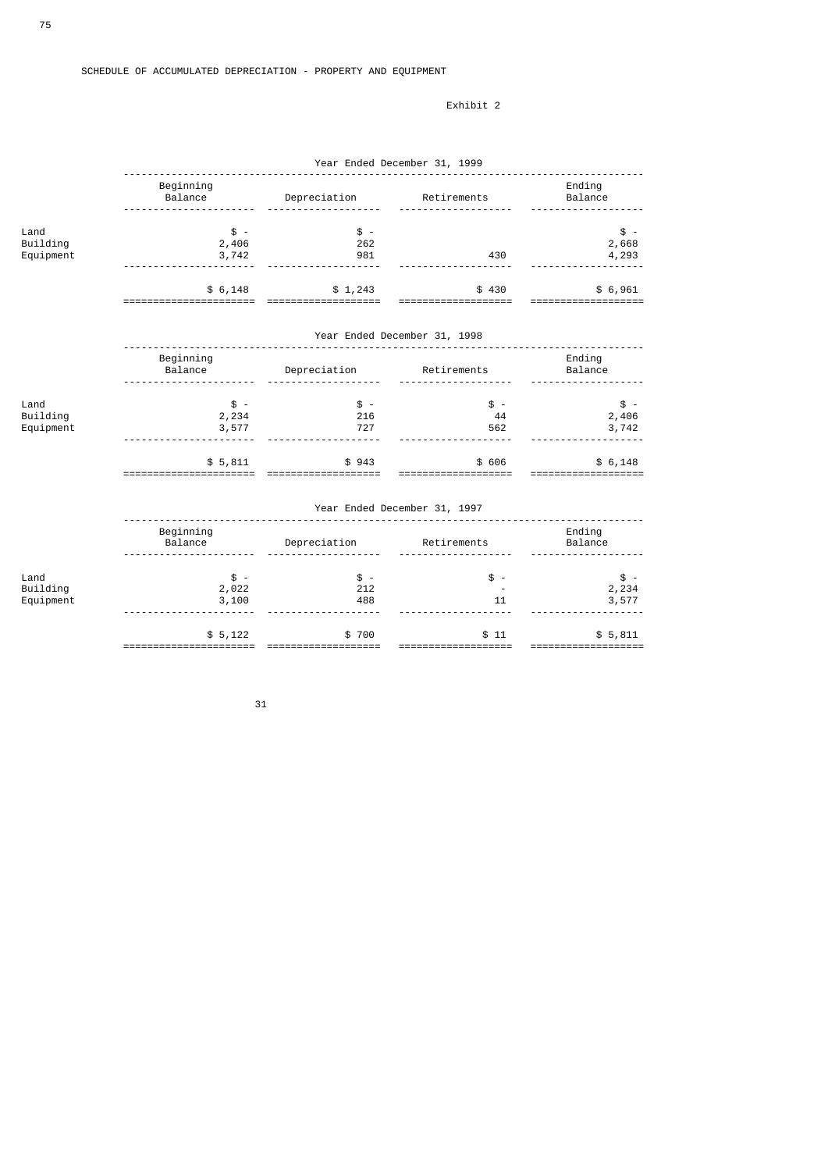## Exhibit 2

|                               | Year Ended December 31, 1999      |                                 |                               |                                   |  |  |
|-------------------------------|-----------------------------------|---------------------------------|-------------------------------|-----------------------------------|--|--|
|                               | Beginning<br>Balance              | Depreciation Retirements        |                               | Ending<br>Balance                 |  |  |
| Land<br>Building<br>Equipment | $$ -$<br>2,406<br>3,742           | $$ -$<br>262<br>981<br><u>.</u> | 430                           | $\frac{1}{2}$ .<br>2,668<br>4,293 |  |  |
|                               | \$6,148<br>============           | \$1,243<br>==============       | \$430<br>======               | \$6,961<br>==========             |  |  |
|                               | Year Ended December 31, 1998      |                                 |                               |                                   |  |  |
|                               | Beginning<br>Balance              | Depreciation Retirements        |                               | Ending<br>Balance                 |  |  |
| Land<br>Building<br>Equipment | $\frac{1}{2}$ -<br>2,234<br>3,577 | $$ -$<br>216<br>727<br><u>.</u> | $s -$<br>44<br>562            | $$ -$<br>2,406<br>3,742           |  |  |
|                               | \$5,811<br>====================== | \$943<br>===================    | \$ 606<br>=================== | \$6,148<br>====================   |  |  |
|                               | Year Ended December 31, 1997      |                                 |                               |                                   |  |  |
|                               | Beginning<br>Balance              | Depreciation                    | Retirements                   | Ending<br>Balance                 |  |  |
| Land<br>Building<br>Equipment | $$ -$<br>2,022<br>3,100           | $$ -$<br>212<br>488             | $s -$<br>11                   | $$ -$<br>2,234<br>3,577           |  |  |
|                               | $A = 400$                         | $+700$                          | $A \rightarrow A$             | $A = 0.44$                        |  |  |

 $\text{\$}5,122$   $\text{\$}700$   $\text{\$}11$   $\text{\$}5,811$ ====================== =================== =================== ===================

 $31$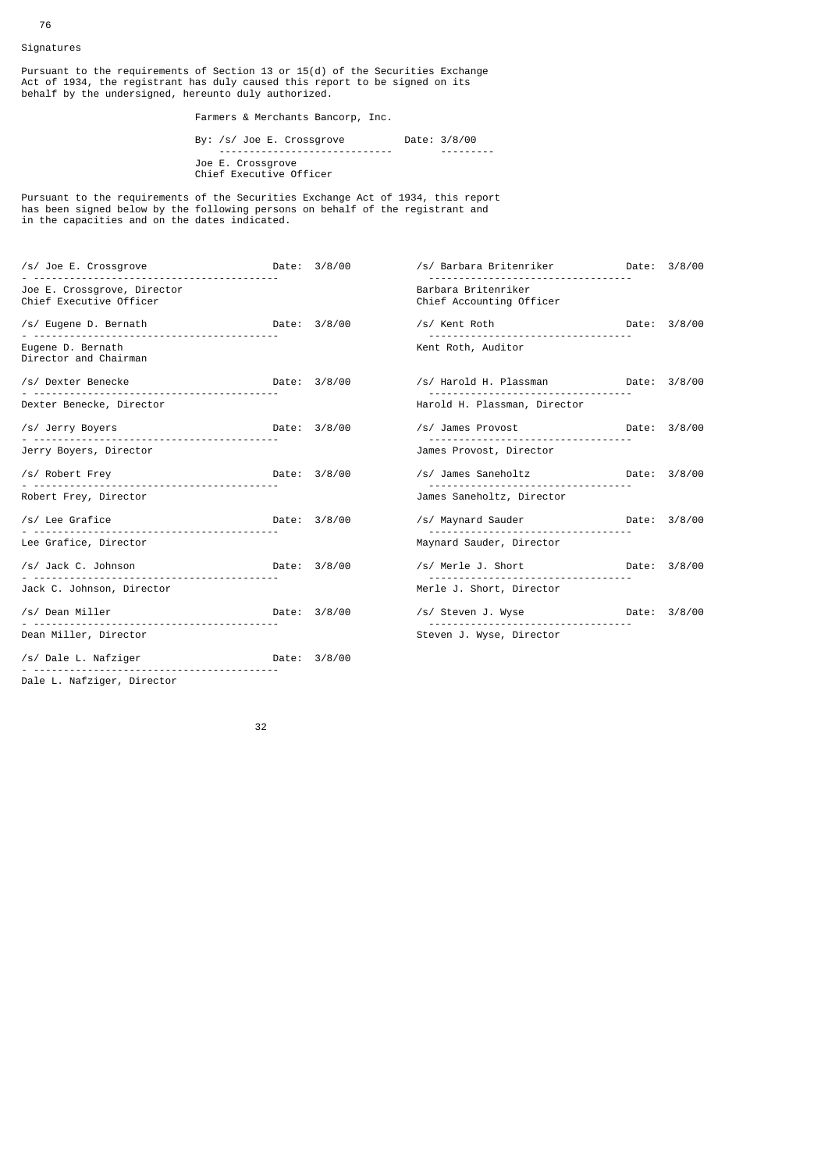Signatures

Pursuant to the requirements of Section 13 or 15(d) of the Securities Exchange Act of 1934, the registrant has duly caused this report to be signed on its behalf by the undersigned, hereunto duly authorized.

Farmers & Merchants Bancorp, Inc.

 By: /s/ Joe E. Crossgrove Date: 3/8/00 ----------------------------- --------- Joe E. Crossgrove Chief Executive Officer

Pursuant to the requirements of the Securities Exchange Act of 1934, this report has been signed below by the following persons on behalf of the registrant and in the capacities and on the dates indicated.

| /s/ Joe E. Crossgrove                                  |              | Date: 3/8/00 | /s/ Barbara Britenriker                         | Date: 3/8/00 |
|--------------------------------------------------------|--------------|--------------|-------------------------------------------------|--------------|
| Joe E. Crossgrove, Director<br>Chief Executive Officer |              |              | Barbara Britenriker<br>Chief Accounting Officer |              |
| /s/ Eugene D. Bernath Date: 3/8/00                     |              |              | /s/ Kent Roth                                   | Date: 3/8/00 |
| Eugene D. Bernath<br>Director and Chairman             |              |              | Kent Roth, Auditor                              |              |
| /s/ Dexter Benecke                                     |              | Date: 3/8/00 | /s/ Harold H. Plassman bate: 3/8/00             |              |
| Dexter Benecke, Director                               |              |              | Harold H. Plassman, Director                    |              |
| /s/ Jerry Boyers                                       | Date: 3/8/00 |              | /s/ James Provost                               | Date: 3/8/00 |
| Jerry Boyers, Director                                 |              |              | James Provost, Director                         |              |
| /s/ Robert Frey                                        | Date: 3/8/00 |              | /s/ James Saneholtz                             | Date: 3/8/00 |
| Robert Frey, Director                                  |              |              | James Saneholtz, Director                       |              |
| /s/ Lee Grafice<br>Date: 3/8/00                        |              |              | /s/ Maynard Sauder                              | Date: 3/8/00 |
| Lee Grafice, Director                                  |              |              | Maynard Sauder, Director                        |              |
| /s/ Jack C. Johnson Date: 3/8/00                       |              |              | /s/ Merle J. Short                              | Date: 3/8/00 |
| Jack C. Johnson, Director                              |              |              | Merle J. Short, Director                        |              |
| /s/ Dean Miller<br>Date: 3/8/00                        |              |              | /s/ Steven J. Wyse                              | Date: 3/8/00 |
| Dean Miller, Director                                  |              |              | Steven J. Wyse, Director                        |              |
| /s/ Dale L. Nafziger                                   |              |              |                                                 |              |
|                                                        |              |              |                                                 |              |

Dale L. Nafziger, Director

а в село во село во село во 1920 година во 1920 година во 1920 година, кои 1932 година во 1930 година и 1930 г<br>Во 1930 година од село во 1930 година од село во 1930 година од село во 1930 година од село во 1930 година од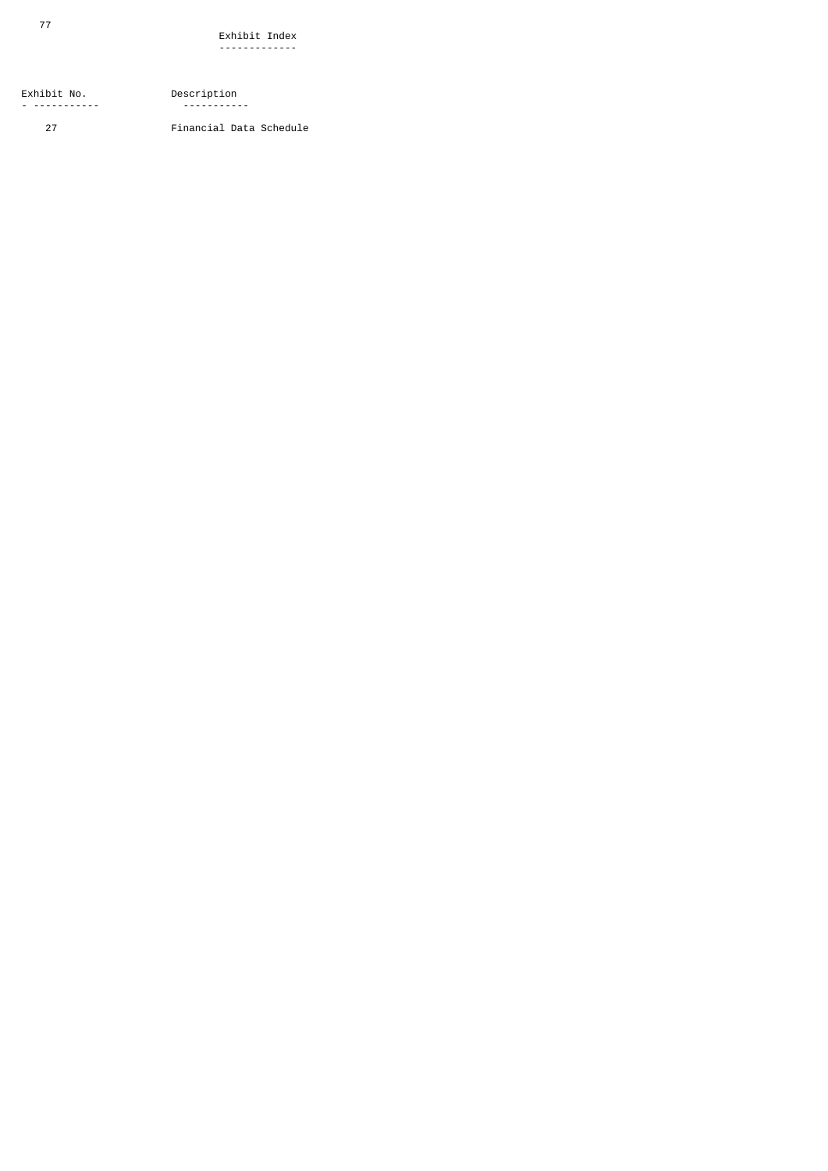Exhibit No. Description<br>- ------------ Description - ------ ----<br>- -----------

77

27 Financial Data Schedule